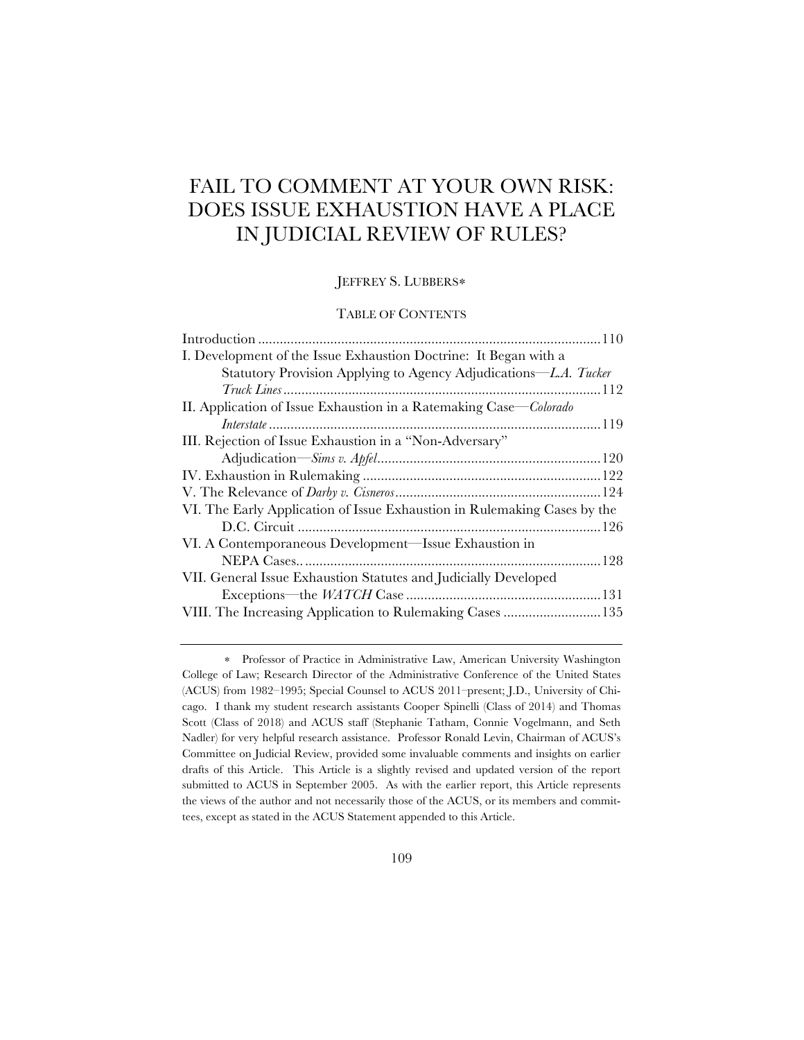# FAIL TO COMMENT AT YOUR OWN RISK: DOES ISSUE EXHAUSTION HAVE A PLACE IN JUDICIAL REVIEW OF RULES?

# JEFFREY S. LUBBERS∗

# TABLE OF CONTENTS

| I. Development of the Issue Exhaustion Doctrine: It Began with a         |
|--------------------------------------------------------------------------|
| Statutory Provision Applying to Agency Adjudications-L.A. Tucker         |
|                                                                          |
| II. Application of Issue Exhaustion in a Ratemaking Case—Colorado        |
|                                                                          |
| III. Rejection of Issue Exhaustion in a "Non-Adversary"                  |
|                                                                          |
|                                                                          |
|                                                                          |
| VI. The Early Application of Issue Exhaustion in Rulemaking Cases by the |
|                                                                          |
| VI. A Contemporaneous Development—Issue Exhaustion in                    |
|                                                                          |
| VII. General Issue Exhaustion Statutes and Judicially Developed          |
|                                                                          |
| VIII. The Increasing Application to Rulemaking Cases  135                |
|                                                                          |

<sup>∗</sup> Professor of Practice in Administrative Law, American University Washington College of Law; Research Director of the Administrative Conference of the United States (ACUS) from 1982–1995; Special Counsel to ACUS 2011–present; J.D., University of Chicago. I thank my student research assistants Cooper Spinelli (Class of 2014) and Thomas Scott (Class of 2018) and ACUS staff (Stephanie Tatham, Connie Vogelmann, and Seth Nadler) for very helpful research assistance. Professor Ronald Levin, Chairman of ACUS's Committee on Judicial Review, provided some invaluable comments and insights on earlier drafts of this Article. This Article is a slightly revised and updated version of the report submitted to ACUS in September 2005. As with the earlier report, this Article represents the views of the author and not necessarily those of the ACUS, or its members and committees, except as stated in the ACUS Statement appended to this Article.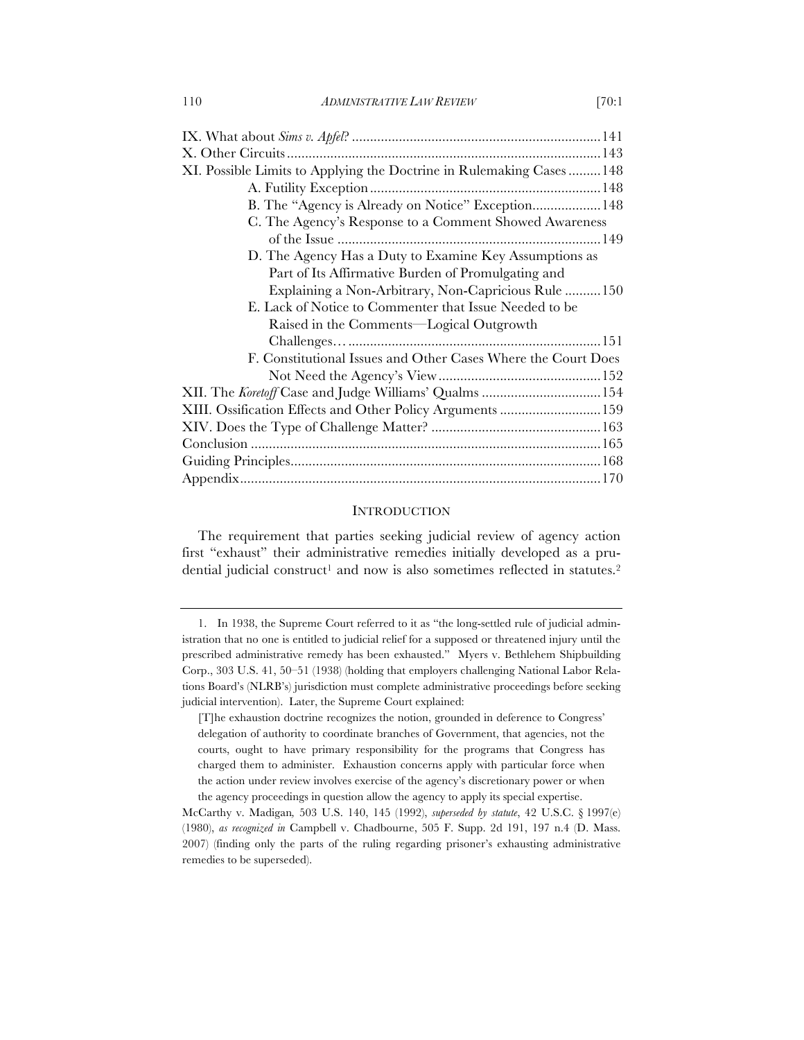| XI. Possible Limits to Applying the Doctrine in Rulemaking Cases  148 |
|-----------------------------------------------------------------------|
|                                                                       |
| B. The "Agency is Already on Notice" Exception 148                    |
| C. The Agency's Response to a Comment Showed Awareness                |
|                                                                       |
| D. The Agency Has a Duty to Examine Key Assumptions as                |
| Part of Its Affirmative Burden of Promulgating and                    |
| Explaining a Non-Arbitrary, Non-Capricious Rule 150                   |
| E. Lack of Notice to Commenter that Issue Needed to be                |
| Raised in the Comments—Logical Outgrowth                              |
|                                                                       |
| F. Constitutional Issues and Other Cases Where the Court Does         |
|                                                                       |
| XII. The Koretoff Case and Judge Williams' Qualms 154                 |
| XIII. Ossification Effects and Other Policy Arguments 159             |
|                                                                       |
|                                                                       |
|                                                                       |
|                                                                       |

#### **INTRODUCTION**

The requirement that parties seeking judicial review of agency action first "exhaust" their administrative remedies initially developed as a prudential judicial construct<sup>1</sup> and now is also sometimes reflected in statutes.<sup>2</sup>

<sup>1.</sup> In 1938, the Supreme Court referred to it as "the long-settled rule of judicial administration that no one is entitled to judicial relief for a supposed or threatened injury until the prescribed administrative remedy has been exhausted." Myers v. Bethlehem Shipbuilding Corp., 303 U.S. 41, 50–51 (1938) (holding that employers challenging National Labor Relations Board's (NLRB's) jurisdiction must complete administrative proceedings before seeking judicial intervention). Later, the Supreme Court explained:

<sup>[</sup>T]he exhaustion doctrine recognizes the notion, grounded in deference to Congress' delegation of authority to coordinate branches of Government, that agencies, not the courts, ought to have primary responsibility for the programs that Congress has charged them to administer. Exhaustion concerns apply with particular force when the action under review involves exercise of the agency's discretionary power or when the agency proceedings in question allow the agency to apply its special expertise.

McCarthy v. Madigan*,* 503 U.S. 140, 145 (1992), *superseded by statute*, 42 U.S.C. § 1997(e) (1980), *as recognized in* Campbell v. Chadbourne, 505 F. Supp. 2d 191, 197 n.4 (D. Mass. 2007) (finding only the parts of the ruling regarding prisoner's exhausting administrative remedies to be superseded).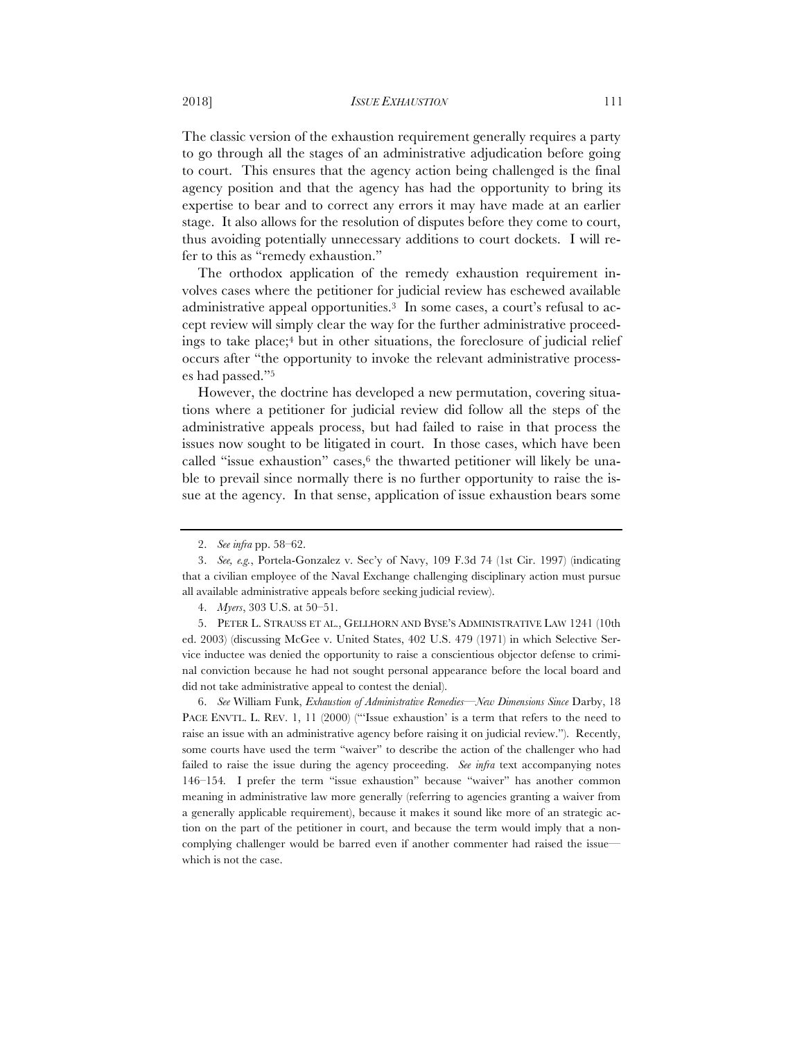#### 2018] *ISSUE EXHAUSTION* 111

The classic version of the exhaustion requirement generally requires a party to go through all the stages of an administrative adjudication before going to court. This ensures that the agency action being challenged is the final agency position and that the agency has had the opportunity to bring its expertise to bear and to correct any errors it may have made at an earlier stage. It also allows for the resolution of disputes before they come to court, thus avoiding potentially unnecessary additions to court dockets. I will refer to this as "remedy exhaustion."

The orthodox application of the remedy exhaustion requirement involves cases where the petitioner for judicial review has eschewed available administrative appeal opportunities.3 In some cases, a court's refusal to accept review will simply clear the way for the further administrative proceedings to take place;4 but in other situations, the foreclosure of judicial relief occurs after "the opportunity to invoke the relevant administrative processes had passed."5

However, the doctrine has developed a new permutation, covering situations where a petitioner for judicial review did follow all the steps of the administrative appeals process, but had failed to raise in that process the issues now sought to be litigated in court. In those cases, which have been called "issue exhaustion" cases, $6$  the thwarted petitioner will likely be unable to prevail since normally there is no further opportunity to raise the issue at the agency. In that sense, application of issue exhaustion bears some

6. *See* William Funk, *Exhaustion of Administrative Remedies—New Dimensions Since* Darby, 18 PACE ENVTL. L. REV. 1, 11 (2000) ("Issue exhaustion' is a term that refers to the need to raise an issue with an administrative agency before raising it on judicial review."). Recently, some courts have used the term "waiver" to describe the action of the challenger who had failed to raise the issue during the agency proceeding. *See infra* text accompanying notes 146–154*.* I prefer the term "issue exhaustion" because "waiver" has another common meaning in administrative law more generally (referring to agencies granting a waiver from a generally applicable requirement), because it makes it sound like more of an strategic action on the part of the petitioner in court, and because the term would imply that a noncomplying challenger would be barred even if another commenter had raised the issue which is not the case.

<sup>2.</sup> *See infra* pp. 58–62.

<sup>3.</sup> *See, e.g.*, Portela-Gonzalez v. Sec'y of Navy, 109 F.3d 74 (1st Cir. 1997) (indicating that a civilian employee of the Naval Exchange challenging disciplinary action must pursue all available administrative appeals before seeking judicial review).

<sup>4.</sup> *Myers*, 303 U.S. at 50–51.

<sup>5.</sup> PETER L. STRAUSS ET AL., GELLHORN AND BYSE'S ADMINISTRATIVE LAW 1241 (10th ed. 2003) (discussing McGee v. United States, 402 U.S. 479 (1971) in which Selective Service inductee was denied the opportunity to raise a conscientious objector defense to criminal conviction because he had not sought personal appearance before the local board and did not take administrative appeal to contest the denial).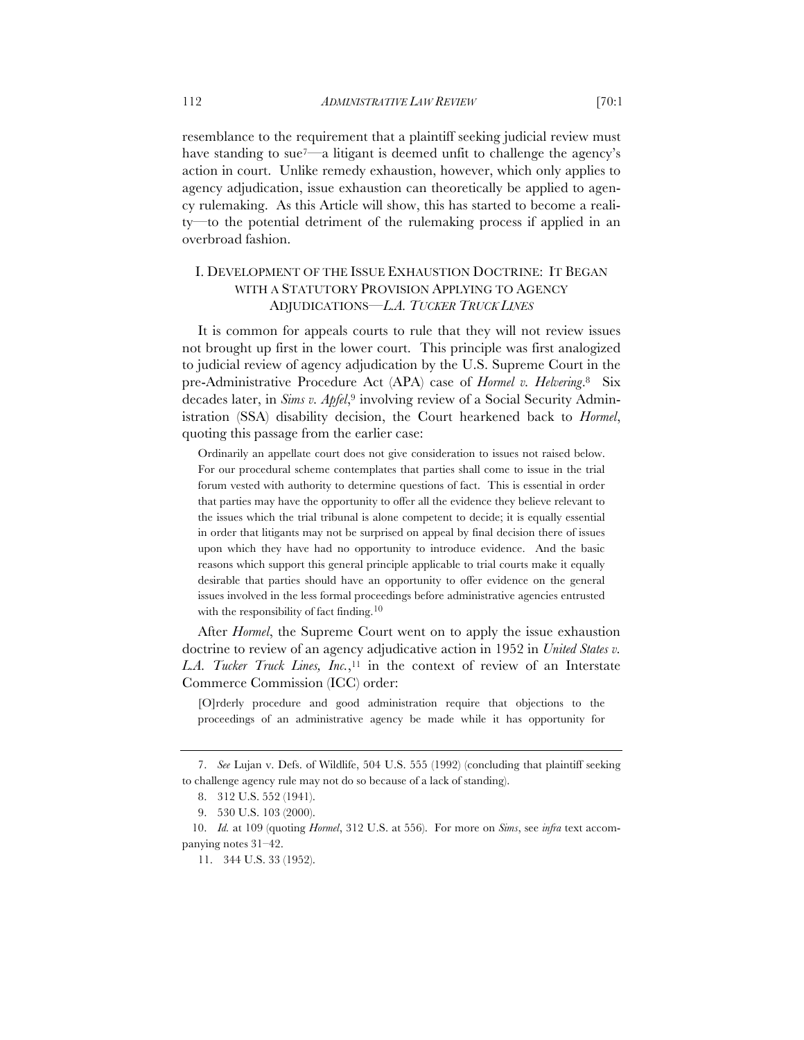resemblance to the requirement that a plaintiff seeking judicial review must have standing to sue<sup>7—</sup>a litigant is deemed unfit to challenge the agency's action in court. Unlike remedy exhaustion, however, which only applies to agency adjudication, issue exhaustion can theoretically be applied to agency rulemaking. As this Article will show, this has started to become a reality—to the potential detriment of the rulemaking process if applied in an overbroad fashion.

# I. DEVELOPMENT OF THE ISSUE EXHAUSTION DOCTRINE: IT BEGAN WITH A STATUTORY PROVISION APPLYING TO AGENCY ADJUDICATIONS—*L.A. TUCKER TRUCK LINES*

It is common for appeals courts to rule that they will not review issues not brought up first in the lower court. This principle was first analogized to judicial review of agency adjudication by the U.S. Supreme Court in the pre-Administrative Procedure Act (APA) case of *Hormel v. Helvering*.8 Six decades later, in *Sims v. Apfel*,9 involving review of a Social Security Administration (SSA) disability decision, the Court hearkened back to *Hormel*, quoting this passage from the earlier case:

Ordinarily an appellate court does not give consideration to issues not raised below. For our procedural scheme contemplates that parties shall come to issue in the trial forum vested with authority to determine questions of fact. This is essential in order that parties may have the opportunity to offer all the evidence they believe relevant to the issues which the trial tribunal is alone competent to decide; it is equally essential in order that litigants may not be surprised on appeal by final decision there of issues upon which they have had no opportunity to introduce evidence. And the basic reasons which support this general principle applicable to trial courts make it equally desirable that parties should have an opportunity to offer evidence on the general issues involved in the less formal proceedings before administrative agencies entrusted with the responsibility of fact finding.<sup>10</sup>

After *Hormel*, the Supreme Court went on to apply the issue exhaustion doctrine to review of an agency adjudicative action in 1952 in *United States v. L.A. Tucker Truck Lines, Inc.*,11 in the context of review of an Interstate Commerce Commission (ICC) order:

[O]rderly procedure and good administration require that objections to the proceedings of an administrative agency be made while it has opportunity for

<sup>7.</sup> *See* Lujan v. Defs. of Wildlife, 504 U.S. 555 (1992) (concluding that plaintiff seeking to challenge agency rule may not do so because of a lack of standing).

<sup>8.</sup> 312 U.S. 552 (1941).

<sup>9.</sup> 530 U.S. 103 (2000).

<sup>10.</sup> *Id.* at 109 (quoting *Hormel*, 312 U.S. at 556). For more on *Sims*, see *infra* text accompanying notes 31–42.

<sup>11.</sup> 344 U.S. 33 (1952).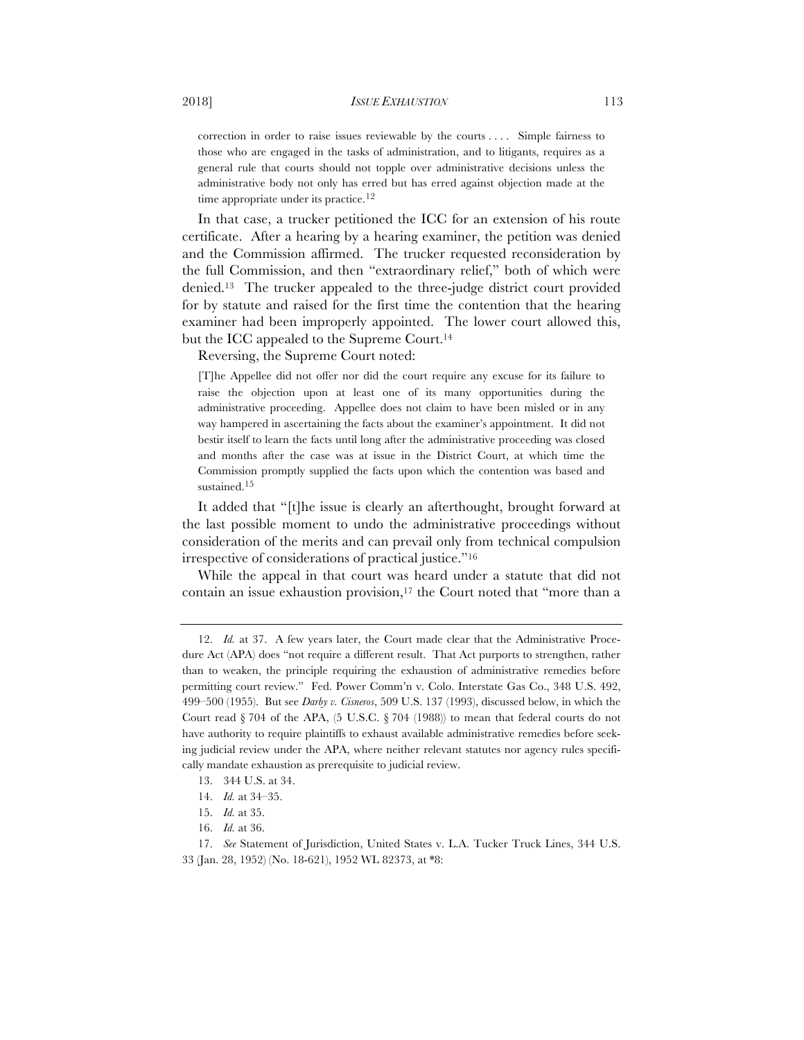correction in order to raise issues reviewable by the courts . . . . Simple fairness to those who are engaged in the tasks of administration, and to litigants, requires as a general rule that courts should not topple over administrative decisions unless the administrative body not only has erred but has erred against objection made at the time appropriate under its practice.12

In that case, a trucker petitioned the ICC for an extension of his route certificate. After a hearing by a hearing examiner, the petition was denied and the Commission affirmed. The trucker requested reconsideration by the full Commission, and then "extraordinary relief," both of which were denied.13 The trucker appealed to the three-judge district court provided for by statute and raised for the first time the contention that the hearing examiner had been improperly appointed. The lower court allowed this, but the ICC appealed to the Supreme Court.14

Reversing, the Supreme Court noted:

[T]he Appellee did not offer nor did the court require any excuse for its failure to raise the objection upon at least one of its many opportunities during the administrative proceeding. Appellee does not claim to have been misled or in any way hampered in ascertaining the facts about the examiner's appointment. It did not bestir itself to learn the facts until long after the administrative proceeding was closed and months after the case was at issue in the District Court, at which time the Commission promptly supplied the facts upon which the contention was based and sustained.15

It added that "[t]he issue is clearly an afterthought, brought forward at the last possible moment to undo the administrative proceedings without consideration of the merits and can prevail only from technical compulsion irrespective of considerations of practical justice."16

While the appeal in that court was heard under a statute that did not contain an issue exhaustion provision,<sup>17</sup> the Court noted that "more than a

<sup>12.</sup> *Id.* at 37. A few years later, the Court made clear that the Administrative Procedure Act (APA) does "not require a different result. That Act purports to strengthen, rather than to weaken, the principle requiring the exhaustion of administrative remedies before permitting court review." Fed. Power Comm'n v. Colo. Interstate Gas Co., 348 U.S. 492, 499–500 (1955). But see *Darby v. Cisneros*, 509 U.S. 137 (1993), discussed below, in which the Court read  $\S 704$  of the APA, (5 U.S.C.  $\S 704$  (1988)) to mean that federal courts do not have authority to require plaintiffs to exhaust available administrative remedies before seeking judicial review under the APA, where neither relevant statutes nor agency rules specifically mandate exhaustion as prerequisite to judicial review.

<sup>13.</sup> 344 U.S. at 34.

<sup>14.</sup> *Id.* at 34–35.

<sup>15.</sup> *Id.* at 35.

<sup>16.</sup> *Id.* at 36.

<sup>17.</sup> *See* Statement of Jurisdiction, United States v. L.A. Tucker Truck Lines, 344 U.S. 33 (Jan. 28, 1952) (No. 18-621), 1952 WL 82373, at \*8: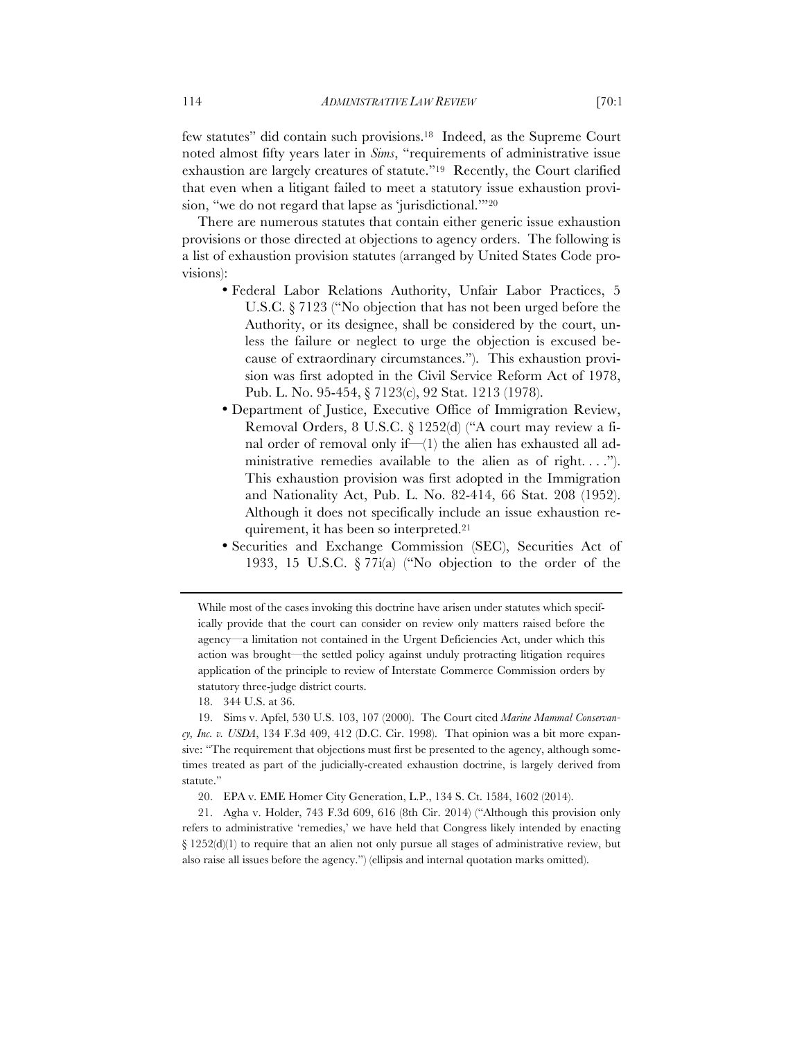few statutes" did contain such provisions.18 Indeed, as the Supreme Court noted almost fifty years later in *Sims*, "requirements of administrative issue exhaustion are largely creatures of statute."19 Recently, the Court clarified that even when a litigant failed to meet a statutory issue exhaustion provision, "we do not regard that lapse as 'jurisdictional.'"20

There are numerous statutes that contain either generic issue exhaustion provisions or those directed at objections to agency orders. The following is a list of exhaustion provision statutes (arranged by United States Code provisions):

- Federal Labor Relations Authority, Unfair Labor Practices, 5 U.S.C. § 7123 ("No objection that has not been urged before the Authority, or its designee, shall be considered by the court, unless the failure or neglect to urge the objection is excused because of extraordinary circumstances."). This exhaustion provision was first adopted in the Civil Service Reform Act of 1978, Pub. L. No. 95-454, § 7123(c), 92 Stat. 1213 (1978).
- Department of Justice, Executive Office of Immigration Review, Removal Orders, 8 U.S.C. § 1252(d) ("A court may review a final order of removal only if—(1) the alien has exhausted all administrative remedies available to the alien as of right...."). This exhaustion provision was first adopted in the Immigration and Nationality Act, Pub. L. No. 82-414, 66 Stat. 208 (1952). Although it does not specifically include an issue exhaustion requirement, it has been so interpreted.21
- Securities and Exchange Commission (SEC), Securities Act of 1933, 15 U.S.C. § 77i(a) ("No objection to the order of the

While most of the cases invoking this doctrine have arisen under statutes which specifically provide that the court can consider on review only matters raised before the agency—a limitation not contained in the Urgent Deficiencies Act, under which this action was brought—the settled policy against unduly protracting litigation requires application of the principle to review of Interstate Commerce Commission orders by statutory three-judge district courts.

18. 344 U.S. at 36.

19. Sims v. Apfel, 530 U.S. 103, 107 (2000). The Court cited *Marine Mammal Conservancy, Inc. v. USDA*, 134 F.3d 409, 412 (D.C. Cir. 1998). That opinion was a bit more expansive: "The requirement that objections must first be presented to the agency, although sometimes treated as part of the judicially-created exhaustion doctrine, is largely derived from statute."

20. EPA v. EME Homer City Generation, L.P., 134 S. Ct. 1584, 1602 (2014).

21. Agha v. Holder, 743 F.3d 609, 616 (8th Cir. 2014) ("Although this provision only refers to administrative 'remedies,' we have held that Congress likely intended by enacting  $\S 1252(d)(1)$  to require that an alien not only pursue all stages of administrative review, but also raise all issues before the agency.") (ellipsis and internal quotation marks omitted).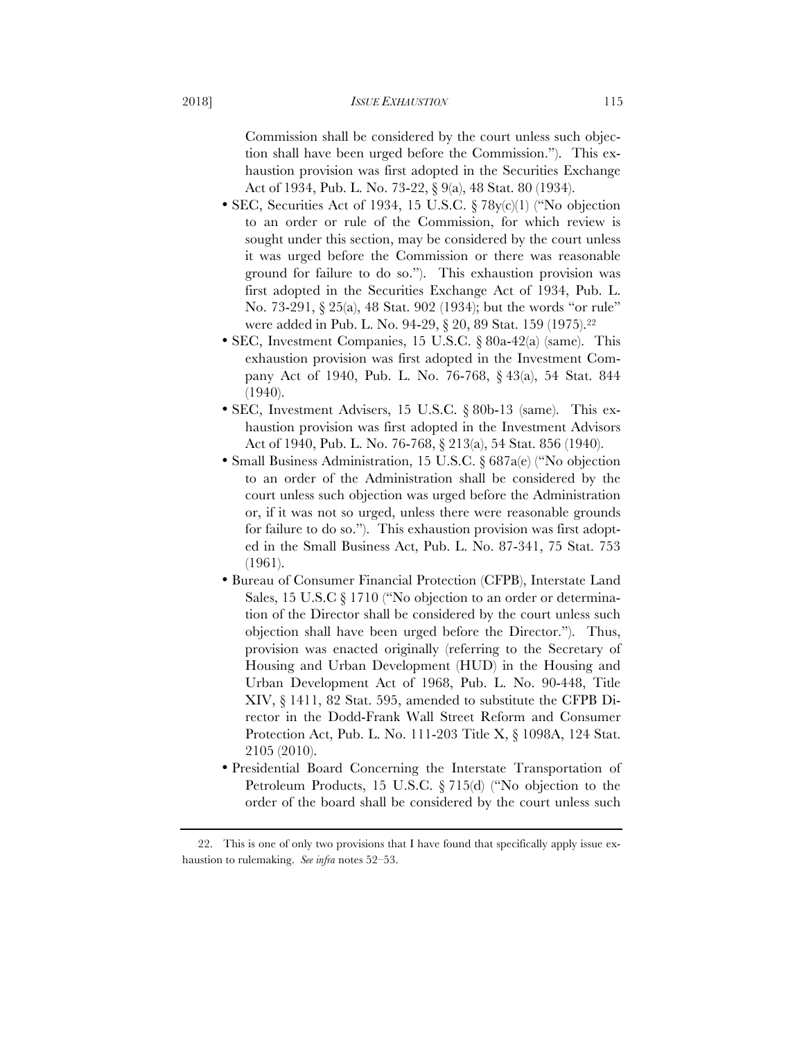Commission shall be considered by the court unless such objection shall have been urged before the Commission."). This exhaustion provision was first adopted in the Securities Exchange Act of 1934, Pub. L. No. 73-22, § 9(a), 48 Stat. 80 (1934).

- SEC, Securities Act of 1934, 15 U.S.C. § 78y(c)(1) ("No objection to an order or rule of the Commission, for which review is sought under this section, may be considered by the court unless it was urged before the Commission or there was reasonable ground for failure to do so."). This exhaustion provision was first adopted in the Securities Exchange Act of 1934, Pub. L. No. 73-291, § 25(a), 48 Stat. 902 (1934); but the words "or rule" were added in Pub. L. No. 94-29, § 20, 89 Stat. 159 (1975).22
- SEC, Investment Companies, 15 U.S.C. § 80a-42(a) (same). This exhaustion provision was first adopted in the Investment Company Act of 1940, Pub. L. No. 76-768, § 43(a), 54 Stat. 844 (1940).
- SEC, Investment Advisers, 15 U.S.C. § 80b-13 (same). This exhaustion provision was first adopted in the Investment Advisors Act of 1940, Pub. L. No. 76-768, § 213(a), 54 Stat. 856 (1940).
- Small Business Administration, 15 U.S.C. § 687a(e) ("No objection to an order of the Administration shall be considered by the court unless such objection was urged before the Administration or, if it was not so urged, unless there were reasonable grounds for failure to do so."). This exhaustion provision was first adopted in the Small Business Act, Pub. L. No. 87-341, 75 Stat. 753 (1961).
- Bureau of Consumer Financial Protection (CFPB), Interstate Land Sales, 15 U.S.C § 1710 ("No objection to an order or determination of the Director shall be considered by the court unless such objection shall have been urged before the Director."). Thus, provision was enacted originally (referring to the Secretary of Housing and Urban Development (HUD) in the Housing and Urban Development Act of 1968, Pub. L. No. 90-448, Title XIV, § 1411, 82 Stat. 595, amended to substitute the CFPB Director in the Dodd-Frank Wall Street Reform and Consumer Protection Act, Pub. L. No. 111-203 Title X, § 1098A, 124 Stat. 2105 (2010).
- Presidential Board Concerning the Interstate Transportation of Petroleum Products, 15 U.S.C. § 715(d) ("No objection to the order of the board shall be considered by the court unless such

<sup>22.</sup> This is one of only two provisions that I have found that specifically apply issue exhaustion to rulemaking. *See infra* notes 52–53.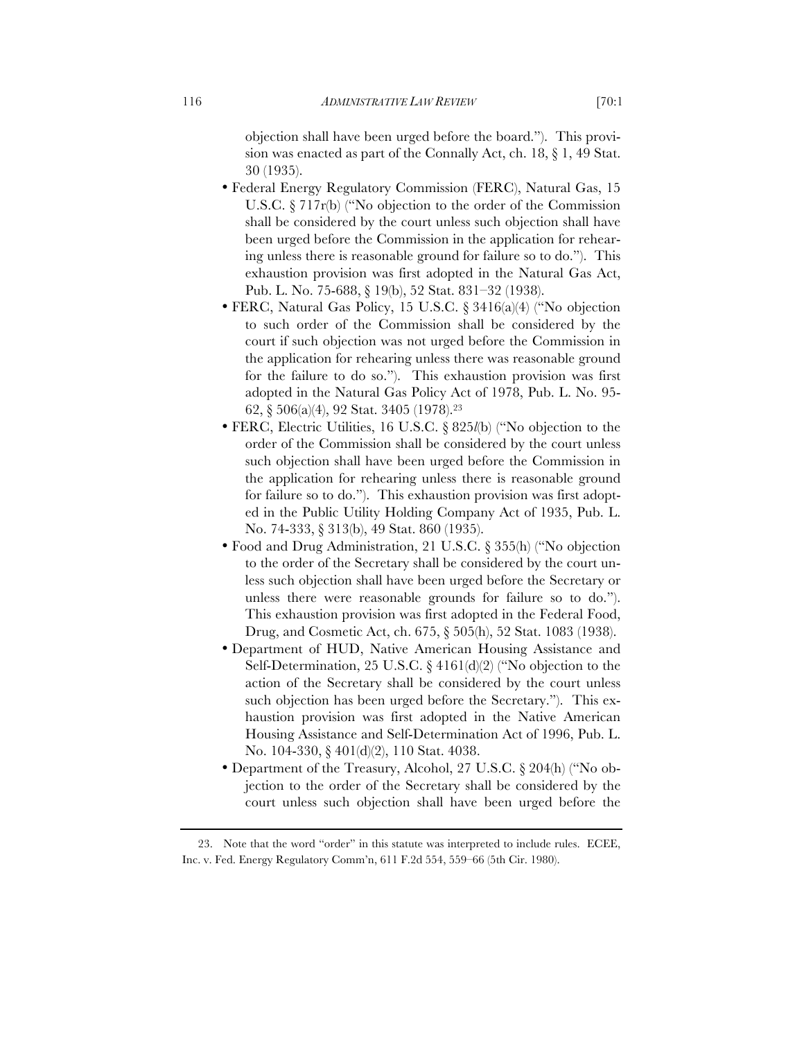objection shall have been urged before the board."). This provision was enacted as part of the Connally Act, ch. 18, § 1, 49 Stat. 30 (1935).

- Federal Energy Regulatory Commission (FERC), Natural Gas, 15 U.S.C. § 717r(b) ("No objection to the order of the Commission shall be considered by the court unless such objection shall have been urged before the Commission in the application for rehearing unless there is reasonable ground for failure so to do."). This exhaustion provision was first adopted in the Natural Gas Act, Pub. L. No. 75-688, § 19(b), 52 Stat. 831–32 (1938).
- FERC, Natural Gas Policy, 15 U.S.C. § 3416(a)(4) ("No objection to such order of the Commission shall be considered by the court if such objection was not urged before the Commission in the application for rehearing unless there was reasonable ground for the failure to do so."). This exhaustion provision was first adopted in the Natural Gas Policy Act of 1978, Pub. L. No. 95- 62, § 506(a)(4), 92 Stat. 3405 (1978).23
- FERC, Electric Utilities, 16 U.S.C. § 825*l*(b) ("No objection to the order of the Commission shall be considered by the court unless such objection shall have been urged before the Commission in the application for rehearing unless there is reasonable ground for failure so to do."). This exhaustion provision was first adopted in the Public Utility Holding Company Act of 1935, Pub. L. No. 74-333, § 313(b), 49 Stat. 860 (1935).
- Food and Drug Administration, 21 U.S.C. § 355(h) ("No objection to the order of the Secretary shall be considered by the court unless such objection shall have been urged before the Secretary or unless there were reasonable grounds for failure so to do."). This exhaustion provision was first adopted in the Federal Food, Drug, and Cosmetic Act, ch. 675, § 505(h), 52 Stat. 1083 (1938).
- Department of HUD, Native American Housing Assistance and Self-Determination, 25 U.S.C. § 4161(d)(2) ("No objection to the action of the Secretary shall be considered by the court unless such objection has been urged before the Secretary."). This exhaustion provision was first adopted in the Native American Housing Assistance and Self-Determination Act of 1996, Pub. L. No. 104-330, § 401(d)(2), 110 Stat. 4038.
- Department of the Treasury, Alcohol, 27 U.S.C. § 204(h) ("No objection to the order of the Secretary shall be considered by the court unless such objection shall have been urged before the

<sup>23.</sup> Note that the word "order" in this statute was interpreted to include rules. ECEE, Inc. v. Fed. Energy Regulatory Comm'n, 611 F.2d 554, 559–66 (5th Cir. 1980).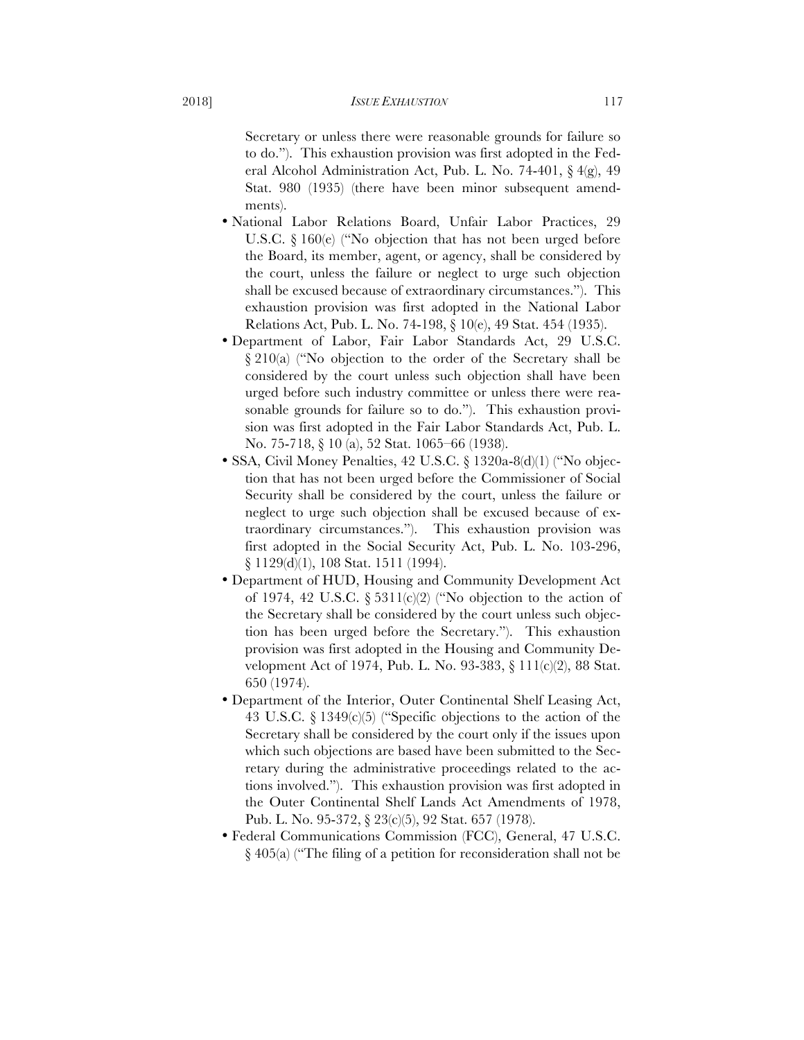Secretary or unless there were reasonable grounds for failure so to do."). This exhaustion provision was first adopted in the Federal Alcohol Administration Act, Pub. L. No. 74-401, § 4(g), 49 Stat. 980 (1935) (there have been minor subsequent amendments).

- National Labor Relations Board, Unfair Labor Practices, 29 U.S.C. § 160(e) ("No objection that has not been urged before the Board, its member, agent, or agency, shall be considered by the court, unless the failure or neglect to urge such objection shall be excused because of extraordinary circumstances."). This exhaustion provision was first adopted in the National Labor Relations Act, Pub. L. No. 74-198, § 10(e), 49 Stat. 454 (1935).
- Department of Labor, Fair Labor Standards Act, 29 U.S.C. § 210(a) ("No objection to the order of the Secretary shall be considered by the court unless such objection shall have been urged before such industry committee or unless there were reasonable grounds for failure so to do."). This exhaustion provision was first adopted in the Fair Labor Standards Act, Pub. L. No. 75-718, § 10 (a), 52 Stat. 1065–66 (1938).
- SSA, Civil Money Penalties, 42 U.S.C. § 1320a-8(d)(1) ("No objection that has not been urged before the Commissioner of Social Security shall be considered by the court, unless the failure or neglect to urge such objection shall be excused because of extraordinary circumstances."). This exhaustion provision was first adopted in the Social Security Act, Pub. L. No. 103-296, § 1129(d)(1), 108 Stat. 1511 (1994).
- Department of HUD, Housing and Community Development Act of 1974, 42 U.S.C. § 5311(c)(2) ("No objection to the action of the Secretary shall be considered by the court unless such objection has been urged before the Secretary."). This exhaustion provision was first adopted in the Housing and Community Development Act of 1974, Pub. L. No. 93-383, § 111(c)(2), 88 Stat. 650 (1974).
- Department of the Interior, Outer Continental Shelf Leasing Act, 43 U.S.C. § 1349(c)(5) ("Specific objections to the action of the Secretary shall be considered by the court only if the issues upon which such objections are based have been submitted to the Secretary during the administrative proceedings related to the actions involved."). This exhaustion provision was first adopted in the Outer Continental Shelf Lands Act Amendments of 1978, Pub. L. No. 95-372, § 23(c)(5), 92 Stat. 657 (1978).
- Federal Communications Commission (FCC), General, 47 U.S.C. § 405(a) ("The filing of a petition for reconsideration shall not be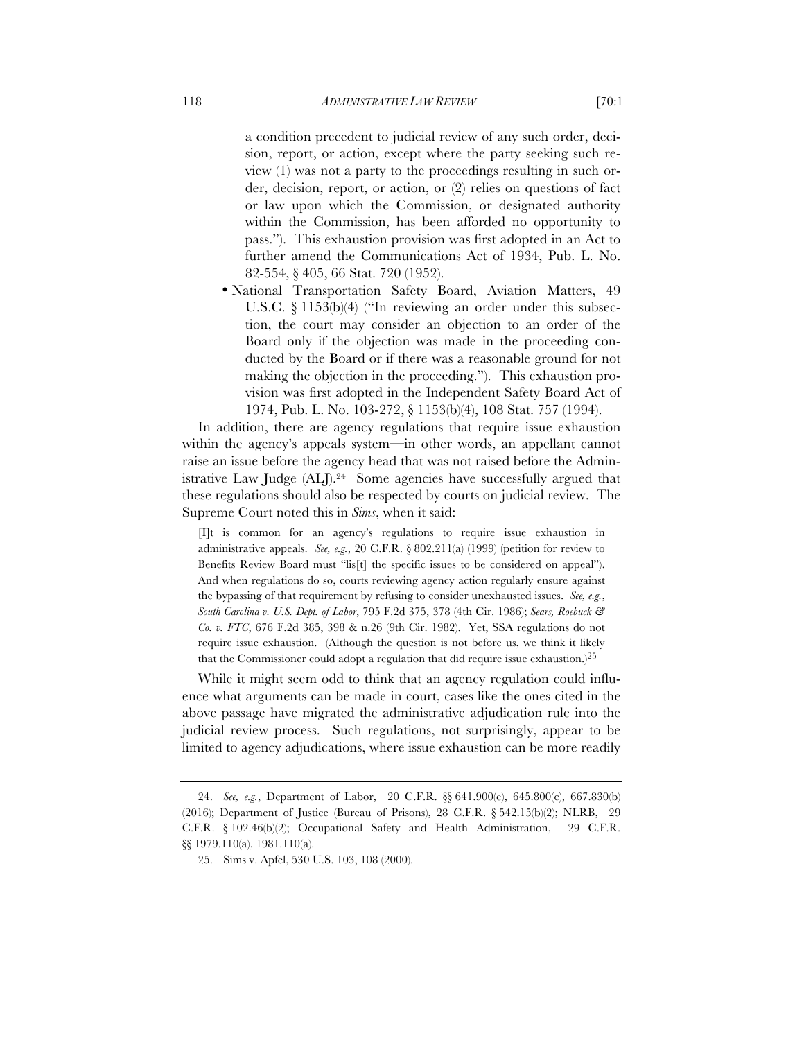a condition precedent to judicial review of any such order, decision, report, or action, except where the party seeking such review (1) was not a party to the proceedings resulting in such order, decision, report, or action, or (2) relies on questions of fact or law upon which the Commission, or designated authority within the Commission, has been afforded no opportunity to pass."). This exhaustion provision was first adopted in an Act to further amend the Communications Act of 1934, Pub. L. No. 82-554, § 405, 66 Stat. 720 (1952).

• National Transportation Safety Board, Aviation Matters, 49 U.S.C. § 1153(b)(4) ("In reviewing an order under this subsection, the court may consider an objection to an order of the Board only if the objection was made in the proceeding conducted by the Board or if there was a reasonable ground for not making the objection in the proceeding.").This exhaustion provision was first adopted in the Independent Safety Board Act of 1974, Pub. L. No. 103-272, § 1153(b)(4), 108 Stat. 757 (1994).

In addition, there are agency regulations that require issue exhaustion within the agency's appeals system—in other words, an appellant cannot raise an issue before the agency head that was not raised before the Administrative Law Judge (ALJ).24 Some agencies have successfully argued that these regulations should also be respected by courts on judicial review. The Supreme Court noted this in *Sims*, when it said:

[I]t is common for an agency's regulations to require issue exhaustion in administrative appeals. *See, e.g.*, 20 C.F.R. § 802.211(a) (1999) (petition for review to Benefits Review Board must "lis[t] the specific issues to be considered on appeal"). And when regulations do so, courts reviewing agency action regularly ensure against the bypassing of that requirement by refusing to consider unexhausted issues. *See, e.g.*, *South Carolina v. U.S. Dept. of Labor*, 795 F.2d 375, 378 (4th Cir. 1986); *Sears, Roebuck & Co. v. FTC*, 676 F.2d 385, 398 & n.26 (9th Cir. 1982). Yet, SSA regulations do not require issue exhaustion. (Although the question is not before us, we think it likely that the Commissioner could adopt a regulation that did require issue exhaustion.)25

While it might seem odd to think that an agency regulation could influence what arguments can be made in court, cases like the ones cited in the above passage have migrated the administrative adjudication rule into the judicial review process. Such regulations, not surprisingly, appear to be limited to agency adjudications, where issue exhaustion can be more readily

<sup>24.</sup> *See, e.g.*, Department of Labor, 20 C.F.R. §§ 641.900(e), 645.800(c), 667.830(b) (2016); Department of Justice (Bureau of Prisons), 28 C.F.R. § 542.15(b)(2); NLRB, 29 C.F.R. § 102.46(b)(2); Occupational Safety and Health Administration, 29 C.F.R. §§ 1979.110(a), 1981.110(a).

<sup>25.</sup> Sims v. Apfel, 530 U.S. 103, 108 (2000).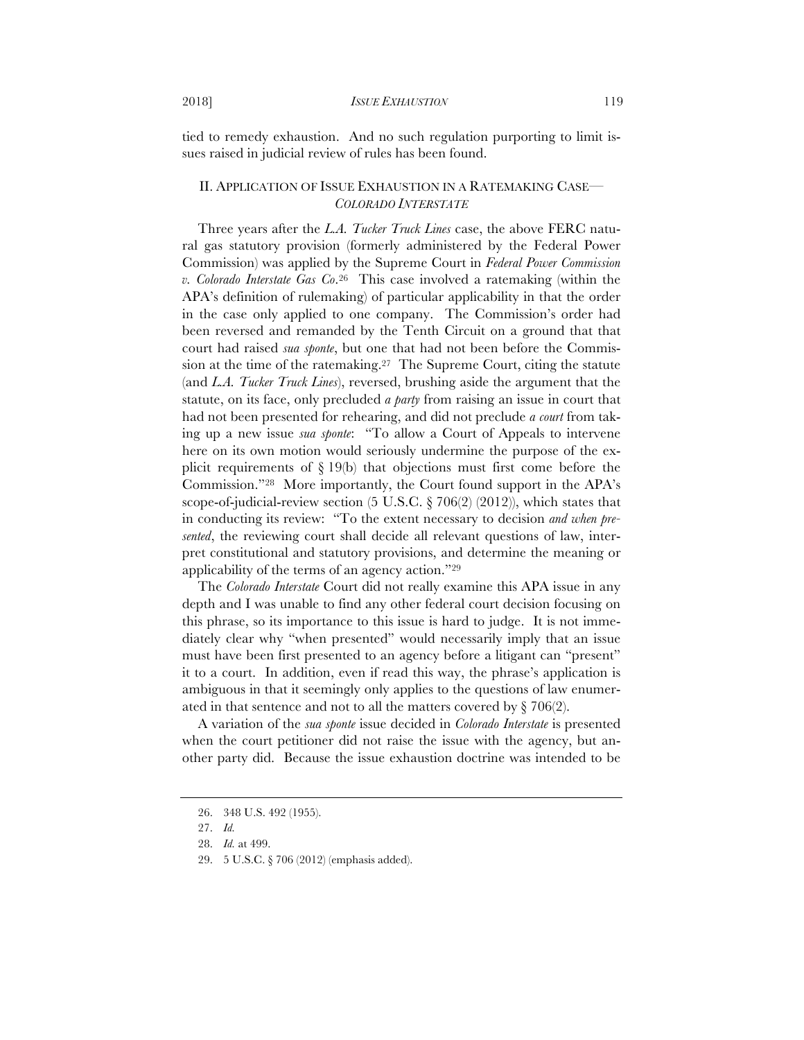tied to remedy exhaustion. And no such regulation purporting to limit issues raised in judicial review of rules has been found.

# II. APPLICATION OF ISSUE EXHAUSTION IN A RATEMAKING CASE— *COLORADO INTERSTATE*

Three years after the *L.A. Tucker Truck Lines* case, the above FERC natural gas statutory provision (formerly administered by the Federal Power Commission) was applied by the Supreme Court in *Federal Power Commission v. Colorado Interstate Gas Co*.26 This case involved a ratemaking (within the APA's definition of rulemaking) of particular applicability in that the order in the case only applied to one company. The Commission's order had been reversed and remanded by the Tenth Circuit on a ground that that court had raised *sua sponte*, but one that had not been before the Commission at the time of the ratemaking.27 The Supreme Court, citing the statute (and *L.A. Tucker Truck Lines*), reversed, brushing aside the argument that the statute, on its face, only precluded *a party* from raising an issue in court that had not been presented for rehearing, and did not preclude *a court* from taking up a new issue *sua sponte*: "To allow a Court of Appeals to intervene here on its own motion would seriously undermine the purpose of the explicit requirements of § 19(b) that objections must first come before the Commission."28 More importantly, the Court found support in the APA's scope-of-judicial-review section (5 U.S.C. § 706(2) (2012)), which states that in conducting its review: "To the extent necessary to decision *and when presented*, the reviewing court shall decide all relevant questions of law, interpret constitutional and statutory provisions, and determine the meaning or applicability of the terms of an agency action."29

The *Colorado Interstate* Court did not really examine this APA issue in any depth and I was unable to find any other federal court decision focusing on this phrase, so its importance to this issue is hard to judge. It is not immediately clear why "when presented" would necessarily imply that an issue must have been first presented to an agency before a litigant can "present" it to a court. In addition, even if read this way, the phrase's application is ambiguous in that it seemingly only applies to the questions of law enumerated in that sentence and not to all the matters covered by  $\S 706(2)$ .

A variation of the *sua sponte* issue decided in *Colorado Interstate* is presented when the court petitioner did not raise the issue with the agency, but another party did. Because the issue exhaustion doctrine was intended to be

<sup>26.</sup> 348 U.S. 492 (1955).

<sup>27.</sup> *Id.*

<sup>28.</sup> *Id.* at 499.

<sup>29.</sup> 5 U.S.C. § 706 (2012) (emphasis added).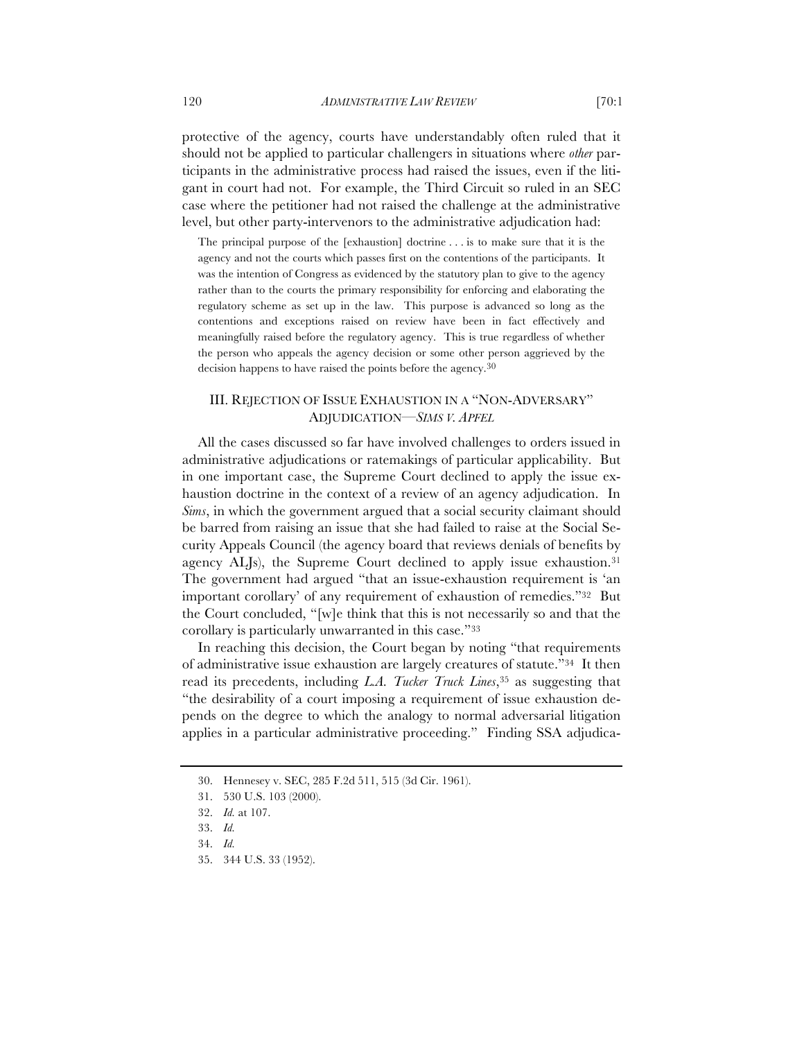protective of the agency, courts have understandably often ruled that it should not be applied to particular challengers in situations where *other* participants in the administrative process had raised the issues, even if the litigant in court had not. For example, the Third Circuit so ruled in an SEC case where the petitioner had not raised the challenge at the administrative level, but other party-intervenors to the administrative adjudication had:

The principal purpose of the [exhaustion] doctrine . . . is to make sure that it is the agency and not the courts which passes first on the contentions of the participants. It was the intention of Congress as evidenced by the statutory plan to give to the agency rather than to the courts the primary responsibility for enforcing and elaborating the regulatory scheme as set up in the law. This purpose is advanced so long as the contentions and exceptions raised on review have been in fact effectively and meaningfully raised before the regulatory agency. This is true regardless of whether the person who appeals the agency decision or some other person aggrieved by the decision happens to have raised the points before the agency.30

# III. REJECTION OF ISSUE EXHAUSTION IN A "NON-ADVERSARY" ADJUDICATION—*SIMS V. APFEL*

All the cases discussed so far have involved challenges to orders issued in administrative adjudications or ratemakings of particular applicability. But in one important case, the Supreme Court declined to apply the issue exhaustion doctrine in the context of a review of an agency adjudication. In *Sims*, in which the government argued that a social security claimant should be barred from raising an issue that she had failed to raise at the Social Security Appeals Council (the agency board that reviews denials of benefits by agency ALJs), the Supreme Court declined to apply issue exhaustion.<sup>31</sup> The government had argued "that an issue-exhaustion requirement is 'an important corollary' of any requirement of exhaustion of remedies."32 But the Court concluded, "[w]e think that this is not necessarily so and that the corollary is particularly unwarranted in this case."33

In reaching this decision, the Court began by noting "that requirements of administrative issue exhaustion are largely creatures of statute."34 It then read its precedents, including *L.A. Tucker Truck Lines*,35 as suggesting that "the desirability of a court imposing a requirement of issue exhaustion depends on the degree to which the analogy to normal adversarial litigation applies in a particular administrative proceeding." Finding SSA adjudica-

<sup>30.</sup> Hennesey v. SEC, 285 F.2d 511, 515 (3d Cir. 1961).

<sup>31.</sup> 530 U.S. 103 (2000).

<sup>32.</sup> *Id.* at 107.

<sup>33.</sup> *Id.*

<sup>34.</sup> *Id.*

<sup>35.</sup> 344 U.S. 33 (1952).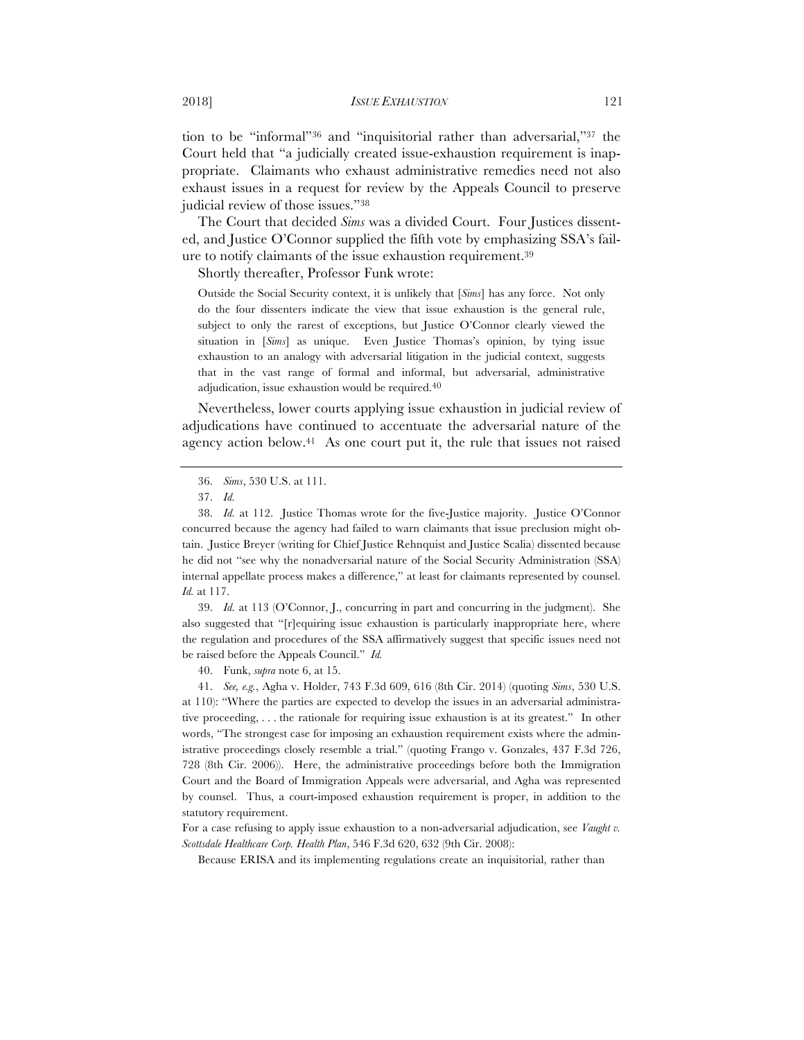tion to be "informal"36 and "inquisitorial rather than adversarial,"37 the Court held that "a judicially created issue-exhaustion requirement is inappropriate. Claimants who exhaust administrative remedies need not also exhaust issues in a request for review by the Appeals Council to preserve judicial review of those issues."38

The Court that decided *Sims* was a divided Court. Four Justices dissented, and Justice O'Connor supplied the fifth vote by emphasizing SSA's failure to notify claimants of the issue exhaustion requirement.39

Shortly thereafter, Professor Funk wrote:

Outside the Social Security context, it is unlikely that [*Sims*] has any force. Not only do the four dissenters indicate the view that issue exhaustion is the general rule, subject to only the rarest of exceptions, but Justice O'Connor clearly viewed the situation in [*Sims*] as unique. Even Justice Thomas's opinion, by tying issue exhaustion to an analogy with adversarial litigation in the judicial context, suggests that in the vast range of formal and informal, but adversarial, administrative adjudication, issue exhaustion would be required.40

Nevertheless, lower courts applying issue exhaustion in judicial review of adjudications have continued to accentuate the adversarial nature of the agency action below.<sup>41</sup> As one court put it, the rule that issues not raised

36. *Sims*, 530 U.S. at 111.

39. *Id.* at 113 (O'Connor, J., concurring in part and concurring in the judgment). She also suggested that "[r]equiring issue exhaustion is particularly inappropriate here, where the regulation and procedures of the SSA affirmatively suggest that specific issues need not be raised before the Appeals Council." *Id.*

40. Funk, *supra* note 6, at 15.

41. *See, e.g.*, Agha v. Holder, 743 F.3d 609, 616 (8th Cir. 2014) (quoting *Sims*, 530 U.S. at 110): "Where the parties are expected to develop the issues in an adversarial administrative proceeding, . . . the rationale for requiring issue exhaustion is at its greatest." In other words, "The strongest case for imposing an exhaustion requirement exists where the administrative proceedings closely resemble a trial." (quoting Frango v. Gonzales, 437 F.3d 726, 728 (8th Cir. 2006)). Here, the administrative proceedings before both the Immigration Court and the Board of Immigration Appeals were adversarial, and Agha was represented by counsel. Thus, a court-imposed exhaustion requirement is proper, in addition to the statutory requirement.

For a case refusing to apply issue exhaustion to a non-adversarial adjudication, see *Vaught v. Scottsdale Healthcare Corp. Health Plan*, 546 F.3d 620, 632 (9th Cir. 2008):

Because ERISA and its implementing regulations create an inquisitorial, rather than

<sup>37.</sup> *Id.*

<sup>38.</sup> *Id.* at 112. Justice Thomas wrote for the five-Justice majority. Justice O'Connor concurred because the agency had failed to warn claimants that issue preclusion might obtain. Justice Breyer (writing for Chief Justice Rehnquist and Justice Scalia) dissented because he did not "see why the nonadversarial nature of the Social Security Administration (SSA) internal appellate process makes a difference," at least for claimants represented by counsel. *Id.* at 117.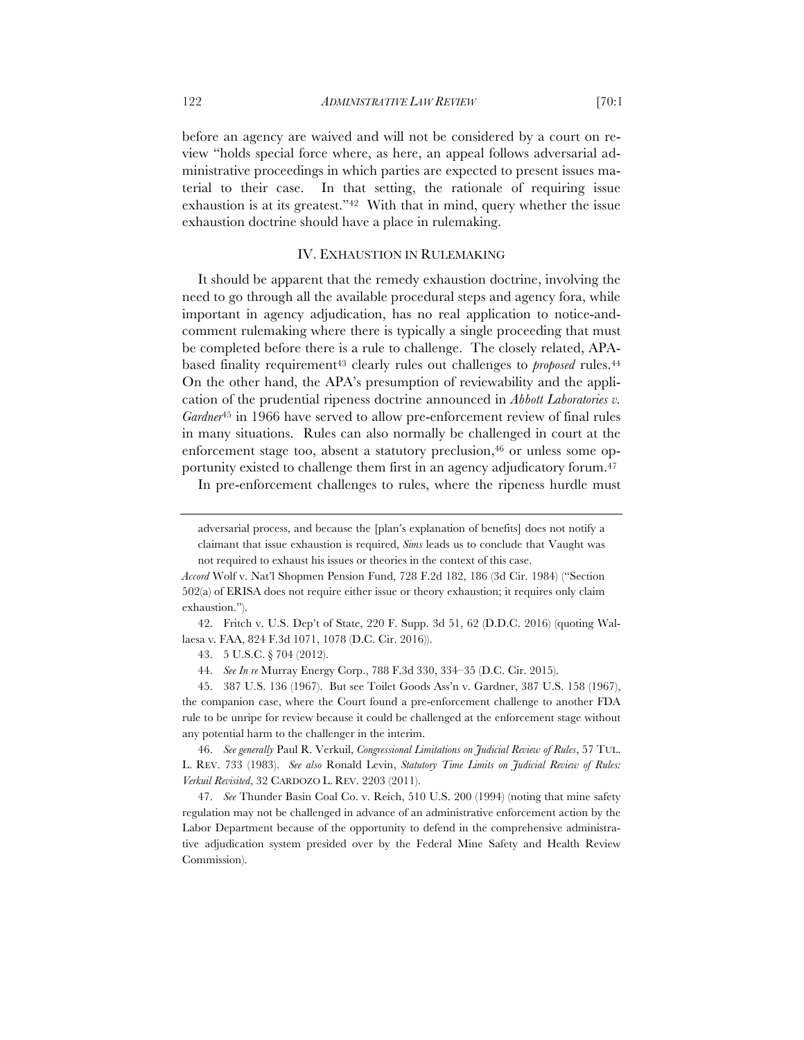before an agency are waived and will not be considered by a court on review "holds special force where, as here, an appeal follows adversarial administrative proceedings in which parties are expected to present issues material to their case. In that setting, the rationale of requiring issue exhaustion is at its greatest."42 With that in mind, query whether the issue exhaustion doctrine should have a place in rulemaking.

#### IV. EXHAUSTION IN RULEMAKING

It should be apparent that the remedy exhaustion doctrine, involving the need to go through all the available procedural steps and agency fora, while important in agency adjudication, has no real application to notice-andcomment rulemaking where there is typically a single proceeding that must be completed before there is a rule to challenge. The closely related, APAbased finality requirement<sup>43</sup> clearly rules out challenges to *proposed* rules.<sup>44</sup> On the other hand, the APA's presumption of reviewability and the application of the prudential ripeness doctrine announced in *Abbott Laboratories v. Gardner*<sup>45</sup> in 1966 have served to allow pre-enforcement review of final rules in many situations. Rules can also normally be challenged in court at the enforcement stage too, absent a statutory preclusion, $46$  or unless some opportunity existed to challenge them first in an agency adjudicatory forum.47

In pre-enforcement challenges to rules, where the ripeness hurdle must

42. Fritch v. U.S. Dep't of State, 220 F. Supp. 3d 51, 62 (D.D.C. 2016) (quoting Wallaesa v. FAA, 824 F.3d 1071, 1078 (D.C. Cir. 2016)).

44. *See In re* Murray Energy Corp., 788 F.3d 330, 334–35 (D.C. Cir. 2015).

45. 387 U.S. 136 (1967). But see Toilet Goods Ass'n v. Gardner, 387 U.S. 158 (1967), the companion case, where the Court found a pre-enforcement challenge to another FDA rule to be unripe for review because it could be challenged at the enforcement stage without any potential harm to the challenger in the interim.

46. *See generally* Paul R. Verkuil, *Congressional Limitations on Judicial Review of Rules*, 57 TUL. L. REV. 733 (1983). *See also* Ronald Levin, *Statutory Time Limits on Judicial Review of Rules: Verkuil Revisited*, 32 CARDOZO L. REV. 2203 (2011).

47. *See* Thunder Basin Coal Co. v. Reich, 510 U.S. 200 (1994) (noting that mine safety regulation may not be challenged in advance of an administrative enforcement action by the Labor Department because of the opportunity to defend in the comprehensive administrative adjudication system presided over by the Federal Mine Safety and Health Review Commission).

adversarial process, and because the [plan's explanation of benefits] does not notify a claimant that issue exhaustion is required, *Sims* leads us to conclude that Vaught was not required to exhaust his issues or theories in the context of this case.

*Accord* Wolf v. Nat'l Shopmen Pension Fund, 728 F.2d 182, 186 (3d Cir. 1984) ("Section 502(a) of ERISA does not require either issue or theory exhaustion; it requires only claim exhaustion.").

<sup>43.</sup> 5 U.S.C. § 704 (2012).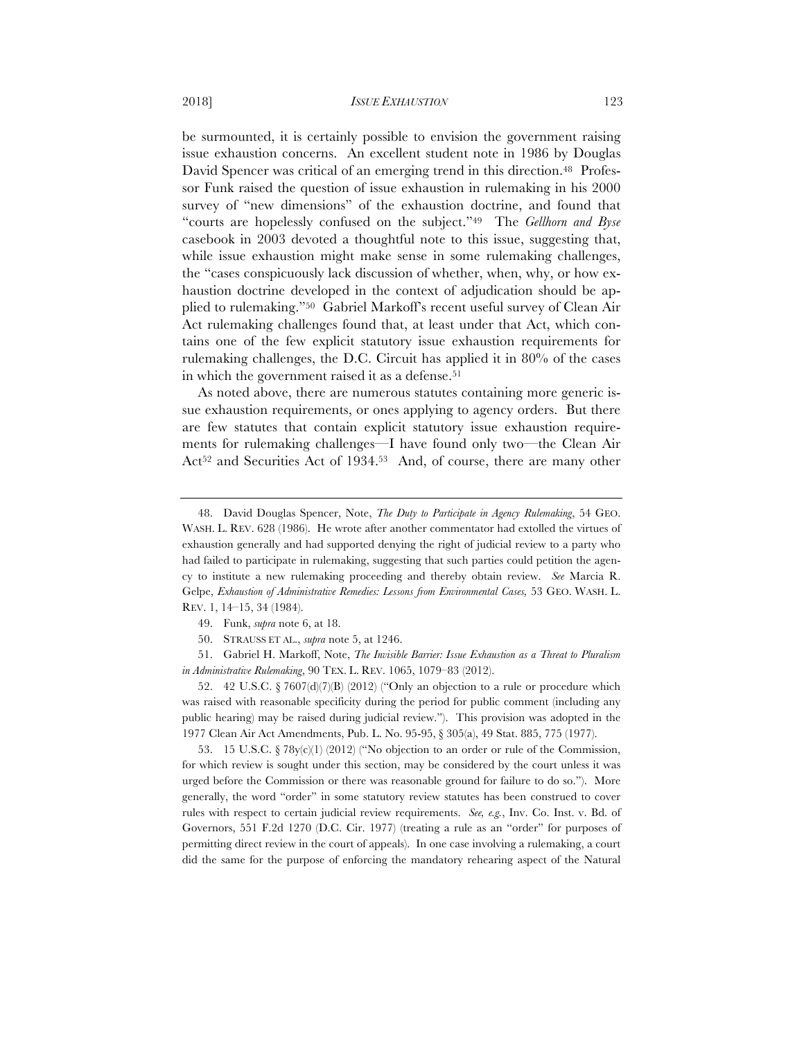be surmounted, it is certainly possible to envision the government raising issue exhaustion concerns. An excellent student note in 1986 by Douglas David Spencer was critical of an emerging trend in this direction.<sup>48</sup> Professor Funk raised the question of issue exhaustion in rulemaking in his 2000 survey of "new dimensions" of the exhaustion doctrine, and found that "courts are hopelessly confused on the subject."49 The *Gellhorn and Byse*  casebook in 2003 devoted a thoughtful note to this issue, suggesting that, while issue exhaustion might make sense in some rulemaking challenges, the "cases conspicuously lack discussion of whether, when, why, or how exhaustion doctrine developed in the context of adjudication should be applied to rulemaking."50 Gabriel Markoff's recent useful survey of Clean Air Act rulemaking challenges found that, at least under that Act, which contains one of the few explicit statutory issue exhaustion requirements for rulemaking challenges, the D.C. Circuit has applied it in 80% of the cases in which the government raised it as a defense.<sup>51</sup>

As noted above, there are numerous statutes containing more generic issue exhaustion requirements, or ones applying to agency orders. But there are few statutes that contain explicit statutory issue exhaustion requirements for rulemaking challenges—I have found only two—the Clean Air Act<sup>52</sup> and Securities Act of 1934.<sup>53</sup> And, of course, there are many other

50. STRAUSS ET AL., *supra* note 5, at 1246.

51. Gabriel H. Markoff, Note, *The Invisible Barrier: Issue Exhaustion as a Threat to Pluralism in Administrative Rulemaking*, 90 TEX. L. REV. 1065, 1079–83 (2012).

52. 42 U.S.C. § 7607(d)(7)(B) (2012) ("Only an objection to a rule or procedure which was raised with reasonable specificity during the period for public comment (including any public hearing) may be raised during judicial review."). This provision was adopted in the 1977 Clean Air Act Amendments, Pub. L. No. 95-95, § 305(a), 49 Stat. 885, 775 (1977).

53. 15 U.S.C. § 78y(c)(1) (2012) ("No objection to an order or rule of the Commission, for which review is sought under this section, may be considered by the court unless it was urged before the Commission or there was reasonable ground for failure to do so."). More generally, the word "order" in some statutory review statutes has been construed to cover rules with respect to certain judicial review requirements. *See, e.g.*, Inv. Co. Inst. v. Bd. of Governors, 551 F.2d 1270 (D.C. Cir. 1977) (treating a rule as an "order" for purposes of permitting direct review in the court of appeals). In one case involving a rulemaking, a court did the same for the purpose of enforcing the mandatory rehearing aspect of the Natural

<sup>48.</sup> David Douglas Spencer, Note, *The Duty to Participate in Agency Rulemaking*, 54 GEO. WASH. L. REV. 628 (1986). He wrote after another commentator had extolled the virtues of exhaustion generally and had supported denying the right of judicial review to a party who had failed to participate in rulemaking, suggesting that such parties could petition the agency to institute a new rulemaking proceeding and thereby obtain review. *See* Marcia R. Gelpe, *Exhaustion of Administrative Remedies: Lessons from Environmental Cases,* 53 GEO. WASH. L. REV. 1, 14–15, 34 (1984).

<sup>49.</sup> Funk, *supra* note 6, at 18.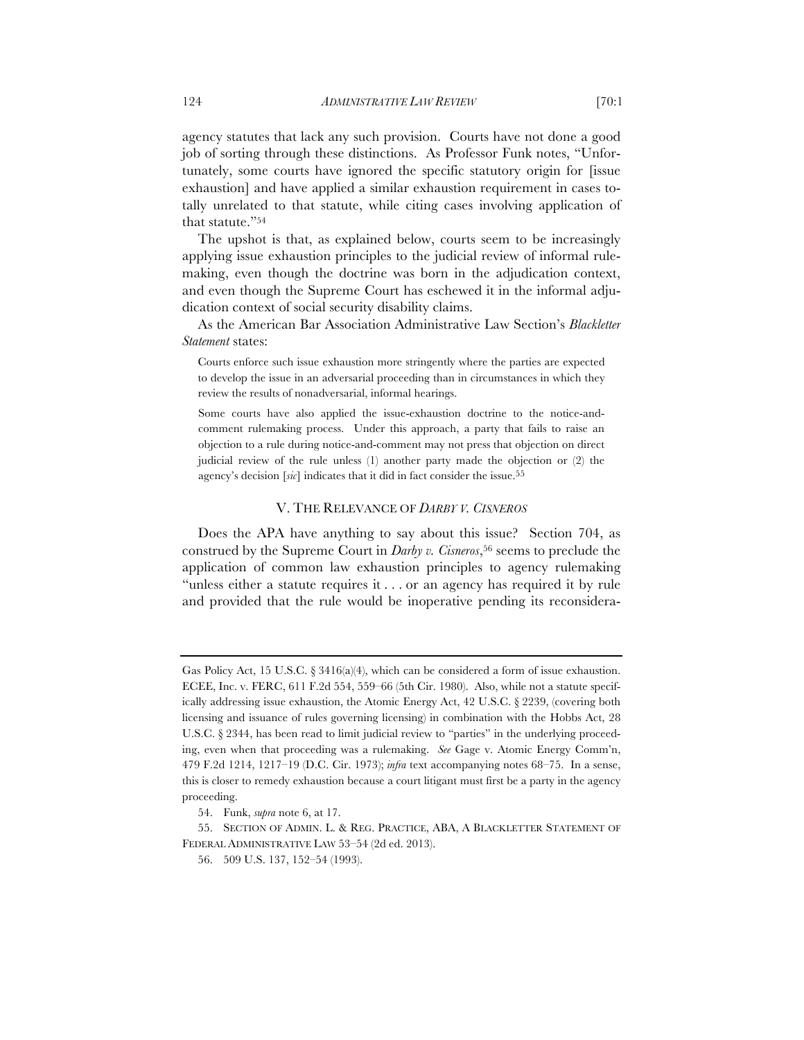agency statutes that lack any such provision. Courts have not done a good job of sorting through these distinctions. As Professor Funk notes, "Unfortunately, some courts have ignored the specific statutory origin for [issue exhaustion] and have applied a similar exhaustion requirement in cases totally unrelated to that statute, while citing cases involving application of that statute."54

The upshot is that, as explained below, courts seem to be increasingly applying issue exhaustion principles to the judicial review of informal rulemaking, even though the doctrine was born in the adjudication context, and even though the Supreme Court has eschewed it in the informal adjudication context of social security disability claims.

As the American Bar Association Administrative Law Section's *Blackletter Statement* states:

Courts enforce such issue exhaustion more stringently where the parties are expected to develop the issue in an adversarial proceeding than in circumstances in which they review the results of nonadversarial, informal hearings.

Some courts have also applied the issue-exhaustion doctrine to the notice-andcomment rulemaking process. Under this approach, a party that fails to raise an objection to a rule during notice-and-comment may not press that objection on direct judicial review of the rule unless (1) another party made the objection or (2) the agency's decision [*sic*] indicates that it did in fact consider the issue.55

#### V. THE RELEVANCE OF *DARBY V. CISNEROS*

Does the APA have anything to say about this issue? Section 704, as construed by the Supreme Court in *Darby v. Cisneros*,56 seems to preclude the application of common law exhaustion principles to agency rulemaking "unless either a statute requires it . . . or an agency has required it by rule and provided that the rule would be inoperative pending its reconsidera-

Gas Policy Act, 15 U.S.C. § 3416(a)(4), which can be considered a form of issue exhaustion. ECEE, Inc. v. FERC, 611 F.2d 554, 559–66 (5th Cir. 1980). Also, while not a statute specifically addressing issue exhaustion, the Atomic Energy Act, 42 U.S.C. § 2239, (covering both licensing and issuance of rules governing licensing) in combination with the Hobbs Act, 28 U.S.C. § 2344, has been read to limit judicial review to "parties" in the underlying proceeding, even when that proceeding was a rulemaking. *See* Gage v. Atomic Energy Comm'n, 479 F.2d 1214, 1217–19 (D.C. Cir. 1973); *infra* text accompanying notes 68–75. In a sense, this is closer to remedy exhaustion because a court litigant must first be a party in the agency proceeding.

<sup>54.</sup> Funk, *supra* note 6, at 17.

<sup>55.</sup> SECTION OF ADMIN. L. & REG. PRACTICE, ABA, A BLACKLETTER STATEMENT OF FEDERAL ADMINISTRATIVE LAW 53–54 (2d ed. 2013).

<sup>56.</sup> 509 U.S. 137, 152–54 (1993).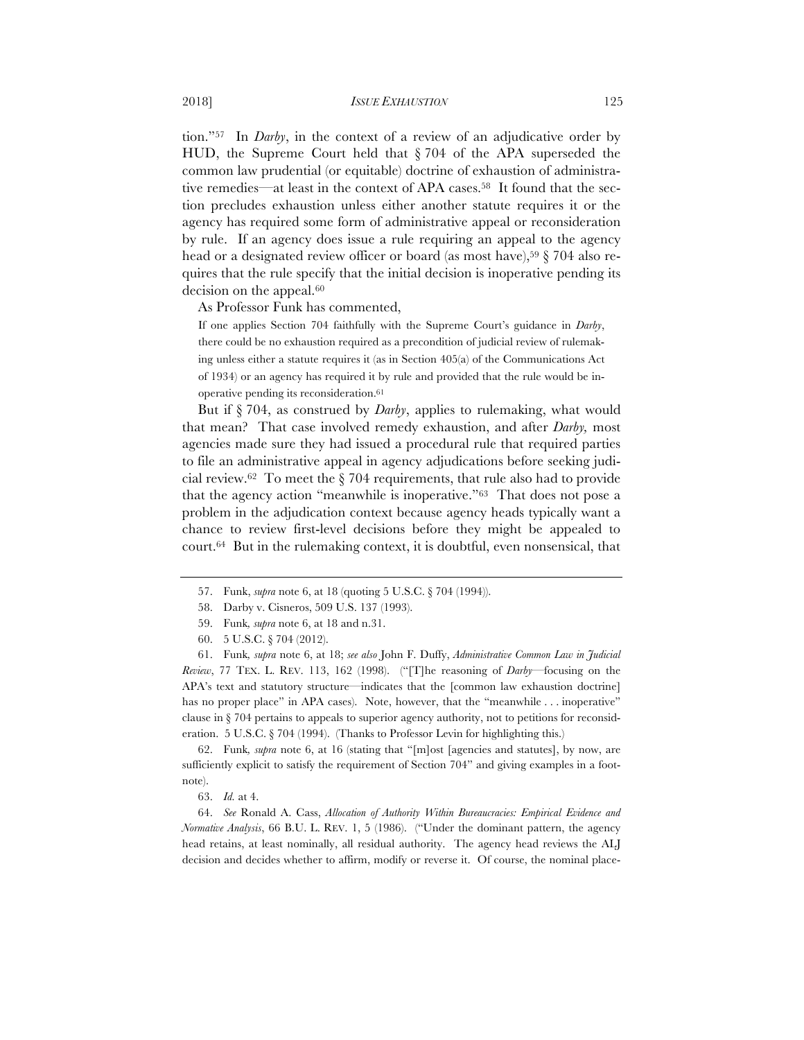tion."57 In *Darby*, in the context of a review of an adjudicative order by HUD, the Supreme Court held that § 704 of the APA superseded the common law prudential (or equitable) doctrine of exhaustion of administrative remedies—at least in the context of APA cases.58 It found that the section precludes exhaustion unless either another statute requires it or the agency has required some form of administrative appeal or reconsideration by rule. If an agency does issue a rule requiring an appeal to the agency head or a designated review officer or board (as most have),<sup>59</sup> § 704 also requires that the rule specify that the initial decision is inoperative pending its decision on the appeal.<sup>60</sup>

As Professor Funk has commented,

If one applies Section 704 faithfully with the Supreme Court's guidance in *Darby*, there could be no exhaustion required as a precondition of judicial review of rulemaking unless either a statute requires it (as in Section 405(a) of the Communications Act of 1934) or an agency has required it by rule and provided that the rule would be inoperative pending its reconsideration.61

But if § 704, as construed by *Darby*, applies to rulemaking, what would that mean? That case involved remedy exhaustion, and after *Darby,* most agencies made sure they had issued a procedural rule that required parties to file an administrative appeal in agency adjudications before seeking judicial review.62 To meet the § 704 requirements, that rule also had to provide that the agency action "meanwhile is inoperative."63 That does not pose a problem in the adjudication context because agency heads typically want a chance to review first-level decisions before they might be appealed to court.64 But in the rulemaking context, it is doubtful, even nonsensical, that

61. Funk*, supra* note 6, at 18; *see also* John F. Duffy, *Administrative Common Law in Judicial Review*, 77 TEX. L. REV. 113, 162 (1998). ("[T]he reasoning of *Darby*—focusing on the APA's text and statutory structure—indicates that the [common law exhaustion doctrine] has no proper place" in APA cases). Note, however, that the "meanwhile . . . inoperative" clause in § 704 pertains to appeals to superior agency authority, not to petitions for reconsideration. 5 U.S.C. § 704 (1994). (Thanks to Professor Levin for highlighting this.)

62. Funk*, supra* note 6, at 16 (stating that "[m]ost [agencies and statutes], by now, are sufficiently explicit to satisfy the requirement of Section 704" and giving examples in a footnote).

64. *See* Ronald A. Cass, *Allocation of Authority Within Bureaucracies: Empirical Evidence and Normative Analysis*, 66 B.U. L. REV. 1, 5 (1986). ("Under the dominant pattern, the agency head retains, at least nominally, all residual authority. The agency head reviews the ALJ decision and decides whether to affirm, modify or reverse it. Of course, the nominal place-

<sup>57.</sup> Funk, *supra* note 6, at 18 (quoting 5 U.S.C. § 704 (1994)).

<sup>58.</sup> Darby v. Cisneros, 509 U.S. 137 (1993).

<sup>59.</sup> Funk*, supra* note 6, at 18 and n.31.

<sup>60.</sup> 5 U.S.C. § 704 (2012).

<sup>63.</sup> *Id.* at 4.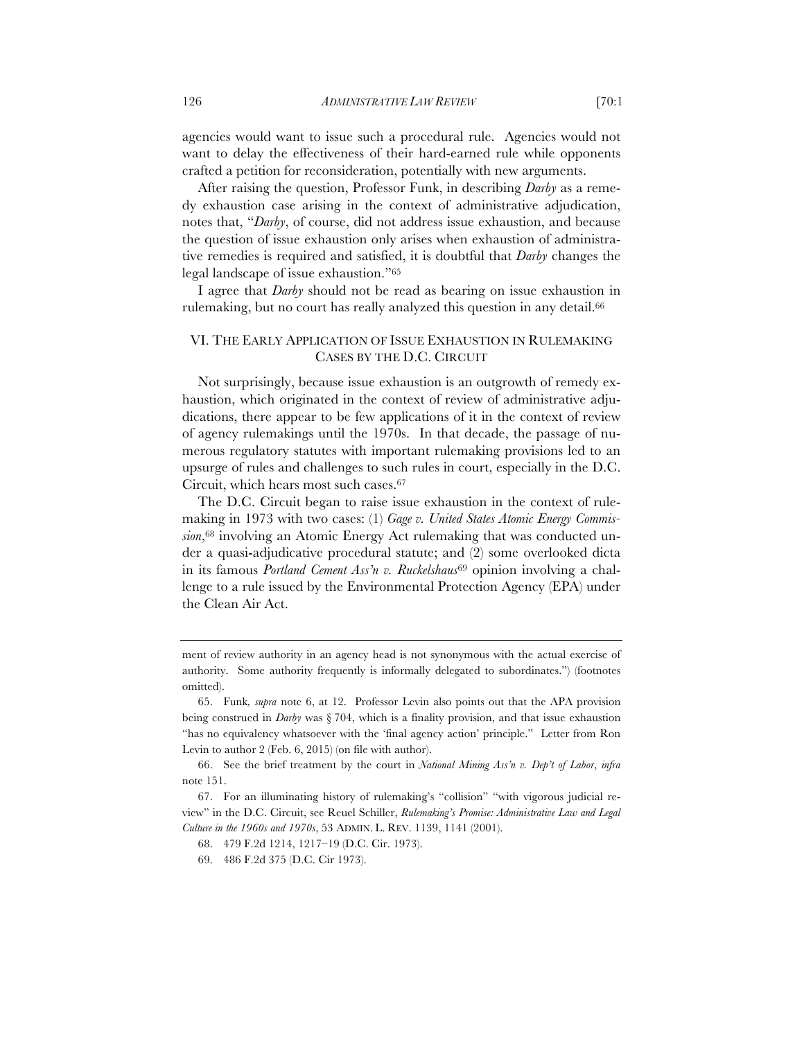agencies would want to issue such a procedural rule. Agencies would not want to delay the effectiveness of their hard-earned rule while opponents crafted a petition for reconsideration, potentially with new arguments.

After raising the question, Professor Funk, in describing *Darby* as a remedy exhaustion case arising in the context of administrative adjudication, notes that, "*Darby*, of course, did not address issue exhaustion, and because the question of issue exhaustion only arises when exhaustion of administrative remedies is required and satisfied, it is doubtful that *Darby* changes the legal landscape of issue exhaustion."65

I agree that *Darby* should not be read as bearing on issue exhaustion in rulemaking, but no court has really analyzed this question in any detail.<sup>66</sup>

# VI. THE EARLY APPLICATION OF ISSUE EXHAUSTION IN RULEMAKING CASES BY THE D.C. CIRCUIT

Not surprisingly, because issue exhaustion is an outgrowth of remedy exhaustion, which originated in the context of review of administrative adjudications, there appear to be few applications of it in the context of review of agency rulemakings until the 1970s. In that decade, the passage of numerous regulatory statutes with important rulemaking provisions led to an upsurge of rules and challenges to such rules in court, especially in the D.C. Circuit, which hears most such cases.67

The D.C. Circuit began to raise issue exhaustion in the context of rulemaking in 1973 with two cases: (1) *Gage v. United States Atomic Energy Commission*,68 involving an Atomic Energy Act rulemaking that was conducted under a quasi-adjudicative procedural statute; and (2) some overlooked dicta in its famous *Portland Cement Ass'n v. Ruckelshaus*<sup>69</sup> opinion involving a challenge to a rule issued by the Environmental Protection Agency (EPA) under the Clean Air Act.

ment of review authority in an agency head is not synonymous with the actual exercise of authority. Some authority frequently is informally delegated to subordinates.") (footnotes omitted).

<sup>65.</sup> Funk*, supra* note 6, at 12. Professor Levin also points out that the APA provision being construed in *Darby* was § 704, which is a finality provision, and that issue exhaustion "has no equivalency whatsoever with the 'final agency action' principle." Letter from Ron Levin to author 2 (Feb. 6, 2015) (on file with author).

<sup>66.</sup> See the brief treatment by the court in *National Mining Ass'n v. Dep't of Labor*, *infra* note 151.

<sup>67.</sup> For an illuminating history of rulemaking's "collision" "with vigorous judicial review" in the D.C. Circuit, see Reuel Schiller, *Rulemaking's Promise: Administrative Law and Legal Culture in the 1960s and 1970s*, 53 ADMIN. L. REV. 1139, 1141 (2001).

<sup>68.</sup> 479 F.2d 1214, 1217–19 (D.C. Cir. 1973).

<sup>69.</sup> 486 F.2d 375 (D.C. Cir 1973).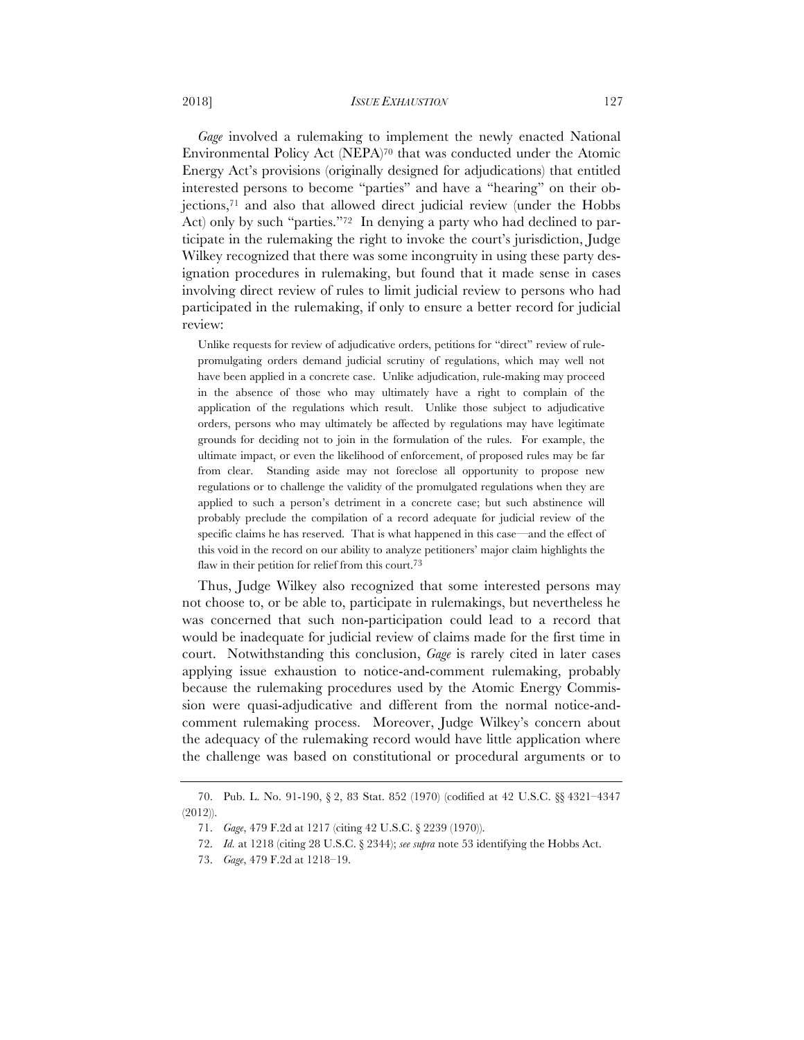#### 2018] *ISSUE EXHAUSTION* 127

*Gage* involved a rulemaking to implement the newly enacted National Environmental Policy Act (NEPA)70 that was conducted under the Atomic Energy Act's provisions (originally designed for adjudications) that entitled interested persons to become "parties" and have a "hearing" on their objections,71 and also that allowed direct judicial review (under the Hobbs Act) only by such "parties."<sup>72</sup> In denying a party who had declined to participate in the rulemaking the right to invoke the court's jurisdiction, Judge Wilkey recognized that there was some incongruity in using these party designation procedures in rulemaking, but found that it made sense in cases involving direct review of rules to limit judicial review to persons who had participated in the rulemaking, if only to ensure a better record for judicial review:

Unlike requests for review of adjudicative orders, petitions for "direct" review of rulepromulgating orders demand judicial scrutiny of regulations, which may well not have been applied in a concrete case. Unlike adjudication, rule-making may proceed in the absence of those who may ultimately have a right to complain of the application of the regulations which result. Unlike those subject to adjudicative orders, persons who may ultimately be affected by regulations may have legitimate grounds for deciding not to join in the formulation of the rules. For example, the ultimate impact, or even the likelihood of enforcement, of proposed rules may be far from clear. Standing aside may not foreclose all opportunity to propose new regulations or to challenge the validity of the promulgated regulations when they are applied to such a person's detriment in a concrete case; but such abstinence will probably preclude the compilation of a record adequate for judicial review of the specific claims he has reserved. That is what happened in this case—and the effect of this void in the record on our ability to analyze petitioners' major claim highlights the flaw in their petition for relief from this court.<sup>73</sup>

Thus, Judge Wilkey also recognized that some interested persons may not choose to, or be able to, participate in rulemakings, but nevertheless he was concerned that such non-participation could lead to a record that would be inadequate for judicial review of claims made for the first time in court. Notwithstanding this conclusion, *Gage* is rarely cited in later cases applying issue exhaustion to notice-and-comment rulemaking, probably because the rulemaking procedures used by the Atomic Energy Commission were quasi-adjudicative and different from the normal notice-andcomment rulemaking process. Moreover, Judge Wilkey's concern about the adequacy of the rulemaking record would have little application where the challenge was based on constitutional or procedural arguments or to

<sup>70.</sup> Pub. L. No. 91-190, § 2, 83 Stat. 852 (1970) (codified at 42 U.S.C. §§ 4321–4347 (2012)).

<sup>71.</sup> *Gage*, 479 F.2d at 1217 (citing 42 U.S.C. § 2239 (1970)).

<sup>72.</sup> *Id.* at 1218 (citing 28 U.S.C. § 2344); *see supra* note 53 identifying the Hobbs Act.

<sup>73.</sup> *Gage*, 479 F.2d at 1218–19.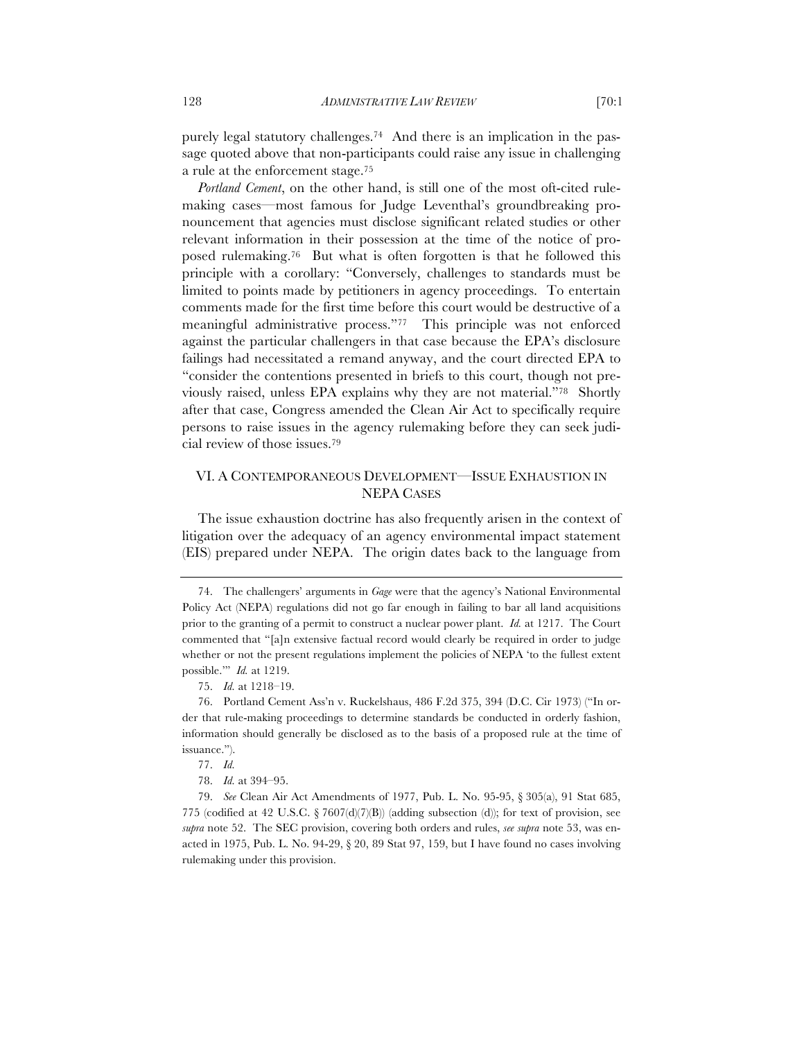purely legal statutory challenges.74 And there is an implication in the passage quoted above that non-participants could raise any issue in challenging a rule at the enforcement stage.75

*Portland Cement*, on the other hand, is still one of the most oft-cited rulemaking cases—most famous for Judge Leventhal's groundbreaking pronouncement that agencies must disclose significant related studies or other relevant information in their possession at the time of the notice of proposed rulemaking.76 But what is often forgotten is that he followed this principle with a corollary: "Conversely, challenges to standards must be limited to points made by petitioners in agency proceedings. To entertain comments made for the first time before this court would be destructive of a meaningful administrative process."77 This principle was not enforced against the particular challengers in that case because the EPA's disclosure failings had necessitated a remand anyway, and the court directed EPA to "consider the contentions presented in briefs to this court, though not previously raised, unless EPA explains why they are not material."78 Shortly after that case, Congress amended the Clean Air Act to specifically require persons to raise issues in the agency rulemaking before they can seek judicial review of those issues.79

# VI. A CONTEMPORANEOUS DEVELOPMENT—ISSUE EXHAUSTION IN NEPA CASES

The issue exhaustion doctrine has also frequently arisen in the context of litigation over the adequacy of an agency environmental impact statement (EIS) prepared under NEPA. The origin dates back to the language from

<sup>74.</sup> The challengers' arguments in *Gage* were that the agency's National Environmental Policy Act (NEPA) regulations did not go far enough in failing to bar all land acquisitions prior to the granting of a permit to construct a nuclear power plant. *Id.* at 1217. The Court commented that "[a]n extensive factual record would clearly be required in order to judge whether or not the present regulations implement the policies of NEPA 'to the fullest extent possible.'" *Id.* at 1219.

<sup>75.</sup> *Id.* at 1218–19.

<sup>76.</sup> Portland Cement Ass'n v. Ruckelshaus, 486 F.2d 375, 394 (D.C. Cir 1973) ("In order that rule-making proceedings to determine standards be conducted in orderly fashion, information should generally be disclosed as to the basis of a proposed rule at the time of issuance.").

<sup>77.</sup> *Id.* 

<sup>78.</sup> *Id.* at 394–95.

<sup>79.</sup> *See* Clean Air Act Amendments of 1977, Pub. L. No. 95-95, § 305(a), 91 Stat 685, 775 (codified at 42 U.S.C. § 7607(d)(7)(B)) (adding subsection (d)); for text of provision, see *supra* note 52. The SEC provision, covering both orders and rules, *see supra* note 53, was enacted in 1975, Pub. L. No. 94-29,  $\S 20$ , 89 Stat 97, 159, but I have found no cases involving rulemaking under this provision.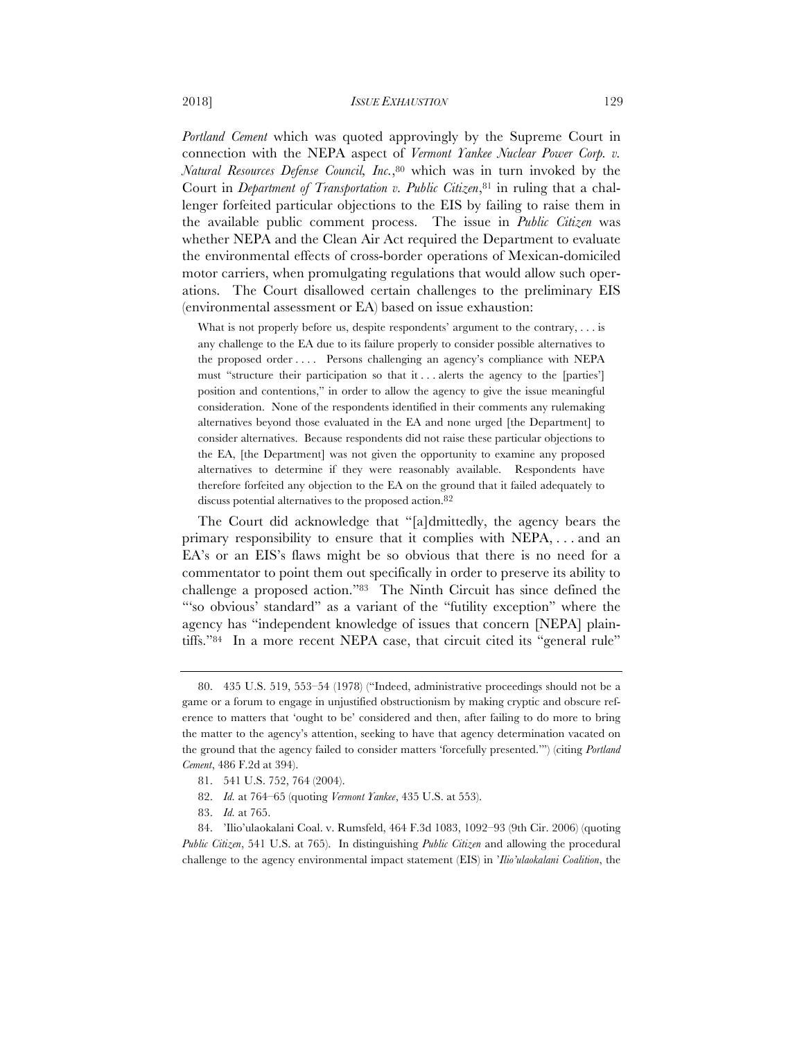*Portland Cement* which was quoted approvingly by the Supreme Court in connection with the NEPA aspect of *Vermont Yankee Nuclear Power Corp. v. Natural Resources Defense Council, Inc.*,80 which was in turn invoked by the Court in *Department of Transportation v. Public Citizen*,<sup>81</sup> in ruling that a challenger forfeited particular objections to the EIS by failing to raise them in the available public comment process. The issue in *Public Citizen* was whether NEPA and the Clean Air Act required the Department to evaluate the environmental effects of cross-border operations of Mexican-domiciled motor carriers, when promulgating regulations that would allow such operations. The Court disallowed certain challenges to the preliminary EIS (environmental assessment or EA) based on issue exhaustion:

What is not properly before us, despite respondents' argument to the contrary, . . . is any challenge to the EA due to its failure properly to consider possible alternatives to the proposed order . . . . Persons challenging an agency's compliance with NEPA must "structure their participation so that it . . . alerts the agency to the [parties'] position and contentions," in order to allow the agency to give the issue meaningful consideration. None of the respondents identified in their comments any rulemaking alternatives beyond those evaluated in the EA and none urged [the Department] to consider alternatives. Because respondents did not raise these particular objections to the EA, [the Department] was not given the opportunity to examine any proposed alternatives to determine if they were reasonably available. Respondents have therefore forfeited any objection to the EA on the ground that it failed adequately to discuss potential alternatives to the proposed action.82

The Court did acknowledge that "[a]dmittedly, the agency bears the primary responsibility to ensure that it complies with NEPA, . . . and an EA's or an EIS's flaws might be so obvious that there is no need for a commentator to point them out specifically in order to preserve its ability to challenge a proposed action."83 The Ninth Circuit has since defined the "'so obvious' standard" as a variant of the "futility exception" where the agency has "independent knowledge of issues that concern [NEPA] plaintiffs."84 In a more recent NEPA case, that circuit cited its "general rule"

<sup>80.</sup> 435 U.S. 519, 553–54 (1978) ("Indeed, administrative proceedings should not be a game or a forum to engage in unjustified obstructionism by making cryptic and obscure reference to matters that 'ought to be' considered and then, after failing to do more to bring the matter to the agency's attention, seeking to have that agency determination vacated on the ground that the agency failed to consider matters 'forcefully presented.'") (citing *Portland Cement*, 486 F.2d at 394).

<sup>81.</sup> 541 U.S. 752, 764 (2004).

<sup>82.</sup> *Id.* at 764–65 (quoting *Vermont Yankee*, 435 U.S. at 553).

<sup>83.</sup> *Id.* at 765.

<sup>84.</sup> 'Ilio'ulaokalani Coal. v. Rumsfeld, 464 F.3d 1083, 1092–93 (9th Cir. 2006) (quoting *Public Citizen*, 541 U.S. at 765). In distinguishing *Public Citizen* and allowing the procedural challenge to the agency environmental impact statement (EIS) in '*Ilio'ulaokalani Coalition*, the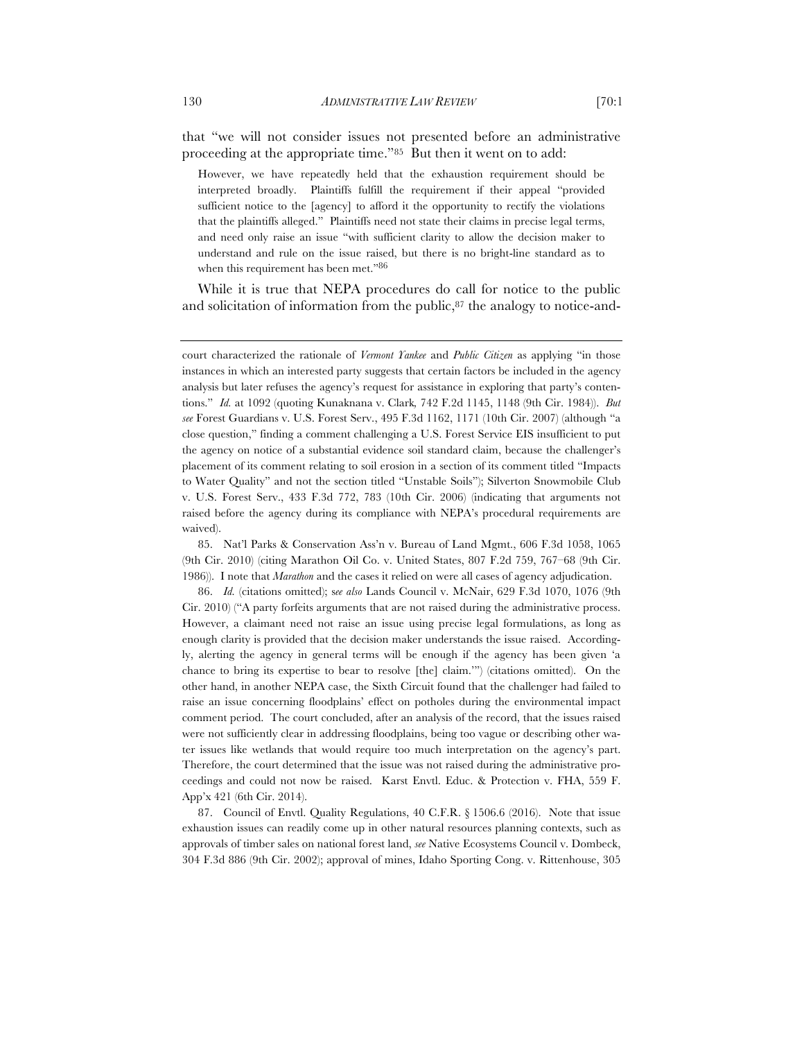that "we will not consider issues not presented before an administrative proceeding at the appropriate time."85 But then it went on to add:

However, we have repeatedly held that the exhaustion requirement should be interpreted broadly. Plaintiffs fulfill the requirement if their appeal "provided sufficient notice to the [agency] to afford it the opportunity to rectify the violations that the plaintiffs alleged." Plaintiffs need not state their claims in precise legal terms, and need only raise an issue "with sufficient clarity to allow the decision maker to understand and rule on the issue raised, but there is no bright-line standard as to when this requirement has been met."86

While it is true that NEPA procedures do call for notice to the public and solicitation of information from the public,<sup>87</sup> the analogy to notice-and-

85. Nat'l Parks & Conservation Ass'n v. Bureau of Land Mgmt., 606 F.3d 1058, 1065 (9th Cir. 2010) (citing Marathon Oil Co. v. United States, 807 F.2d 759, 767–68 (9th Cir. 1986)). I note that *Marathon* and the cases it relied on were all cases of agency adjudication.

86. *Id.* (citations omitted); s*ee also* Lands Council v. McNair, 629 F.3d 1070, 1076 (9th Cir. 2010) ("A party forfeits arguments that are not raised during the administrative process. However, a claimant need not raise an issue using precise legal formulations, as long as enough clarity is provided that the decision maker understands the issue raised. Accordingly, alerting the agency in general terms will be enough if the agency has been given 'a chance to bring its expertise to bear to resolve [the] claim.'") (citations omitted). On the other hand, in another NEPA case, the Sixth Circuit found that the challenger had failed to raise an issue concerning floodplains' effect on potholes during the environmental impact comment period. The court concluded, after an analysis of the record, that the issues raised were not sufficiently clear in addressing floodplains, being too vague or describing other water issues like wetlands that would require too much interpretation on the agency's part. Therefore, the court determined that the issue was not raised during the administrative proceedings and could not now be raised. Karst Envtl. Educ. & Protection v. FHA, 559 F. App'x 421 (6th Cir. 2014).

87. Council of Envtl. Quality Regulations, 40 C.F.R. § 1506.6 (2016). Note that issue exhaustion issues can readily come up in other natural resources planning contexts, such as approvals of timber sales on national forest land, *see* Native Ecosystems Council v. Dombeck, 304 F.3d 886 (9th Cir. 2002); approval of mines, Idaho Sporting Cong. v. Rittenhouse, 305

court characterized the rationale of *Vermont Yankee* and *Public Citizen* as applying "in those instances in which an interested party suggests that certain factors be included in the agency analysis but later refuses the agency's request for assistance in exploring that party's contentions." *Id.* at 1092 (quoting Kunaknana v. Clark*,* 742 F.2d 1145, 1148 (9th Cir. 1984)). *But see* Forest Guardians v. U.S. Forest Serv., 495 F.3d 1162, 1171 (10th Cir. 2007) (although "a close question," finding a comment challenging a U.S. Forest Service EIS insufficient to put the agency on notice of a substantial evidence soil standard claim, because the challenger's placement of its comment relating to soil erosion in a section of its comment titled "Impacts to Water Quality" and not the section titled "Unstable Soils"); Silverton Snowmobile Club v. U.S. Forest Serv., 433 F.3d 772, 783 (10th Cir. 2006) (indicating that arguments not raised before the agency during its compliance with NEPA's procedural requirements are waived).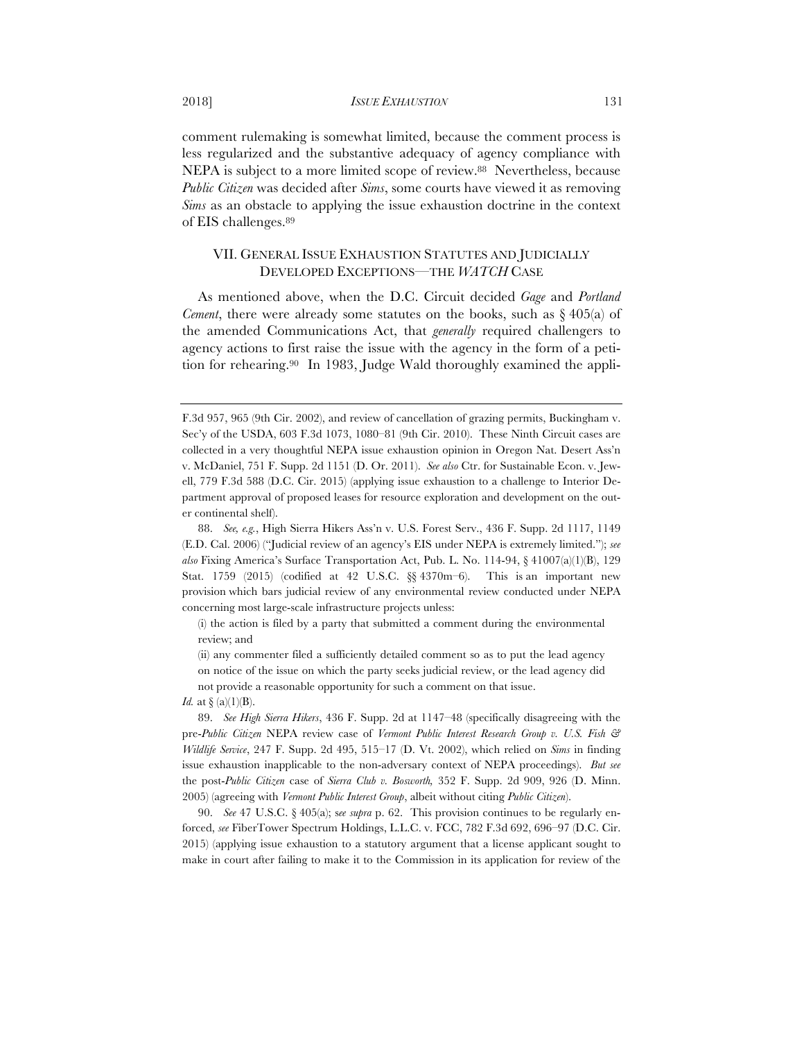comment rulemaking is somewhat limited, because the comment process is less regularized and the substantive adequacy of agency compliance with NEPA is subject to a more limited scope of review.88 Nevertheless, because *Public Citizen* was decided after *Sims*, some courts have viewed it as removing *Sims* as an obstacle to applying the issue exhaustion doctrine in the context of EIS challenges.89

# VII. GENERAL ISSUE EXHAUSTION STATUTES AND JUDICIALLY DEVELOPED EXCEPTIONS—THE *WATCH* CASE

As mentioned above, when the D.C. Circuit decided *Gage* and *Portland Cement*, there were already some statutes on the books, such as  $\S 405(a)$  of the amended Communications Act, that *generally* required challengers to agency actions to first raise the issue with the agency in the form of a petition for rehearing.90 In 1983, Judge Wald thoroughly examined the appli-

88. *See, e.g.*, High Sierra Hikers Ass'n v. U.S. Forest Serv., 436 F. Supp. 2d 1117, 1149 (E.D. Cal. 2006) ("Judicial review of an agency's EIS under NEPA is extremely limited."); *see also* Fixing America's Surface Transportation Act, Pub. L. No. 114-94, § 41007(a)(1)(B), 129 Stat. 1759 (2015) (codified at 42 U.S.C. §§ 4370m–6). This is an important new provision which bars judicial review of any environmental review conducted under NEPA concerning most large-scale infrastructure projects unless:

(ii) any commenter filed a sufficiently detailed comment so as to put the lead agency on notice of the issue on which the party seeks judicial review, or the lead agency did not provide a reasonable opportunity for such a comment on that issue.

*Id.* at  $\S$  (a)(1)(B).

89. *See High Sierra Hikers*, 436 F. Supp. 2d at 1147–48 (specifically disagreeing with the pre-*Public Citizen* NEPA review case of *Vermont Public Interest Research Group v. U.S. Fish & Wildlife Service*, 247 F. Supp. 2d 495, 515–17 (D. Vt. 2002), which relied on *Sims* in finding issue exhaustion inapplicable to the non-adversary context of NEPA proceedings). *But see* the post-*Public Citizen* case of *Sierra Club v. Bosworth,* 352 F. Supp. 2d 909, 926 (D. Minn. 2005) (agreeing with *Vermont Public Interest Group*, albeit without citing *Public Citizen*).

90. *See* 47 U.S.C. § 405(a); s*ee supra* p. 62. This provision continues to be regularly enforced, *see* FiberTower Spectrum Holdings, L.L.C. v. FCC, 782 F.3d 692, 696–97 (D.C. Cir. 2015) (applying issue exhaustion to a statutory argument that a license applicant sought to make in court after failing to make it to the Commission in its application for review of the

F.3d 957, 965 (9th Cir. 2002), and review of cancellation of grazing permits, Buckingham v. Sec'y of the USDA, 603 F.3d 1073, 1080–81 (9th Cir. 2010). These Ninth Circuit cases are collected in a very thoughtful NEPA issue exhaustion opinion in Oregon Nat. Desert Ass'n v. McDaniel, 751 F. Supp. 2d 1151 (D. Or. 2011). *See also* Ctr. for Sustainable Econ. v. Jewell, 779 F.3d 588 (D.C. Cir. 2015) (applying issue exhaustion to a challenge to Interior Department approval of proposed leases for resource exploration and development on the outer continental shelf).

<sup>(</sup>i) the action is filed by a party that submitted a comment during the environmental review; and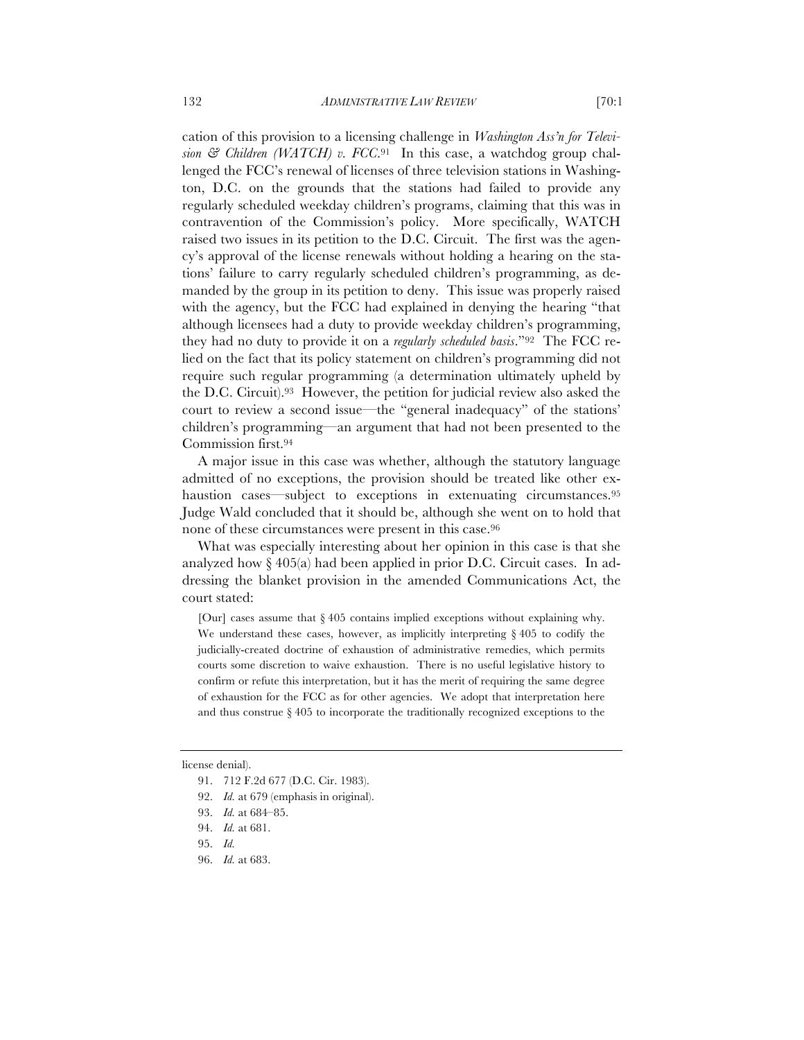cation of this provision to a licensing challenge in *Washington Ass'n for Television*  $\mathcal{C}$  *Children (WATCH) v. FCC*.<sup>91</sup> In this case, a watchdog group challenged the FCC's renewal of licenses of three television stations in Washington, D.C. on the grounds that the stations had failed to provide any regularly scheduled weekday children's programs, claiming that this was in contravention of the Commission's policy. More specifically, WATCH raised two issues in its petition to the D.C. Circuit. The first was the agency's approval of the license renewals without holding a hearing on the stations' failure to carry regularly scheduled children's programming, as demanded by the group in its petition to deny. This issue was properly raised with the agency, but the FCC had explained in denying the hearing "that although licensees had a duty to provide weekday children's programming, they had no duty to provide it on a *regularly scheduled basis*."92 The FCC relied on the fact that its policy statement on children's programming did not require such regular programming (a determination ultimately upheld by the D.C. Circuit).93 However, the petition for judicial review also asked the court to review a second issue—the "general inadequacy" of the stations' children's programming—an argument that had not been presented to the Commission first.94

A major issue in this case was whether, although the statutory language admitted of no exceptions, the provision should be treated like other exhaustion cases—subject to exceptions in extenuating circumstances.<sup>95</sup> Judge Wald concluded that it should be, although she went on to hold that none of these circumstances were present in this case.96

What was especially interesting about her opinion in this case is that she analyzed how  $\S 405(a)$  had been applied in prior D.C. Circuit cases. In addressing the blanket provision in the amended Communications Act, the court stated:

[Our] cases assume that  $\S 405$  contains implied exceptions without explaining why. We understand these cases, however, as implicitly interpreting  $\S 405$  to codify the judicially-created doctrine of exhaustion of administrative remedies, which permits courts some discretion to waive exhaustion. There is no useful legislative history to confirm or refute this interpretation, but it has the merit of requiring the same degree of exhaustion for the FCC as for other agencies. We adopt that interpretation here and thus construe § 405 to incorporate the traditionally recognized exceptions to the

license denial).

- 92. *Id.* at 679 (emphasis in original).
- 93. *Id.* at 684–85.
- 94. *Id.* at 681.
- 95. *Id.*
- 96. *Id.* at 683.

<sup>91.</sup> 712 F.2d 677 (D.C. Cir. 1983).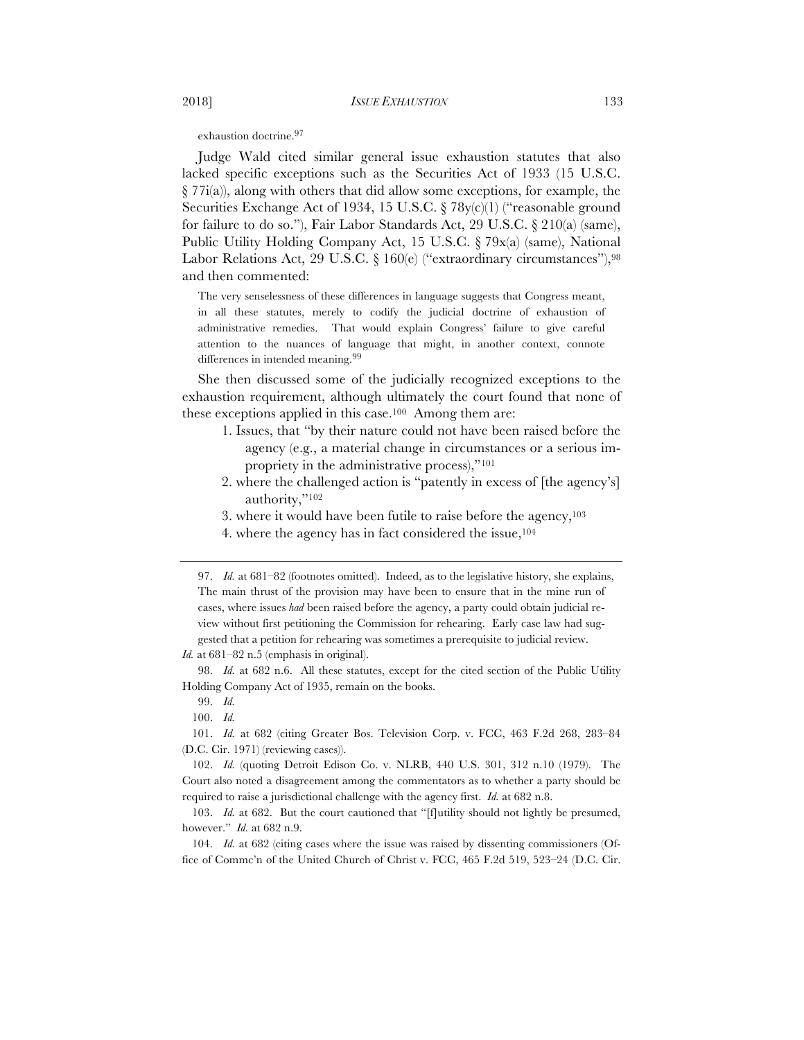exhaustion doctrine.97

Judge Wald cited similar general issue exhaustion statutes that also lacked specific exceptions such as the Securities Act of 1933 (15 U.S.C.  $\S 77i(a)$ , along with others that did allow some exceptions, for example, the Securities Exchange Act of 1934, 15 U.S.C. § 78y(c)(1) ("reasonable ground for failure to do so."), Fair Labor Standards Act, 29 U.S.C.  $\S 210(a)$  (same), Public Utility Holding Company Act, 15 U.S.C. § 79x(a) (same), National Labor Relations Act, 29 U.S.C. § 160(e) ("extraordinary circumstances"),<sup>98</sup> and then commented:

The very senselessness of these differences in language suggests that Congress meant, in all these statutes, merely to codify the judicial doctrine of exhaustion of administrative remedies. That would explain Congress' failure to give careful attention to the nuances of language that might, in another context, connote differences in intended meaning.99

She then discussed some of the judicially recognized exceptions to the exhaustion requirement, although ultimately the court found that none of these exceptions applied in this case.100 Among them are:

- 1. Issues, that "by their nature could not have been raised before the agency (e.g., a material change in circumstances or a serious impropriety in the administrative process),"101
- 2. where the challenged action is "patently in excess of [the agency's] authority,"102
- 3. where it would have been futile to raise before the agency,103
- 4. where the agency has in fact considered the issue,  $104$

*Id.* at 681–82 n.5 (emphasis in original).

<sup>97.</sup> *Id.* at 681–82 (footnotes omitted). Indeed, as to the legislative history, she explains, The main thrust of the provision may have been to ensure that in the mine run of cases, where issues *had* been raised before the agency, a party could obtain judicial review without first petitioning the Commission for rehearing. Early case law had suggested that a petition for rehearing was sometimes a prerequisite to judicial review.

<sup>98.</sup> *Id.* at 682 n.6. All these statutes, except for the cited section of the Public Utility Holding Company Act of 1935, remain on the books.

<sup>99.</sup> *Id.*

<sup>100.</sup> *Id.*

<sup>101.</sup> *Id.* at 682 (citing Greater Bos. Television Corp. v. FCC, 463 F.2d 268, 283–84 (D.C. Cir. 1971) (reviewing cases)).

<sup>102.</sup> *Id.* (quoting Detroit Edison Co. v. NLRB, 440 U.S. 301, 312 n.10 (1979). The Court also noted a disagreement among the commentators as to whether a party should be required to raise a jurisdictional challenge with the agency first. *Id.* at 682 n.8.

<sup>103.</sup> *Id.* at 682. But the court cautioned that "[f]utility should not lightly be presumed, however." *Id.* at 682 n.9.

<sup>104.</sup> *Id.* at 682 (citing cases where the issue was raised by dissenting commissioners (Office of Commc'n of the United Church of Christ v. FCC, 465 F.2d 519, 523–24 (D.C. Cir.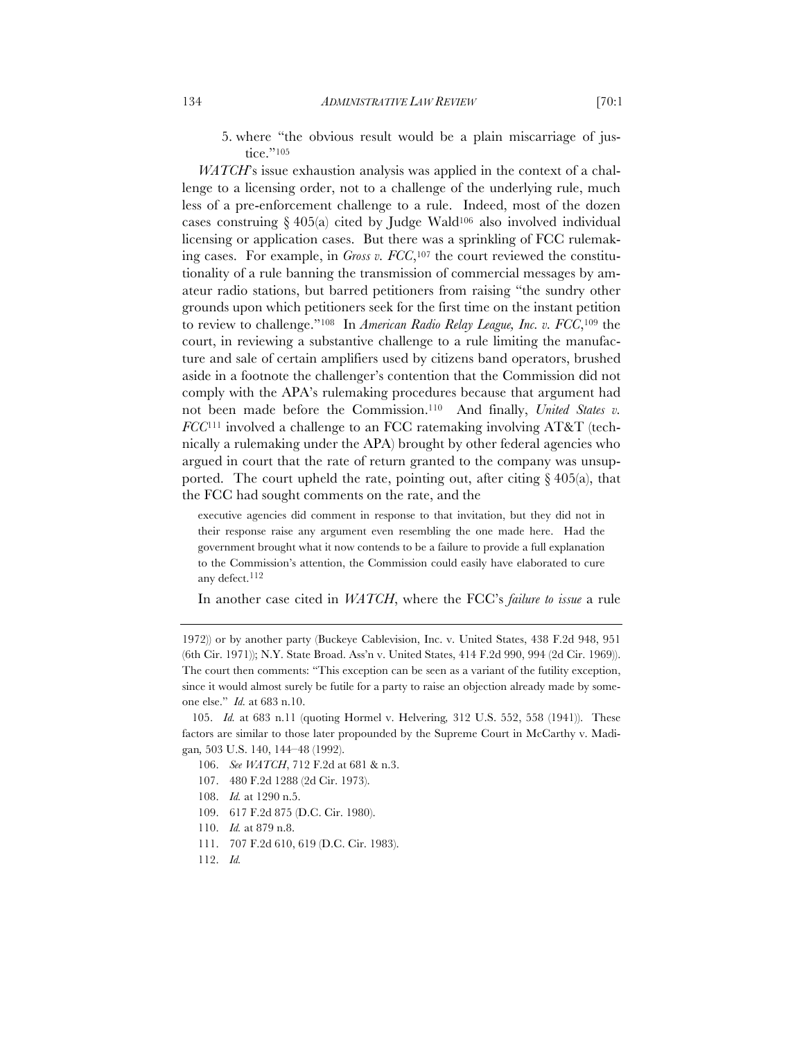5. where "the obvious result would be a plain miscarriage of justice."105

*WATCH*'s issue exhaustion analysis was applied in the context of a challenge to a licensing order, not to a challenge of the underlying rule, much less of a pre-enforcement challenge to a rule. Indeed, most of the dozen cases construing  $\S 405(a)$  cited by Judge Wald<sup>106</sup> also involved individual licensing or application cases. But there was a sprinkling of FCC rulemaking cases. For example, in *Gross v. FCC*,107 the court reviewed the constitutionality of a rule banning the transmission of commercial messages by amateur radio stations, but barred petitioners from raising "the sundry other grounds upon which petitioners seek for the first time on the instant petition to review to challenge."108 In *American Radio Relay League, Inc. v. FCC*,109 the court, in reviewing a substantive challenge to a rule limiting the manufacture and sale of certain amplifiers used by citizens band operators, brushed aside in a footnote the challenger's contention that the Commission did not comply with the APA's rulemaking procedures because that argument had not been made before the Commission.110 And finally, *United States v. FCC*<sup>111</sup> involved a challenge to an FCC ratemaking involving AT&T (technically a rulemaking under the APA) brought by other federal agencies who argued in court that the rate of return granted to the company was unsupported. The court upheld the rate, pointing out, after citing  $\S 405(a)$ , that the FCC had sought comments on the rate, and the

executive agencies did comment in response to that invitation, but they did not in their response raise any argument even resembling the one made here. Had the government brought what it now contends to be a failure to provide a full explanation to the Commission's attention, the Commission could easily have elaborated to cure any defect.112

In another case cited in *WATCH*, where the FCC's *failure to issue* a rule

- 106. *See WATCH*, 712 F.2d at 681 & n.3.
- 107. 480 F.2d 1288 (2d Cir. 1973).
- 108. *Id.* at 1290 n.5.
- 109. 617 F.2d 875 (D.C. Cir. 1980).
- 110. *Id.* at 879 n.8.
- 111. 707 F.2d 610, 619 (D.C. Cir. 1983).
- 112. *Id.*

<sup>1972))</sup> or by another party (Buckeye Cablevision, Inc. v. United States, 438 F.2d 948, 951 (6th Cir. 1971)); N.Y. State Broad. Ass'n v. United States, 414 F.2d 990, 994 (2d Cir. 1969)). The court then comments: "This exception can be seen as a variant of the futility exception, since it would almost surely be futile for a party to raise an objection already made by someone else." *Id.* at 683 n.10.

<sup>105.</sup> *Id.* at 683 n.11 (quoting Hormel v. Helvering*,* 312 U.S. 552, 558 (1941)). These factors are similar to those later propounded by the Supreme Court in McCarthy v. Madigan*,* 503 U.S. 140, 144–48 (1992).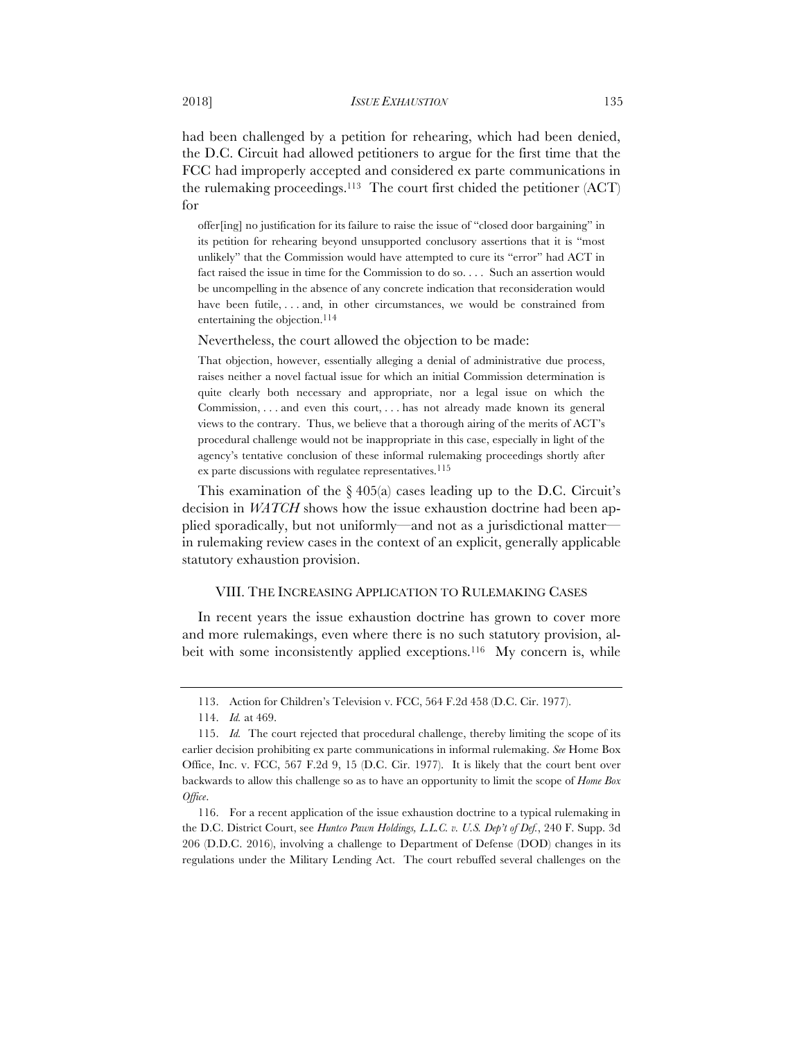had been challenged by a petition for rehearing, which had been denied, the D.C. Circuit had allowed petitioners to argue for the first time that the FCC had improperly accepted and considered ex parte communications in the rulemaking proceedings. $113$  The court first chided the petitioner (ACT) for

offer[ing] no justification for its failure to raise the issue of "closed door bargaining" in its petition for rehearing beyond unsupported conclusory assertions that it is "most unlikely" that the Commission would have attempted to cure its "error" had ACT in fact raised the issue in time for the Commission to do so. . . . Such an assertion would be uncompelling in the absence of any concrete indication that reconsideration would have been futile, . . . and, in other circumstances, we would be constrained from entertaining the objection.<sup>114</sup>

Nevertheless, the court allowed the objection to be made:

That objection, however, essentially alleging a denial of administrative due process, raises neither a novel factual issue for which an initial Commission determination is quite clearly both necessary and appropriate, nor a legal issue on which the Commission, . . . and even this court, . . . has not already made known its general views to the contrary. Thus, we believe that a thorough airing of the merits of ACT's procedural challenge would not be inappropriate in this case, especially in light of the agency's tentative conclusion of these informal rulemaking proceedings shortly after ex parte discussions with regulatee representatives.<sup>115</sup>

This examination of the  $\S 405(a)$  cases leading up to the D.C. Circuit's decision in *WATCH* shows how the issue exhaustion doctrine had been applied sporadically, but not uniformly—and not as a jurisdictional matter in rulemaking review cases in the context of an explicit, generally applicable statutory exhaustion provision.

#### VIII. THE INCREASING APPLICATION TO RULEMAKING CASES

In recent years the issue exhaustion doctrine has grown to cover more and more rulemakings, even where there is no such statutory provision, albeit with some inconsistently applied exceptions.<sup>116</sup> My concern is, while

<sup>113.</sup> Action for Children's Television v. FCC, 564 F.2d 458 (D.C. Cir. 1977).

<sup>114.</sup> *Id.* at 469.

<sup>115.</sup> *Id.* The court rejected that procedural challenge, thereby limiting the scope of its earlier decision prohibiting ex parte communications in informal rulemaking. *See* Home Box Office, Inc. v. FCC, 567 F.2d 9, 15 (D.C. Cir. 1977). It is likely that the court bent over backwards to allow this challenge so as to have an opportunity to limit the scope of *Home Box Office*.

<sup>116.</sup> For a recent application of the issue exhaustion doctrine to a typical rulemaking in the D.C. District Court, see *Huntco Pawn Holdings, L.L.C. v. U.S. Dep't of Def.*, 240 F. Supp. 3d 206 (D.D.C. 2016), involving a challenge to Department of Defense (DOD) changes in its regulations under the Military Lending Act. The court rebuffed several challenges on the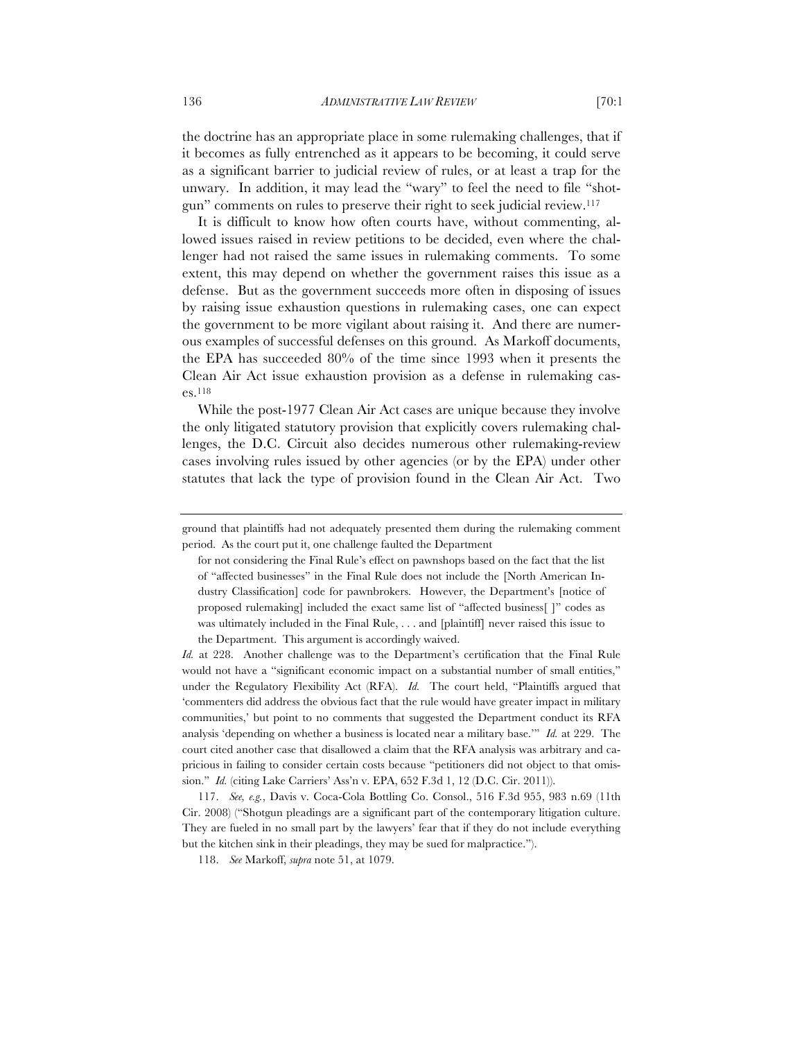the doctrine has an appropriate place in some rulemaking challenges, that if it becomes as fully entrenched as it appears to be becoming, it could serve as a significant barrier to judicial review of rules, or at least a trap for the unwary. In addition, it may lead the "wary" to feel the need to file "shotgun" comments on rules to preserve their right to seek judicial review.117

It is difficult to know how often courts have, without commenting, allowed issues raised in review petitions to be decided, even where the challenger had not raised the same issues in rulemaking comments. To some extent, this may depend on whether the government raises this issue as a defense. But as the government succeeds more often in disposing of issues by raising issue exhaustion questions in rulemaking cases, one can expect the government to be more vigilant about raising it. And there are numerous examples of successful defenses on this ground. As Markoff documents, the EPA has succeeded 80% of the time since 1993 when it presents the Clean Air Act issue exhaustion provision as a defense in rulemaking cases.118

While the post-1977 Clean Air Act cases are unique because they involve the only litigated statutory provision that explicitly covers rulemaking challenges, the D.C. Circuit also decides numerous other rulemaking-review cases involving rules issued by other agencies (or by the EPA) under other statutes that lack the type of provision found in the Clean Air Act. Two

for not considering the Final Rule's effect on pawnshops based on the fact that the list of "affected businesses" in the Final Rule does not include the [North American Industry Classification] code for pawnbrokers. However, the Department's [notice of proposed rulemaking] included the exact same list of "affected business[ ]" codes as was ultimately included in the Final Rule, . . . and [plaintiff] never raised this issue to the Department. This argument is accordingly waived.

*Id.* at 228. Another challenge was to the Department's certification that the Final Rule would not have a "significant economic impact on a substantial number of small entities," under the Regulatory Flexibility Act (RFA). *Id.* The court held, "Plaintiffs argued that 'commenters did address the obvious fact that the rule would have greater impact in military communities,' but point to no comments that suggested the Department conduct its RFA analysis 'depending on whether a business is located near a military base.'" *Id.* at 229. The court cited another case that disallowed a claim that the RFA analysis was arbitrary and capricious in failing to consider certain costs because "petitioners did not object to that omission." *Id.* (citing Lake Carriers' Ass'n v. EPA, 652 F.3d 1, 12 (D.C. Cir. 2011)).

117. *See, e.g.*, Davis v. Coca-Cola Bottling Co. Consol., 516 F.3d 955, 983 n.69 (11th Cir. 2008) ("Shotgun pleadings are a significant part of the contemporary litigation culture. They are fueled in no small part by the lawyers' fear that if they do not include everything but the kitchen sink in their pleadings, they may be sued for malpractice.").

118. *See* Markoff, *supra* note 51, at 1079.

ground that plaintiffs had not adequately presented them during the rulemaking comment period. As the court put it, one challenge faulted the Department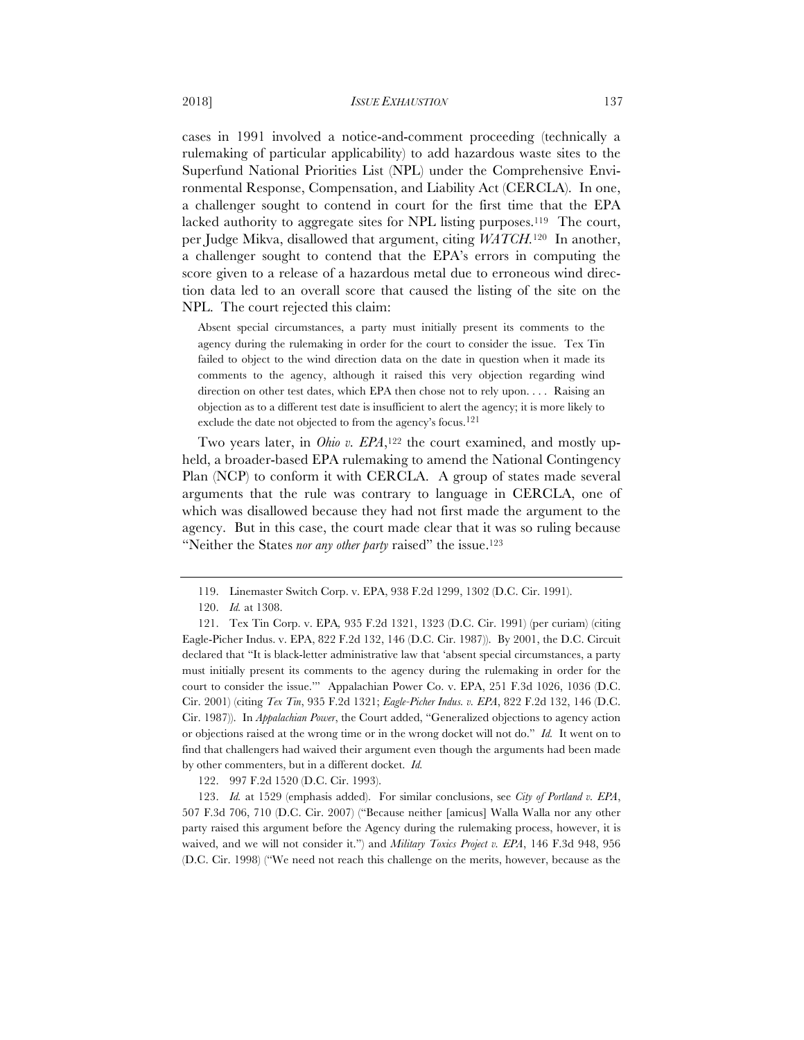cases in 1991 involved a notice-and-comment proceeding (technically a rulemaking of particular applicability) to add hazardous waste sites to the Superfund National Priorities List (NPL) under the Comprehensive Environmental Response, Compensation, and Liability Act (CERCLA). In one, a challenger sought to contend in court for the first time that the EPA lacked authority to aggregate sites for NPL listing purposes.<sup>119</sup> The court, per Judge Mikva, disallowed that argument, citing *WATCH.*120 In another, a challenger sought to contend that the EPA's errors in computing the score given to a release of a hazardous metal due to erroneous wind direction data led to an overall score that caused the listing of the site on the NPL. The court rejected this claim:

Absent special circumstances, a party must initially present its comments to the agency during the rulemaking in order for the court to consider the issue. Tex Tin failed to object to the wind direction data on the date in question when it made its comments to the agency, although it raised this very objection regarding wind direction on other test dates, which EPA then chose not to rely upon. . . . Raising an objection as to a different test date is insufficient to alert the agency; it is more likely to exclude the date not objected to from the agency's focus.<sup>121</sup>

Two years later, in *Ohio v. EPA*,<sup>122</sup> the court examined, and mostly upheld, a broader-based EPA rulemaking to amend the National Contingency Plan (NCP) to conform it with CERCLA. A group of states made several arguments that the rule was contrary to language in CERCLA, one of which was disallowed because they had not first made the argument to the agency. But in this case, the court made clear that it was so ruling because "Neither the States *nor any other party* raised" the issue.123

123. *Id.* at 1529 (emphasis added). For similar conclusions, see *City of Portland v. EPA*, 507 F.3d 706, 710 (D.C. Cir. 2007) ("Because neither [amicus] Walla Walla nor any other party raised this argument before the Agency during the rulemaking process, however, it is waived, and we will not consider it.") and *Military Toxics Project v. EPA*, 146 F.3d 948, 956 (D.C. Cir. 1998) ("We need not reach this challenge on the merits, however, because as the

<sup>119.</sup> Linemaster Switch Corp. v. EPA, 938 F.2d 1299, 1302 (D.C. Cir. 1991).

<sup>120.</sup> *Id.* at 1308.

<sup>121.</sup> Tex Tin Corp. v. EPA*,* 935 F.2d 1321, 1323 (D.C. Cir. 1991) (per curiam) (citing Eagle-Picher Indus. v. EPA, 822 F.2d 132, 146 (D.C. Cir. 1987)). By 2001, the D.C. Circuit declared that "It is black-letter administrative law that 'absent special circumstances, a party must initially present its comments to the agency during the rulemaking in order for the court to consider the issue.'" Appalachian Power Co. v. EPA, 251 F.3d 1026, 1036 (D.C. Cir. 2001) (citing *Tex Tin*, 935 F.2d 1321; *Eagle-Picher Indus. v. EPA*, 822 F.2d 132, 146 (D.C. Cir. 1987)). In *Appalachian Power*, the Court added, "Generalized objections to agency action or objections raised at the wrong time or in the wrong docket will not do." *Id.* It went on to find that challengers had waived their argument even though the arguments had been made by other commenters, but in a different docket. *Id.*

<sup>122.</sup> 997 F.2d 1520 (D.C. Cir. 1993).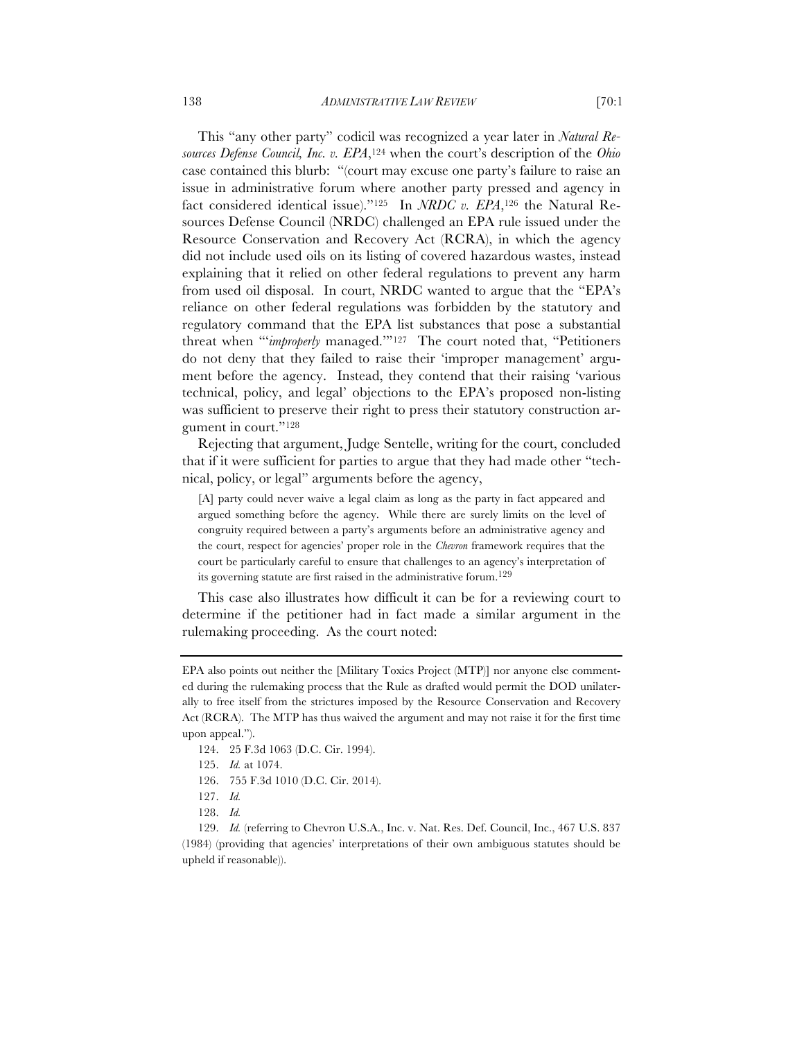This "any other party" codicil was recognized a year later in *Natural Resources Defense Council, Inc. v. EPA*,124 when the court's description of the *Ohio* case contained this blurb: "(court may excuse one party's failure to raise an issue in administrative forum where another party pressed and agency in fact considered identical issue)."125 In *NRDC v. EPA*,126 the Natural Resources Defense Council (NRDC) challenged an EPA rule issued under the Resource Conservation and Recovery Act (RCRA), in which the agency did not include used oils on its listing of covered hazardous wastes, instead explaining that it relied on other federal regulations to prevent any harm from used oil disposal. In court, NRDC wanted to argue that the "EPA's reliance on other federal regulations was forbidden by the statutory and regulatory command that the EPA list substances that pose a substantial threat when "'*improperly* managed.'"127 The court noted that, "Petitioners do not deny that they failed to raise their 'improper management' argument before the agency. Instead, they contend that their raising 'various technical, policy, and legal' objections to the EPA's proposed non-listing was sufficient to preserve their right to press their statutory construction argument in court."128

Rejecting that argument, Judge Sentelle, writing for the court, concluded that if it were sufficient for parties to argue that they had made other "technical, policy, or legal" arguments before the agency,

[A] party could never waive a legal claim as long as the party in fact appeared and argued something before the agency. While there are surely limits on the level of congruity required between a party's arguments before an administrative agency and the court, respect for agencies' proper role in the *Chevron* framework requires that the court be particularly careful to ensure that challenges to an agency's interpretation of its governing statute are first raised in the administrative forum.<sup>129</sup>

This case also illustrates how difficult it can be for a reviewing court to determine if the petitioner had in fact made a similar argument in the rulemaking proceeding. As the court noted:

- 126. 755 F.3d 1010 (D.C. Cir. 2014).
- 127. *Id.*
- 128. *Id.*

EPA also points out neither the [Military Toxics Project (MTP)] nor anyone else commented during the rulemaking process that the Rule as drafted would permit the DOD unilaterally to free itself from the strictures imposed by the Resource Conservation and Recovery Act (RCRA). The MTP has thus waived the argument and may not raise it for the first time upon appeal.").

<sup>124.</sup> 25 F.3d 1063 (D.C. Cir. 1994).

<sup>125.</sup> *Id.* at 1074.

<sup>129.</sup> *Id.* (referring to Chevron U.S.A., Inc. v. Nat. Res. Def. Council, Inc., 467 U.S. 837 (1984) (providing that agencies' interpretations of their own ambiguous statutes should be upheld if reasonable)).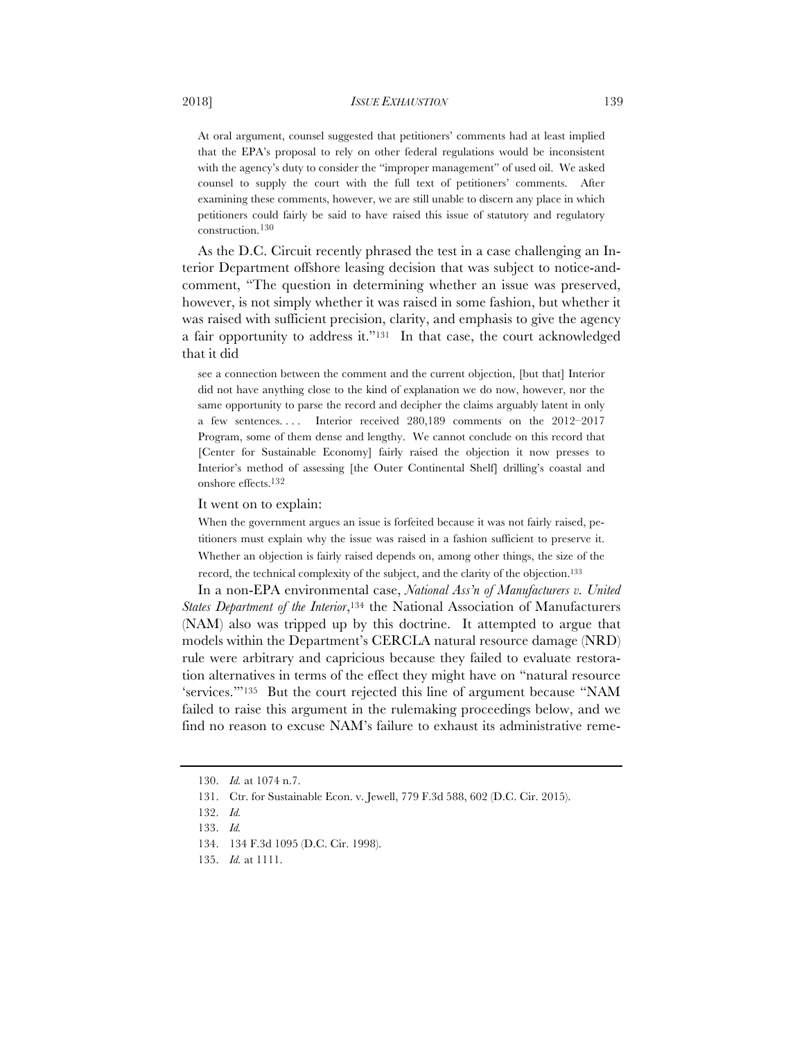#### 2018] *ISSUE EXHAUSTION* 139

At oral argument, counsel suggested that petitioners' comments had at least implied that the EPA's proposal to rely on other federal regulations would be inconsistent with the agency's duty to consider the "improper management" of used oil. We asked counsel to supply the court with the full text of petitioners' comments. After examining these comments, however, we are still unable to discern any place in which petitioners could fairly be said to have raised this issue of statutory and regulatory construction.130

As the D.C. Circuit recently phrased the test in a case challenging an Interior Department offshore leasing decision that was subject to notice-andcomment, "The question in determining whether an issue was preserved, however, is not simply whether it was raised in some fashion, but whether it was raised with sufficient precision, clarity, and emphasis to give the agency a fair opportunity to address it."131 In that case, the court acknowledged that it did

see a connection between the comment and the current objection, [but that] Interior did not have anything close to the kind of explanation we do now, however, nor the same opportunity to parse the record and decipher the claims arguably latent in only a few sentences. . . . Interior received 280,189 comments on the 2012–2017 Program, some of them dense and lengthy. We cannot conclude on this record that [Center for Sustainable Economy] fairly raised the objection it now presses to Interior's method of assessing [the Outer Continental Shelf] drilling's coastal and onshore effects.132

It went on to explain:

When the government argues an issue is forfeited because it was not fairly raised, petitioners must explain why the issue was raised in a fashion sufficient to preserve it. Whether an objection is fairly raised depends on, among other things, the size of the record, the technical complexity of the subject, and the clarity of the objection.133

In a non-EPA environmental case, *National Ass'n of Manufacturers v. United States Department of the Interior*,134 the National Association of Manufacturers (NAM) also was tripped up by this doctrine. It attempted to argue that models within the Department's CERCLA natural resource damage (NRD) rule were arbitrary and capricious because they failed to evaluate restoration alternatives in terms of the effect they might have on "natural resource 'services.'"135 But the court rejected this line of argument because "NAM failed to raise this argument in the rulemaking proceedings below, and we find no reason to excuse NAM's failure to exhaust its administrative reme-

<sup>130.</sup> *Id.* at 1074 n.7.

<sup>131.</sup> Ctr. for Sustainable Econ. v. Jewell, 779 F.3d 588, 602 (D.C. Cir. 2015).

<sup>132.</sup> *Id.*

<sup>133.</sup> *Id.*

<sup>134.</sup> 134 F.3d 1095 (D.C. Cir. 1998).

<sup>135.</sup> *Id.* at 1111.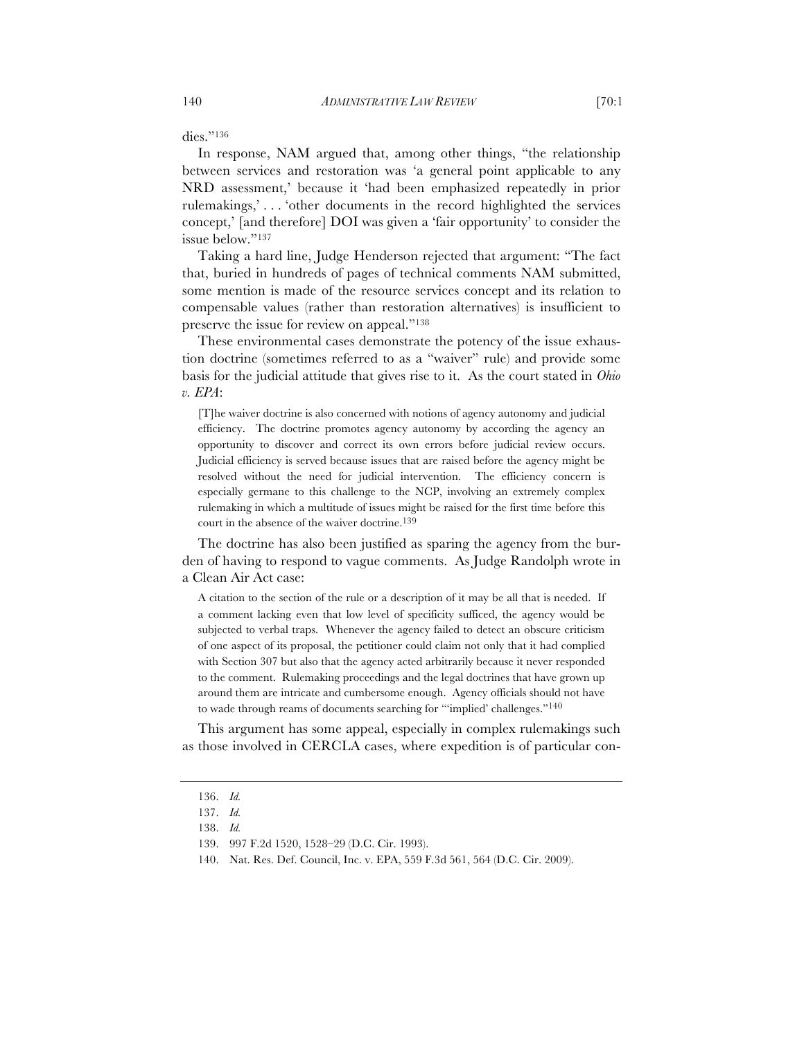dies."136

In response, NAM argued that, among other things, "the relationship between services and restoration was 'a general point applicable to any NRD assessment,' because it 'had been emphasized repeatedly in prior rulemakings,' . . . 'other documents in the record highlighted the services concept,' [and therefore] DOI was given a 'fair opportunity' to consider the issue below."137

Taking a hard line, Judge Henderson rejected that argument: "The fact that, buried in hundreds of pages of technical comments NAM submitted, some mention is made of the resource services concept and its relation to compensable values (rather than restoration alternatives) is insufficient to preserve the issue for review on appeal."138

These environmental cases demonstrate the potency of the issue exhaustion doctrine (sometimes referred to as a "waiver" rule) and provide some basis for the judicial attitude that gives rise to it. As the court stated in *Ohio v. EPA*:

[T]he waiver doctrine is also concerned with notions of agency autonomy and judicial efficiency. The doctrine promotes agency autonomy by according the agency an opportunity to discover and correct its own errors before judicial review occurs. Judicial efficiency is served because issues that are raised before the agency might be resolved without the need for judicial intervention. The efficiency concern is especially germane to this challenge to the NCP, involving an extremely complex rulemaking in which a multitude of issues might be raised for the first time before this court in the absence of the waiver doctrine.<sup>139</sup>

The doctrine has also been justified as sparing the agency from the burden of having to respond to vague comments. As Judge Randolph wrote in a Clean Air Act case:

A citation to the section of the rule or a description of it may be all that is needed. If a comment lacking even that low level of specificity sufficed, the agency would be subjected to verbal traps. Whenever the agency failed to detect an obscure criticism of one aspect of its proposal, the petitioner could claim not only that it had complied with Section 307 but also that the agency acted arbitrarily because it never responded to the comment. Rulemaking proceedings and the legal doctrines that have grown up around them are intricate and cumbersome enough. Agency officials should not have to wade through reams of documents searching for "implied' challenges."<sup>140</sup>

This argument has some appeal, especially in complex rulemakings such as those involved in CERCLA cases, where expedition is of particular con-

<sup>136.</sup> *Id.*

<sup>137.</sup> *Id.*

<sup>138.</sup> *Id.*

<sup>139.</sup> 997 F.2d 1520, 1528–29 (D.C. Cir. 1993).

<sup>140.</sup> Nat. Res. Def. Council, Inc. v. EPA, 559 F.3d 561, 564 (D.C. Cir. 2009).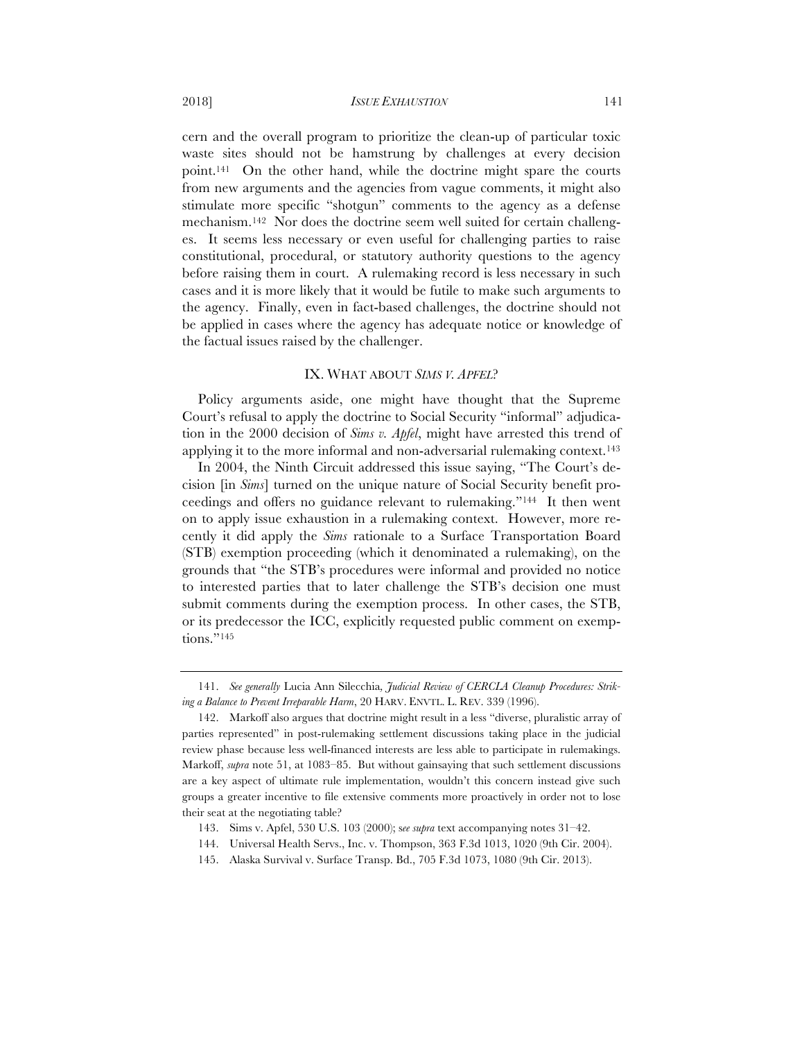cern and the overall program to prioritize the clean-up of particular toxic waste sites should not be hamstrung by challenges at every decision point.141 On the other hand, while the doctrine might spare the courts from new arguments and the agencies from vague comments, it might also stimulate more specific "shotgun" comments to the agency as a defense mechanism.142 Nor does the doctrine seem well suited for certain challenges. It seems less necessary or even useful for challenging parties to raise constitutional, procedural, or statutory authority questions to the agency before raising them in court. A rulemaking record is less necessary in such cases and it is more likely that it would be futile to make such arguments to the agency. Finally, even in fact-based challenges, the doctrine should not be applied in cases where the agency has adequate notice or knowledge of the factual issues raised by the challenger.

#### IX. WHAT ABOUT *SIMS V. APFEL*?

Policy arguments aside, one might have thought that the Supreme Court's refusal to apply the doctrine to Social Security "informal" adjudication in the 2000 decision of *Sims v. Apfel*, might have arrested this trend of applying it to the more informal and non-adversarial rulemaking context.<sup>143</sup>

In 2004, the Ninth Circuit addressed this issue saying, "The Court's decision [in *Sims*] turned on the unique nature of Social Security benefit proceedings and offers no guidance relevant to rulemaking."144 It then went on to apply issue exhaustion in a rulemaking context. However, more recently it did apply the *Sims* rationale to a Surface Transportation Board (STB) exemption proceeding (which it denominated a rulemaking), on the grounds that "the STB's procedures were informal and provided no notice to interested parties that to later challenge the STB's decision one must submit comments during the exemption process. In other cases, the STB, or its predecessor the ICC, explicitly requested public comment on exemptions."145

<sup>141.</sup> *See generally* Lucia Ann Silecchia*, Judicial Review of CERCLA Cleanup Procedures: Striking a Balance to Prevent Irreparable Harm*, 20 HARV. ENVTL. L. REV. 339 (1996).

<sup>142.</sup> Markoff also argues that doctrine might result in a less "diverse, pluralistic array of parties represented" in post-rulemaking settlement discussions taking place in the judicial review phase because less well-financed interests are less able to participate in rulemakings. Markoff, *supra* note 51, at 1083–85. But without gainsaying that such settlement discussions are a key aspect of ultimate rule implementation, wouldn't this concern instead give such groups a greater incentive to file extensive comments more proactively in order not to lose their seat at the negotiating table?

<sup>143.</sup> Sims v. Apfel, 530 U.S. 103 (2000); s*ee supra* text accompanying notes 31–42.

<sup>144.</sup> Universal Health Servs., Inc. v. Thompson, 363 F.3d 1013, 1020 (9th Cir. 2004).

<sup>145.</sup> Alaska Survival v. Surface Transp. Bd., 705 F.3d 1073, 1080 (9th Cir. 2013).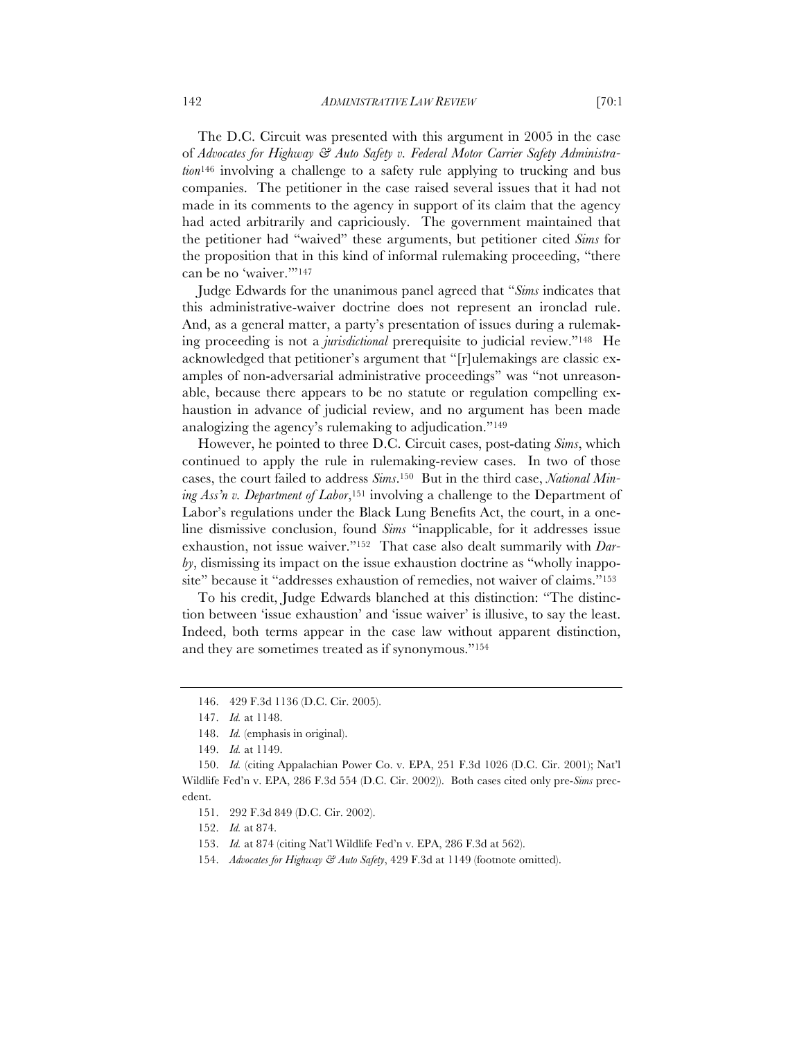The D.C. Circuit was presented with this argument in 2005 in the case of *Advocates for Highway & Auto Safety v. Federal Motor Carrier Safety Administration*<sup>146</sup> involving a challenge to a safety rule applying to trucking and bus companies. The petitioner in the case raised several issues that it had not made in its comments to the agency in support of its claim that the agency had acted arbitrarily and capriciously. The government maintained that the petitioner had "waived" these arguments, but petitioner cited *Sims* for the proposition that in this kind of informal rulemaking proceeding, "there can be no 'waiver.'"147

Judge Edwards for the unanimous panel agreed that "*Sims* indicates that this administrative-waiver doctrine does not represent an ironclad rule. And, as a general matter, a party's presentation of issues during a rulemaking proceeding is not a *jurisdictional* prerequisite to judicial review."148 He acknowledged that petitioner's argument that "[r]ulemakings are classic examples of non-adversarial administrative proceedings" was "not unreasonable, because there appears to be no statute or regulation compelling exhaustion in advance of judicial review, and no argument has been made analogizing the agency's rulemaking to adjudication."149

However, he pointed to three D.C. Circuit cases, post-dating *Sims*, which continued to apply the rule in rulemaking-review cases. In two of those cases, the court failed to address *Sims*.150 But in the third case, *National Mining Ass'n v. Department of Labor*,151 involving a challenge to the Department of Labor's regulations under the Black Lung Benefits Act, the court, in a oneline dismissive conclusion, found *Sims* "inapplicable, for it addresses issue exhaustion, not issue waiver."152 That case also dealt summarily with *Darby*, dismissing its impact on the issue exhaustion doctrine as "wholly inapposite" because it "addresses exhaustion of remedies, not waiver of claims."153

To his credit, Judge Edwards blanched at this distinction: "The distinction between 'issue exhaustion' and 'issue waiver' is illusive, to say the least. Indeed, both terms appear in the case law without apparent distinction, and they are sometimes treated as if synonymous."154

<sup>146.</sup> 429 F.3d 1136 (D.C. Cir. 2005).

<sup>147.</sup> *Id.* at 1148.

<sup>148.</sup> *Id.* (emphasis in original).

<sup>149.</sup> *Id.* at 1149.

<sup>150.</sup> *Id.* (citing Appalachian Power Co. v. EPA, 251 F.3d 1026 (D.C. Cir. 2001); Nat'l Wildlife Fed'n v. EPA, 286 F.3d 554 (D.C. Cir. 2002)). Both cases cited only pre-*Sims* precedent.

<sup>151.</sup> 292 F.3d 849 (D.C. Cir. 2002).

<sup>152.</sup> *Id.* at 874.

<sup>153.</sup> *Id.* at 874 (citing Nat'l Wildlife Fed'n v. EPA, 286 F.3d at 562).

<sup>154.</sup> *Advocates for Highway & Auto Safety*, 429 F.3d at 1149 (footnote omitted).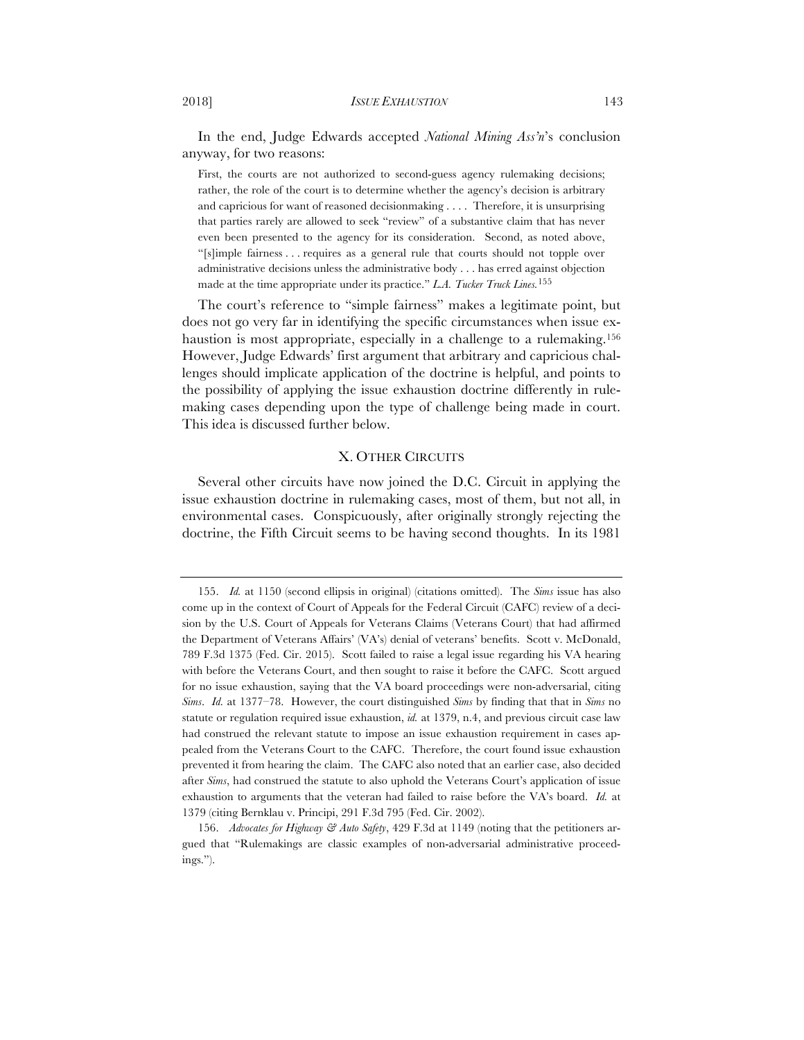In the end, Judge Edwards accepted *National Mining Ass'n*'s conclusion anyway, for two reasons:

First, the courts are not authorized to second-guess agency rulemaking decisions; rather, the role of the court is to determine whether the agency's decision is arbitrary and capricious for want of reasoned decisionmaking . . . . Therefore, it is unsurprising that parties rarely are allowed to seek "review" of a substantive claim that has never even been presented to the agency for its consideration. Second, as noted above, "[s]imple fairness . . . requires as a general rule that courts should not topple over administrative decisions unless the administrative body . . . has erred against objection made at the time appropriate under its practice." *L.A. Tucker Truck Lines.*155

The court's reference to "simple fairness" makes a legitimate point, but does not go very far in identifying the specific circumstances when issue exhaustion is most appropriate, especially in a challenge to a rulemaking.156 However, Judge Edwards' first argument that arbitrary and capricious challenges should implicate application of the doctrine is helpful, and points to the possibility of applying the issue exhaustion doctrine differently in rulemaking cases depending upon the type of challenge being made in court. This idea is discussed further below.

### X. OTHER CIRCUITS

Several other circuits have now joined the D.C. Circuit in applying the issue exhaustion doctrine in rulemaking cases, most of them, but not all, in environmental cases. Conspicuously, after originally strongly rejecting the doctrine, the Fifth Circuit seems to be having second thoughts. In its 1981

<sup>155.</sup> *Id.* at 1150 (second ellipsis in original) (citations omitted). The *Sims* issue has also come up in the context of Court of Appeals for the Federal Circuit (CAFC) review of a decision by the U.S. Court of Appeals for Veterans Claims (Veterans Court) that had affirmed the Department of Veterans Affairs' (VA's) denial of veterans' benefits. Scott v. McDonald, 789 F.3d 1375 (Fed. Cir. 2015). Scott failed to raise a legal issue regarding his VA hearing with before the Veterans Court, and then sought to raise it before the CAFC. Scott argued for no issue exhaustion, saying that the VA board proceedings were non-adversarial, citing *Sims*. *Id.* at 1377–78. However, the court distinguished *Sims* by finding that that in *Sims* no statute or regulation required issue exhaustion, *id.* at 1379, n.4, and previous circuit case law had construed the relevant statute to impose an issue exhaustion requirement in cases appealed from the Veterans Court to the CAFC. Therefore, the court found issue exhaustion prevented it from hearing the claim. The CAFC also noted that an earlier case, also decided after *Sims*, had construed the statute to also uphold the Veterans Court's application of issue exhaustion to arguments that the veteran had failed to raise before the VA's board. *Id.* at 1379 (citing Bernklau v. Principi, 291 F.3d 795 (Fed. Cir. 2002).

<sup>156.</sup> *Advocates for Highway & Auto Safety*, 429 F.3d at 1149 (noting that the petitioners argued that "Rulemakings are classic examples of non-adversarial administrative proceedings.").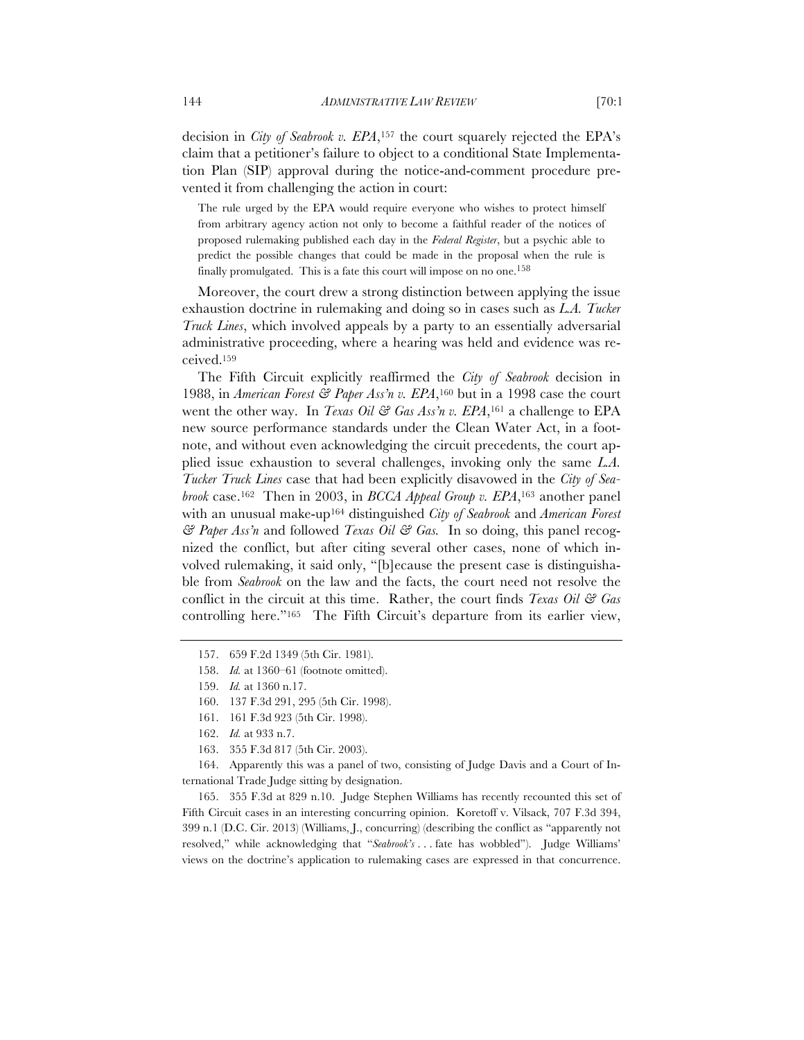decision in *City of Seabrook v. EPA*,157 the court squarely rejected the EPA's claim that a petitioner's failure to object to a conditional State Implementation Plan (SIP) approval during the notice-and-comment procedure prevented it from challenging the action in court:

The rule urged by the EPA would require everyone who wishes to protect himself from arbitrary agency action not only to become a faithful reader of the notices of proposed rulemaking published each day in the *Federal Register*, but a psychic able to predict the possible changes that could be made in the proposal when the rule is finally promulgated. This is a fate this court will impose on no one.<sup>158</sup>

Moreover, the court drew a strong distinction between applying the issue exhaustion doctrine in rulemaking and doing so in cases such as *L.A. Tucker Truck Lines*, which involved appeals by a party to an essentially adversarial administrative proceeding, where a hearing was held and evidence was received.159

The Fifth Circuit explicitly reaffirmed the *City of Seabrook* decision in 1988, in *American Forest & Paper Ass'n v. EPA*,160 but in a 1998 case the court went the other way. In *Texas Oil & Gas Ass'n v. EPA*,161 a challenge to EPA new source performance standards under the Clean Water Act, in a footnote, and without even acknowledging the circuit precedents, the court applied issue exhaustion to several challenges, invoking only the same *L.A. Tucker Truck Lines* case that had been explicitly disavowed in the *City of Seabrook* case.162 Then in 2003, in *BCCA Appeal Group v. EPA*,163 another panel with an unusual make-up164 distinguished *City of Seabrook* and *American Forest & Paper Ass'n* and followed *Texas Oil & Gas.* In so doing, this panel recognized the conflict, but after citing several other cases, none of which involved rulemaking, it said only, "[b]ecause the present case is distinguishable from *Seabrook* on the law and the facts, the court need not resolve the conflict in the circuit at this time. Rather, the court finds *Texas Oil & Gas* controlling here."165 The Fifth Circuit's departure from its earlier view,

165. 355 F.3d at 829 n.10. Judge Stephen Williams has recently recounted this set of Fifth Circuit cases in an interesting concurring opinion. Koretoff v. Vilsack, 707 F.3d 394, 399 n.1 (D.C. Cir. 2013) (Williams, J., concurring) (describing the conflict as "apparently not resolved," while acknowledging that "*Seabrook's* . . . fate has wobbled"). Judge Williams' views on the doctrine's application to rulemaking cases are expressed in that concurrence.

<sup>157.</sup> 659 F.2d 1349 (5th Cir. 1981).

<sup>158.</sup> *Id.* at 1360–61 (footnote omitted).

<sup>159.</sup> *Id.* at 1360 n.17.

<sup>160.</sup> 137 F.3d 291, 295 (5th Cir. 1998).

<sup>161.</sup> 161 F.3d 923 (5th Cir. 1998).

<sup>162.</sup> *Id.* at 933 n.7.

<sup>163.</sup> 355 F.3d 817 (5th Cir. 2003).

<sup>164.</sup> Apparently this was a panel of two, consisting of Judge Davis and a Court of International Trade Judge sitting by designation.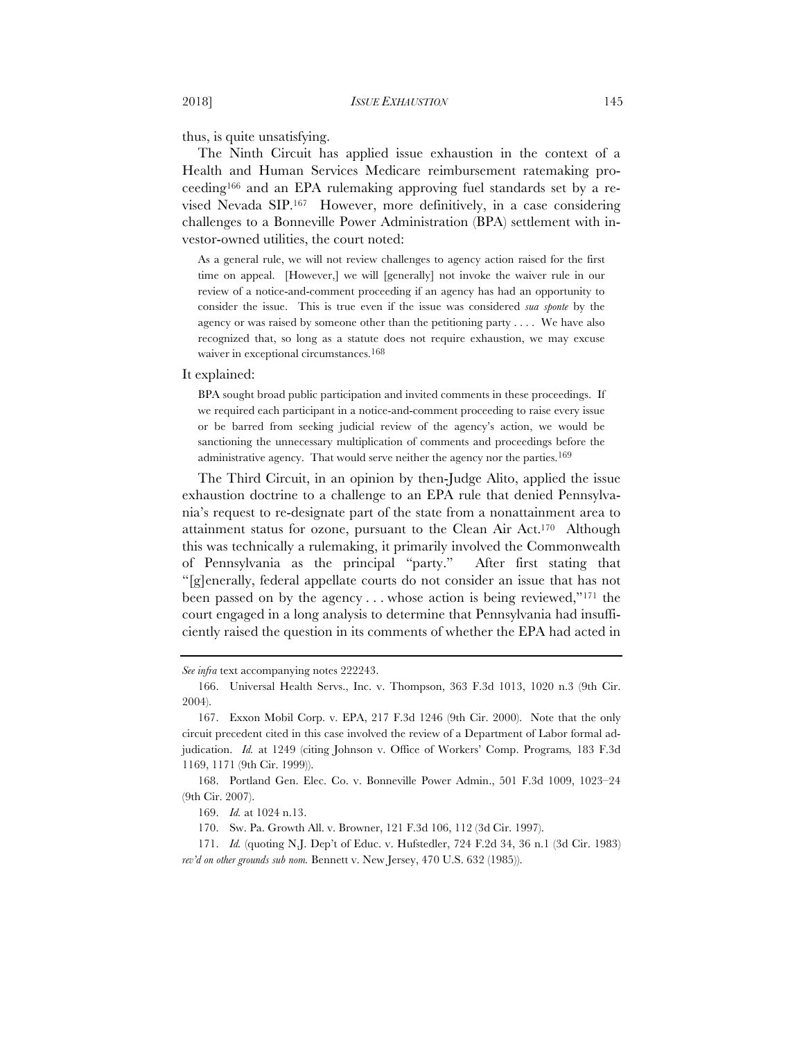thus, is quite unsatisfying.

The Ninth Circuit has applied issue exhaustion in the context of a Health and Human Services Medicare reimbursement ratemaking proceeding166 and an EPA rulemaking approving fuel standards set by a revised Nevada SIP.167 However, more definitively, in a case considering challenges to a Bonneville Power Administration (BPA) settlement with investor-owned utilities, the court noted:

As a general rule, we will not review challenges to agency action raised for the first time on appeal. [However,] we will [generally] not invoke the waiver rule in our review of a notice-and-comment proceeding if an agency has had an opportunity to consider the issue. This is true even if the issue was considered *sua sponte* by the agency or was raised by someone other than the petitioning party . . . . We have also recognized that, so long as a statute does not require exhaustion, we may excuse waiver in exceptional circumstances.168

#### It explained:

BPA sought broad public participation and invited comments in these proceedings. If we required each participant in a notice-and-comment proceeding to raise every issue or be barred from seeking judicial review of the agency's action, we would be sanctioning the unnecessary multiplication of comments and proceedings before the administrative agency. That would serve neither the agency nor the parties.<sup>169</sup>

The Third Circuit, in an opinion by then-Judge Alito, applied the issue exhaustion doctrine to a challenge to an EPA rule that denied Pennsylvania's request to re-designate part of the state from a nonattainment area to attainment status for ozone, pursuant to the Clean Air Act.170 Although this was technically a rulemaking, it primarily involved the Commonwealth of Pennsylvania as the principal "party." After first stating that "[g]enerally, federal appellate courts do not consider an issue that has not been passed on by the agency . . . whose action is being reviewed,"171 the court engaged in a long analysis to determine that Pennsylvania had insufficiently raised the question in its comments of whether the EPA had acted in

168. Portland Gen. Elec. Co. v. Bonneville Power Admin., 501 F.3d 1009, 1023–24 (9th Cir. 2007).

170. Sw. Pa. Growth All. v. Browner, 121 F.3d 106, 112 (3d Cir. 1997).

171. *Id.* (quoting N.J. Dep't of Educ. v. Hufstedler, 724 F.2d 34, 36 n.1 (3d Cir. 1983) *rev'd on other grounds sub nom.* Bennett v. New Jersey, 470 U.S. 632 (1985)).

*See infra* text accompanying notes 222243.

<sup>166.</sup> Universal Health Servs., Inc. v. Thompson, 363 F.3d 1013, 1020 n.3 (9th Cir. 2004).

<sup>167.</sup> Exxon Mobil Corp. v. EPA, 217 F.3d 1246 (9th Cir. 2000). Note that the only circuit precedent cited in this case involved the review of a Department of Labor formal adjudication. *Id.* at 1249 (citing Johnson v. Office of Workers' Comp. Programs*,* 183 F.3d 1169, 1171 (9th Cir. 1999)).

<sup>169.</sup> *Id.* at 1024 n.13.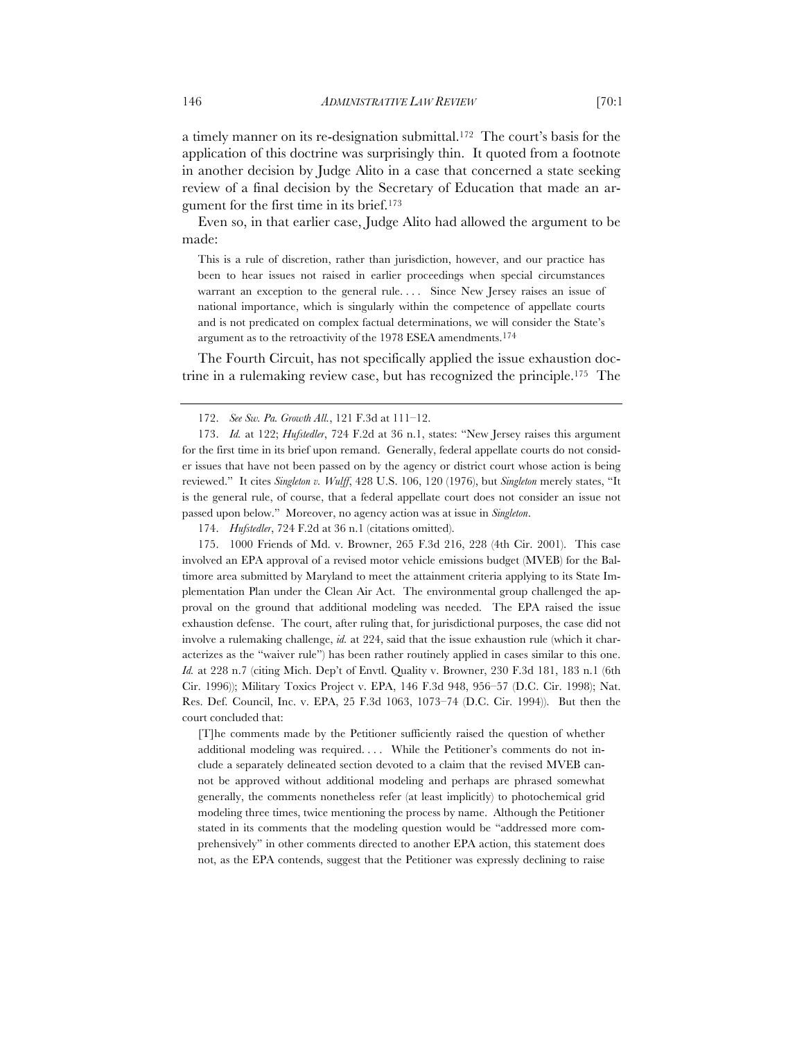Even so, in that earlier case, Judge Alito had allowed the argument to be made:

This is a rule of discretion, rather than jurisdiction, however, and our practice has been to hear issues not raised in earlier proceedings when special circumstances warrant an exception to the general rule.... Since New Jersey raises an issue of national importance, which is singularly within the competence of appellate courts and is not predicated on complex factual determinations, we will consider the State's argument as to the retroactivity of the 1978 ESEA amendments.174

The Fourth Circuit, has not specifically applied the issue exhaustion doctrine in a rulemaking review case, but has recognized the principle.175 The

175. 1000 Friends of Md. v. Browner, 265 F.3d 216, 228 (4th Cir. 2001). This case involved an EPA approval of a revised motor vehicle emissions budget (MVEB) for the Baltimore area submitted by Maryland to meet the attainment criteria applying to its State Implementation Plan under the Clean Air Act. The environmental group challenged the approval on the ground that additional modeling was needed. The EPA raised the issue exhaustion defense. The court, after ruling that, for jurisdictional purposes, the case did not involve a rulemaking challenge, *id.* at 224, said that the issue exhaustion rule (which it characterizes as the "waiver rule") has been rather routinely applied in cases similar to this one. *Id.* at 228 n.7 (citing Mich. Dep't of Envtl. Quality v. Browner, 230 F.3d 181, 183 n.1 (6th Cir. 1996)); Military Toxics Project v. EPA, 146 F.3d 948, 956–57 (D.C. Cir. 1998); Nat. Res. Def. Council, Inc. v. EPA, 25 F.3d 1063, 1073–74 (D.C. Cir. 1994)). But then the court concluded that:

[T]he comments made by the Petitioner sufficiently raised the question of whether additional modeling was required. . . . While the Petitioner's comments do not include a separately delineated section devoted to a claim that the revised MVEB cannot be approved without additional modeling and perhaps are phrased somewhat generally, the comments nonetheless refer (at least implicitly) to photochemical grid modeling three times, twice mentioning the process by name. Although the Petitioner stated in its comments that the modeling question would be "addressed more comprehensively" in other comments directed to another EPA action, this statement does not, as the EPA contends, suggest that the Petitioner was expressly declining to raise

<sup>172.</sup> *See Sw. Pa. Growth All.*, 121 F.3d at 111–12.

<sup>173.</sup> *Id.* at 122; *Hufstedler*, 724 F.2d at 36 n.1, states: "New Jersey raises this argument for the first time in its brief upon remand. Generally, federal appellate courts do not consider issues that have not been passed on by the agency or district court whose action is being reviewed." It cites *Singleton v. Wulff*, 428 U.S. 106, 120 (1976), but *Singleton* merely states, "It is the general rule, of course, that a federal appellate court does not consider an issue not passed upon below." Moreover, no agency action was at issue in *Singleton*.

<sup>174.</sup> *Hufstedler*, 724 F.2d at 36 n.1 (citations omitted).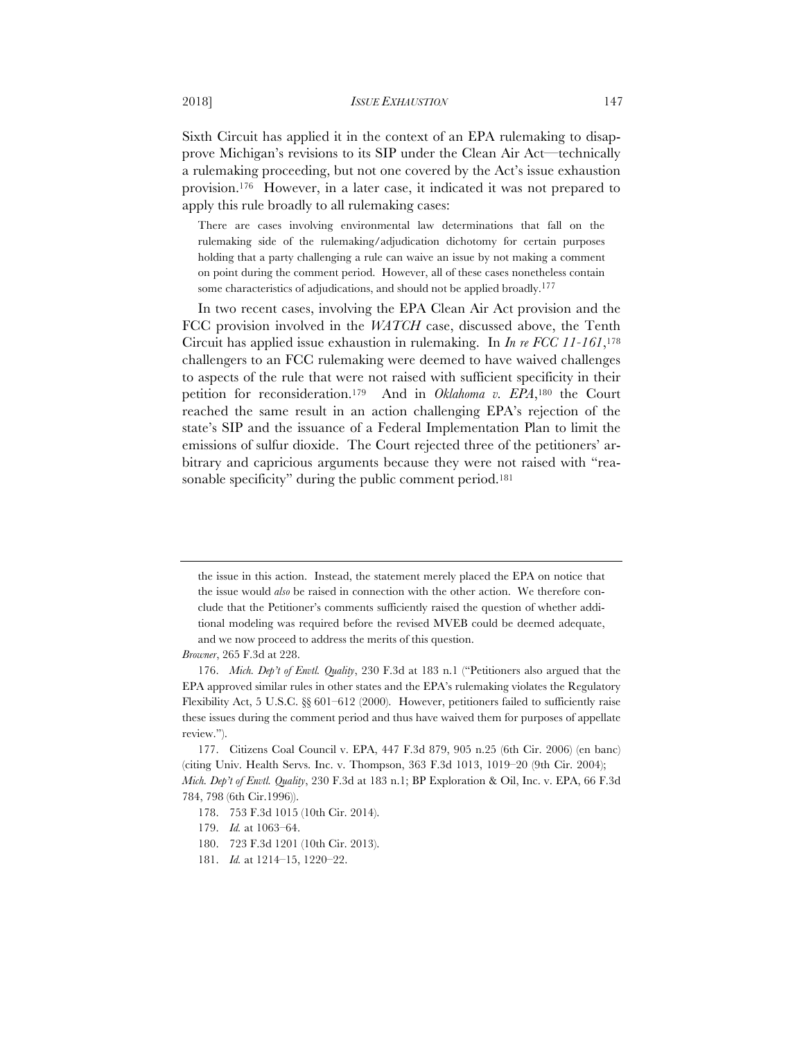Sixth Circuit has applied it in the context of an EPA rulemaking to disapprove Michigan's revisions to its SIP under the Clean Air Act—technically a rulemaking proceeding, but not one covered by the Act's issue exhaustion provision.176 However, in a later case, it indicated it was not prepared to apply this rule broadly to all rulemaking cases:

There are cases involving environmental law determinations that fall on the rulemaking side of the rulemaking/adjudication dichotomy for certain purposes holding that a party challenging a rule can waive an issue by not making a comment on point during the comment period. However, all of these cases nonetheless contain some characteristics of adjudications, and should not be applied broadly.<sup>177</sup>

In two recent cases, involving the EPA Clean Air Act provision and the FCC provision involved in the *WATCH* case, discussed above, the Tenth Circuit has applied issue exhaustion in rulemaking. In *In re FCC 11-161*,178 challengers to an FCC rulemaking were deemed to have waived challenges to aspects of the rule that were not raised with sufficient specificity in their petition for reconsideration.179 And in *Oklahoma v. EPA*,180 the Court reached the same result in an action challenging EPA's rejection of the state's SIP and the issuance of a Federal Implementation Plan to limit the emissions of sulfur dioxide. The Court rejected three of the petitioners' arbitrary and capricious arguments because they were not raised with "reasonable specificity" during the public comment period.<sup>181</sup>

*Browner*, 265 F.3d at 228.

- 180. 723 F.3d 1201 (10th Cir. 2013).
- 181. *Id.* at 1214–15, 1220–22.

the issue in this action. Instead, the statement merely placed the EPA on notice that the issue would *also* be raised in connection with the other action. We therefore conclude that the Petitioner's comments sufficiently raised the question of whether additional modeling was required before the revised MVEB could be deemed adequate, and we now proceed to address the merits of this question.

<sup>176.</sup> *Mich. Dep't of Envtl. Quality*, 230 F.3d at 183 n.1 ("Petitioners also argued that the EPA approved similar rules in other states and the EPA's rulemaking violates the Regulatory Flexibility Act, 5 U.S.C. §§ 601–612 (2000). However, petitioners failed to sufficiently raise these issues during the comment period and thus have waived them for purposes of appellate review.").

<sup>177.</sup> Citizens Coal Council v. EPA, 447 F.3d 879, 905 n.25 (6th Cir. 2006) (en banc) (citing Univ. Health Servs. Inc. v. Thompson, 363 F.3d 1013, 1019–20 (9th Cir. 2004); *Mich. Dep't of Envtl. Quality*, 230 F.3d at 183 n.1; BP Exploration & Oil, Inc. v. EPA, 66 F.3d 784, 798 (6th Cir.1996)).

<sup>178.</sup> 753 F.3d 1015 (10th Cir. 2014).

<sup>179.</sup> *Id.* at 1063–64.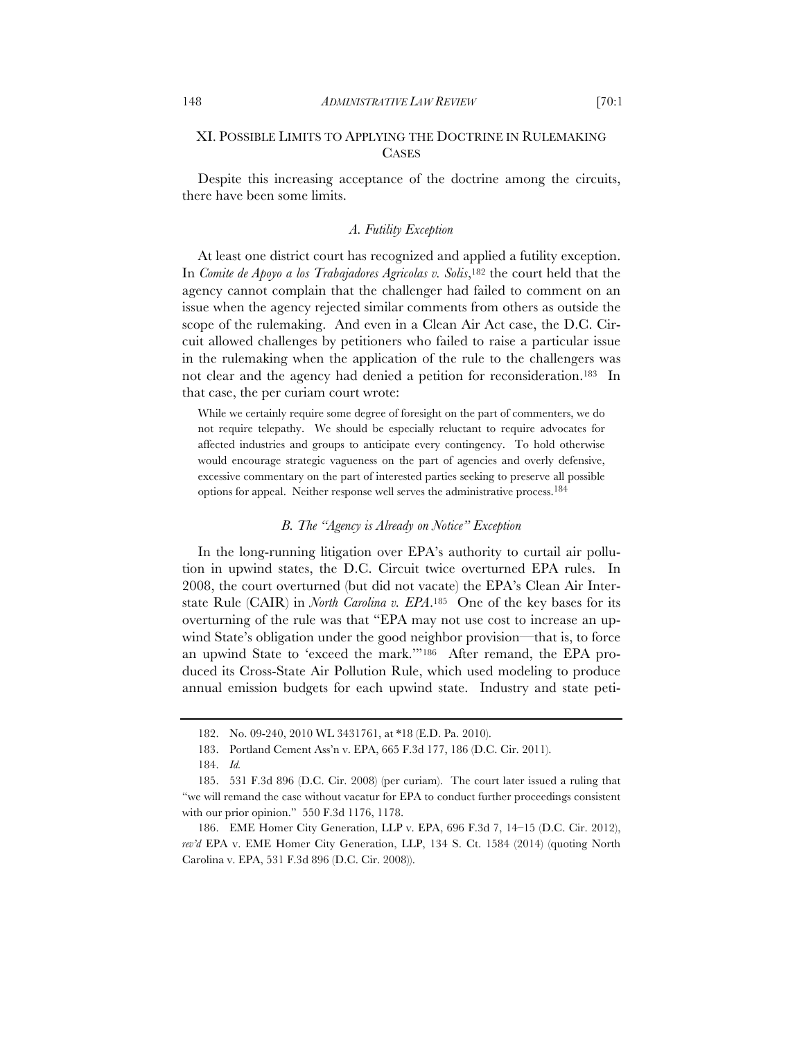# XI. POSSIBLE LIMITS TO APPLYING THE DOCTRINE IN RULEMAKING **CASES**

Despite this increasing acceptance of the doctrine among the circuits, there have been some limits.

# *A. Futility Exception*

At least one district court has recognized and applied a futility exception. In *Comite de Apoyo a los Trabajadores Agricolas v. Solis*,182 the court held that the agency cannot complain that the challenger had failed to comment on an issue when the agency rejected similar comments from others as outside the scope of the rulemaking. And even in a Clean Air Act case, the D.C. Circuit allowed challenges by petitioners who failed to raise a particular issue in the rulemaking when the application of the rule to the challengers was not clear and the agency had denied a petition for reconsideration.183 In that case, the per curiam court wrote:

While we certainly require some degree of foresight on the part of commenters, we do not require telepathy. We should be especially reluctant to require advocates for affected industries and groups to anticipate every contingency. To hold otherwise would encourage strategic vagueness on the part of agencies and overly defensive, excessive commentary on the part of interested parties seeking to preserve all possible options for appeal. Neither response well serves the administrative process.184

#### *B. The "Agency is Already on Notice" Exception*

In the long-running litigation over EPA's authority to curtail air pollution in upwind states, the D.C. Circuit twice overturned EPA rules. In 2008, the court overturned (but did not vacate) the EPA's Clean Air Interstate Rule (CAIR) in *North Carolina v. EPA*.185 One of the key bases for its overturning of the rule was that "EPA may not use cost to increase an upwind State's obligation under the good neighbor provision—that is, to force an upwind State to 'exceed the mark.'"186 After remand, the EPA produced its Cross-State Air Pollution Rule, which used modeling to produce annual emission budgets for each upwind state. Industry and state peti-

<sup>182.</sup> No. 09-240, 2010 WL 3431761, at \*18 (E.D. Pa. 2010).

<sup>183.</sup> Portland Cement Ass'n v. EPA, 665 F.3d 177, 186 (D.C. Cir. 2011).

<sup>184.</sup> *Id.*

<sup>185.</sup> 531 F.3d 896 (D.C. Cir. 2008) (per curiam). The court later issued a ruling that "we will remand the case without vacatur for EPA to conduct further proceedings consistent with our prior opinion." 550 F.3d 1176, 1178.

<sup>186.</sup> EME Homer City Generation, LLP v. EPA, 696 F.3d 7, 14–15 (D.C. Cir. 2012), *rev'd* EPA v. EME Homer City Generation, LLP, 134 S. Ct. 1584 (2014) (quoting North Carolina v. EPA, 531 F.3d 896 (D.C. Cir. 2008)).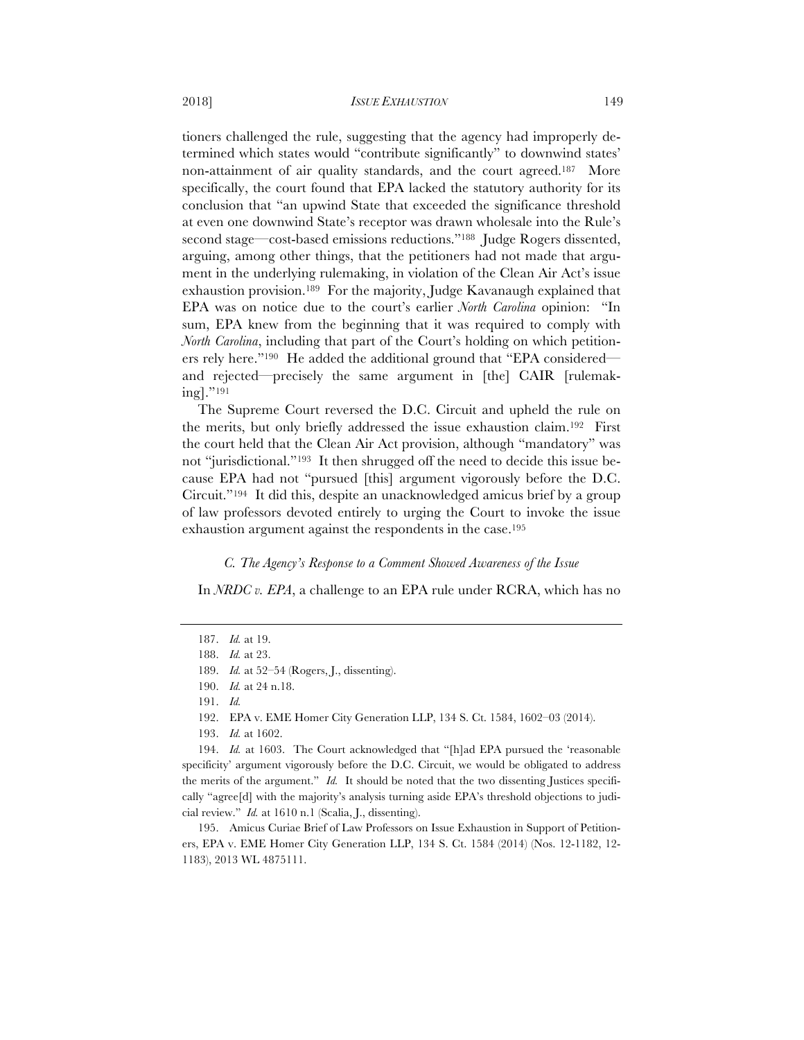tioners challenged the rule, suggesting that the agency had improperly determined which states would "contribute significantly" to downwind states' non-attainment of air quality standards, and the court agreed.187 More specifically, the court found that EPA lacked the statutory authority for its conclusion that "an upwind State that exceeded the significance threshold at even one downwind State's receptor was drawn wholesale into the Rule's second stage—cost-based emissions reductions."<sup>188</sup> Judge Rogers dissented, arguing, among other things, that the petitioners had not made that argument in the underlying rulemaking, in violation of the Clean Air Act's issue exhaustion provision.189 For the majority, Judge Kavanaugh explained that EPA was on notice due to the court's earlier *North Carolina* opinion: "In sum, EPA knew from the beginning that it was required to comply with *North Carolina*, including that part of the Court's holding on which petitioners rely here."190 He added the additional ground that "EPA considered and rejected—precisely the same argument in [the] CAIR [rulemaking]."191

The Supreme Court reversed the D.C. Circuit and upheld the rule on the merits, but only briefly addressed the issue exhaustion claim.192 First the court held that the Clean Air Act provision, although "mandatory" was not "jurisdictional."<sup>193</sup> It then shrugged off the need to decide this issue because EPA had not "pursued [this] argument vigorously before the D.C. Circuit."194 It did this, despite an unacknowledged amicus brief by a group of law professors devoted entirely to urging the Court to invoke the issue exhaustion argument against the respondents in the case.195

#### *C. The Agency's Response to a Comment Showed Awareness of the Issue*

In *NRDC v. EPA*, a challenge to an EPA rule under RCRA, which has no

194. *Id.* at 1603. The Court acknowledged that "[h]ad EPA pursued the 'reasonable specificity' argument vigorously before the D.C. Circuit, we would be obligated to address the merits of the argument." *Id.* It should be noted that the two dissenting Justices specifically "agree[d] with the majority's analysis turning aside EPA's threshold objections to judicial review." *Id.* at 1610 n.1 (Scalia, J., dissenting).

195. Amicus Curiae Brief of Law Professors on Issue Exhaustion in Support of Petitioners, EPA v. EME Homer City Generation LLP, 134 S. Ct. 1584 (2014) (Nos. 12-1182, 12- 1183), 2013 WL 4875111.

<sup>187.</sup> *Id.* at 19.

<sup>188.</sup> *Id.* at 23.

<sup>189.</sup> *Id.* at 52–54 (Rogers, J., dissenting).

<sup>190.</sup> *Id.* at 24 n.18.

<sup>191.</sup> *Id.*

<sup>192.</sup> EPA v. EME Homer City Generation LLP, 134 S. Ct. 1584, 1602–03 (2014).

<sup>193.</sup> *Id.* at 1602.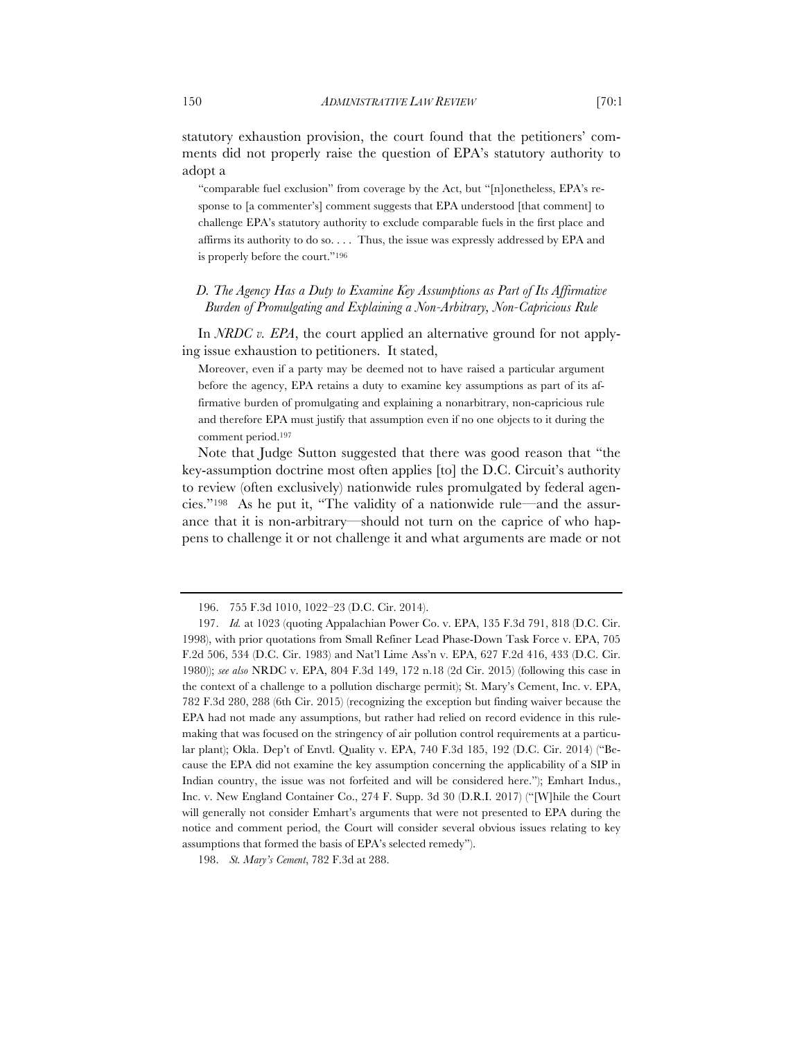statutory exhaustion provision, the court found that the petitioners' comments did not properly raise the question of EPA's statutory authority to adopt a

"comparable fuel exclusion" from coverage by the Act, but "[n]onetheless, EPA's response to [a commenter's] comment suggests that EPA understood [that comment] to challenge EPA's statutory authority to exclude comparable fuels in the first place and affirms its authority to do so. . . . Thus, the issue was expressly addressed by EPA and is properly before the court."196

# *D. The Agency Has a Duty to Examine Key Assumptions as Part of Its Affirmative Burden of Promulgating and Explaining a Non-Arbitrary, Non-Capricious Rule*

In *NRDC v. EPA*, the court applied an alternative ground for not applying issue exhaustion to petitioners. It stated,

Moreover, even if a party may be deemed not to have raised a particular argument before the agency, EPA retains a duty to examine key assumptions as part of its affirmative burden of promulgating and explaining a nonarbitrary, non-capricious rule and therefore EPA must justify that assumption even if no one objects to it during the comment period.197

Note that Judge Sutton suggested that there was good reason that "the key-assumption doctrine most often applies [to] the D.C. Circuit's authority to review (often exclusively) nationwide rules promulgated by federal agencies."198 As he put it, "The validity of a nationwide rule—and the assurance that it is non-arbitrary—should not turn on the caprice of who happens to challenge it or not challenge it and what arguments are made or not

<sup>196.</sup> 755 F.3d 1010, 1022–23 (D.C. Cir. 2014).

<sup>197.</sup> *Id.* at 1023 (quoting Appalachian Power Co. v. EPA, 135 F.3d 791, 818 (D.C. Cir. 1998), with prior quotations from Small Refiner Lead Phase-Down Task Force v. EPA, 705 F.2d 506, 534 (D.C. Cir. 1983) and Nat'l Lime Ass'n v. EPA, 627 F.2d 416, 433 (D.C. Cir. 1980)); *see also* NRDC v. EPA, 804 F.3d 149, 172 n.18 (2d Cir. 2015) (following this case in the context of a challenge to a pollution discharge permit); St. Mary's Cement, Inc. v. EPA, 782 F.3d 280, 288 (6th Cir. 2015) (recognizing the exception but finding waiver because the EPA had not made any assumptions, but rather had relied on record evidence in this rulemaking that was focused on the stringency of air pollution control requirements at a particular plant); Okla. Dep't of Envtl. Quality v. EPA, 740 F.3d 185, 192 (D.C. Cir. 2014) ("Because the EPA did not examine the key assumption concerning the applicability of a SIP in Indian country, the issue was not forfeited and will be considered here."); Emhart Indus., Inc. v. New England Container Co., 274 F. Supp. 3d 30 (D.R.I. 2017) ("[W]hile the Court will generally not consider Emhart's arguments that were not presented to EPA during the notice and comment period, the Court will consider several obvious issues relating to key assumptions that formed the basis of EPA's selected remedy").

<sup>198.</sup> *St. Mary's Cement*, 782 F.3d at 288.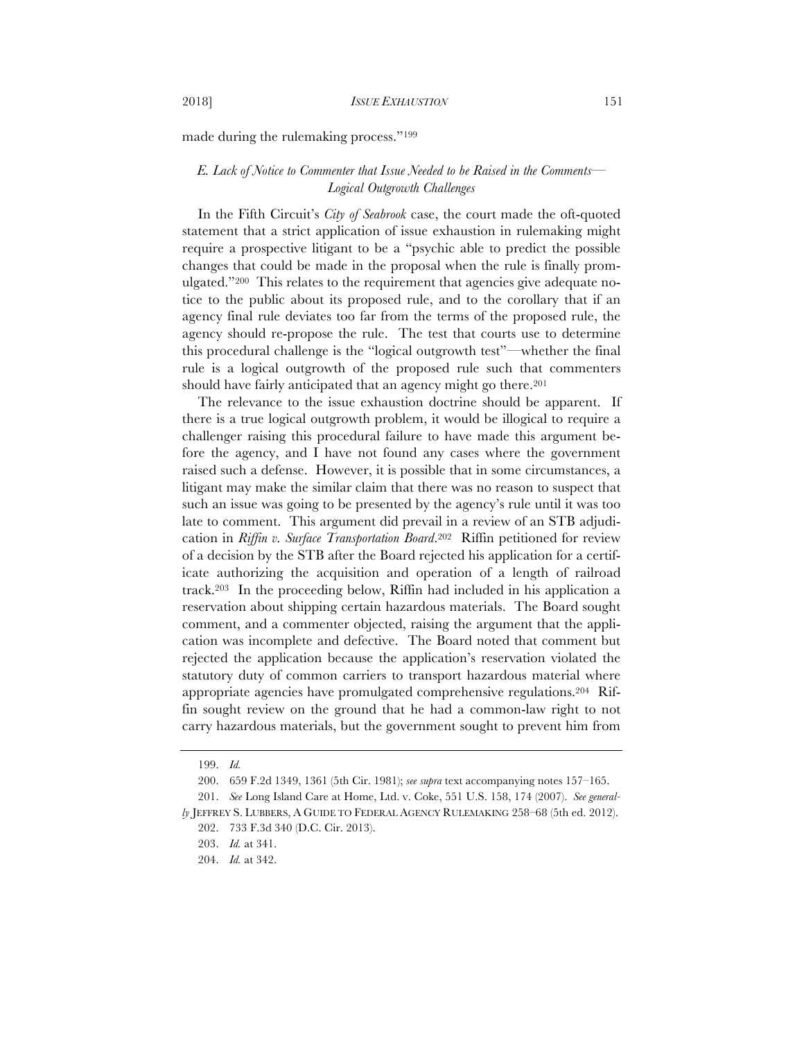made during the rulemaking process."199

# *E. Lack of Notice to Commenter that Issue Needed to be Raised in the Comments— Logical Outgrowth Challenges*

In the Fifth Circuit's *City of Seabrook* case, the court made the oft-quoted statement that a strict application of issue exhaustion in rulemaking might require a prospective litigant to be a "psychic able to predict the possible changes that could be made in the proposal when the rule is finally promulgated."200 This relates to the requirement that agencies give adequate notice to the public about its proposed rule, and to the corollary that if an agency final rule deviates too far from the terms of the proposed rule, the agency should re-propose the rule. The test that courts use to determine this procedural challenge is the "logical outgrowth test"—whether the final rule is a logical outgrowth of the proposed rule such that commenters should have fairly anticipated that an agency might go there.<sup>201</sup>

The relevance to the issue exhaustion doctrine should be apparent. If there is a true logical outgrowth problem, it would be illogical to require a challenger raising this procedural failure to have made this argument before the agency, and I have not found any cases where the government raised such a defense. However, it is possible that in some circumstances, a litigant may make the similar claim that there was no reason to suspect that such an issue was going to be presented by the agency's rule until it was too late to comment. This argument did prevail in a review of an STB adjudication in *Riffin v. Surface Transportation Board*.202 Riffin petitioned for review of a decision by the STB after the Board rejected his application for a certificate authorizing the acquisition and operation of a length of railroad track.203 In the proceeding below, Riffin had included in his application a reservation about shipping certain hazardous materials. The Board sought comment, and a commenter objected, raising the argument that the application was incomplete and defective. The Board noted that comment but rejected the application because the application's reservation violated the statutory duty of common carriers to transport hazardous material where appropriate agencies have promulgated comprehensive regulations.204 Riffin sought review on the ground that he had a common-law right to not carry hazardous materials, but the government sought to prevent him from

<sup>199.</sup> *Id.*

<sup>200.</sup> 659 F.2d 1349, 1361 (5th Cir. 1981); *see supra* text accompanying notes 157–165.

<sup>201.</sup> *See* Long Island Care at Home, Ltd. v. Coke, 551 U.S. 158, 174 (2007). *See generally* JEFFREY S. LUBBERS, A GUIDE TO FEDERAL AGENCY RULEMAKING 258–68 (5th ed. 2012).

<sup>202.</sup> 733 F.3d 340 (D.C. Cir. 2013).

<sup>203.</sup> *Id.* at 341.

<sup>204.</sup> *Id.* at 342.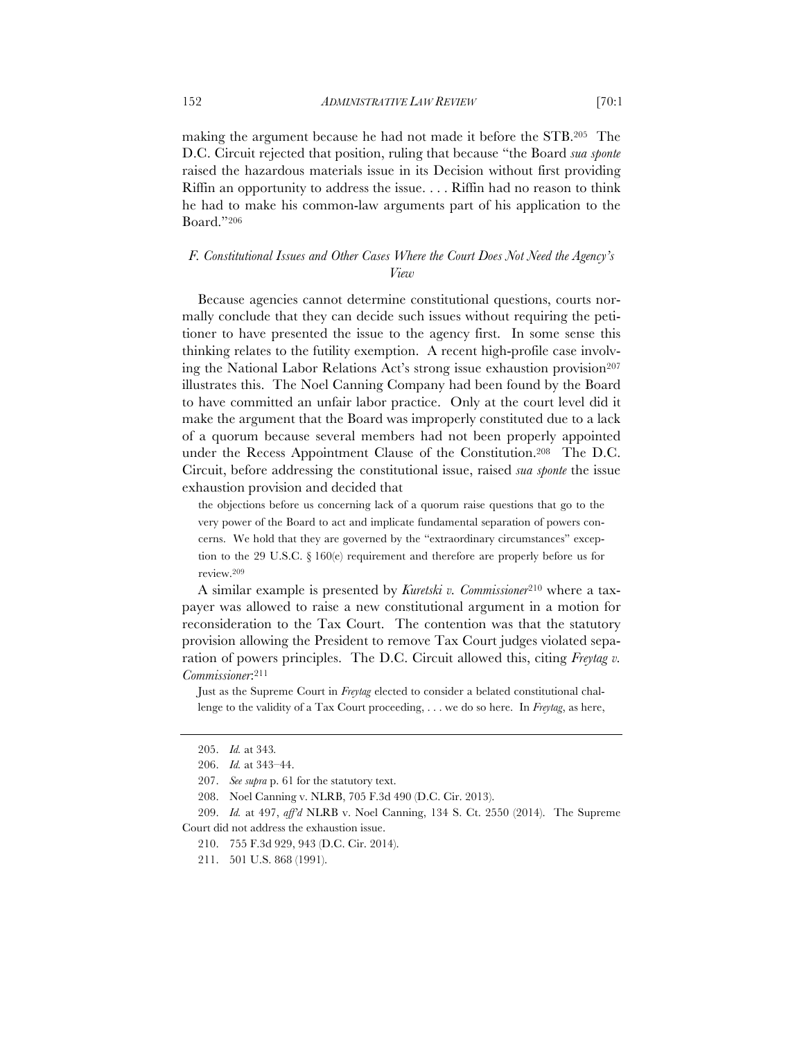making the argument because he had not made it before the STB.205 The D.C. Circuit rejected that position, ruling that because "the Board *sua sponte* raised the hazardous materials issue in its Decision without first providing Riffin an opportunity to address the issue. . . . Riffin had no reason to think he had to make his common-law arguments part of his application to the Board."206

# *F. Constitutional Issues and Other Cases Where the Court Does Not Need the Agency's View*

Because agencies cannot determine constitutional questions, courts normally conclude that they can decide such issues without requiring the petitioner to have presented the issue to the agency first. In some sense this thinking relates to the futility exemption. A recent high-profile case involving the National Labor Relations Act's strong issue exhaustion provision<sup>207</sup> illustrates this. The Noel Canning Company had been found by the Board to have committed an unfair labor practice. Only at the court level did it make the argument that the Board was improperly constituted due to a lack of a quorum because several members had not been properly appointed under the Recess Appointment Clause of the Constitution.208 The D.C. Circuit, before addressing the constitutional issue, raised *sua sponte* the issue exhaustion provision and decided that

the objections before us concerning lack of a quorum raise questions that go to the very power of the Board to act and implicate fundamental separation of powers concerns. We hold that they are governed by the "extraordinary circumstances" exception to the 29 U.S.C. § 160(e) requirement and therefore are properly before us for review.209

A similar example is presented by *Kuretski v. Commissioner*<sup>210</sup> where a taxpayer was allowed to raise a new constitutional argument in a motion for reconsideration to the Tax Court. The contention was that the statutory provision allowing the President to remove Tax Court judges violated separation of powers principles. The D.C. Circuit allowed this, citing *Freytag v. Commissioner*:211

Just as the Supreme Court in *Freytag* elected to consider a belated constitutional challenge to the validity of a Tax Court proceeding, . . . we do so here. In *Freytag*, as here,

<sup>205.</sup> *Id.* at 343*.*

<sup>206.</sup> *Id.* at 343–44.

<sup>207.</sup> *See supra* p. 61 for the statutory text.

<sup>208.</sup> Noel Canning v. NLRB, 705 F.3d 490 (D.C. Cir. 2013).

<sup>209.</sup> *Id.* at 497, *aff'd* NLRB v. Noel Canning, 134 S. Ct. 2550 (2014). The Supreme Court did not address the exhaustion issue.

<sup>210.</sup> 755 F.3d 929, 943 (D.C. Cir. 2014).

<sup>211.</sup> 501 U.S. 868 (1991).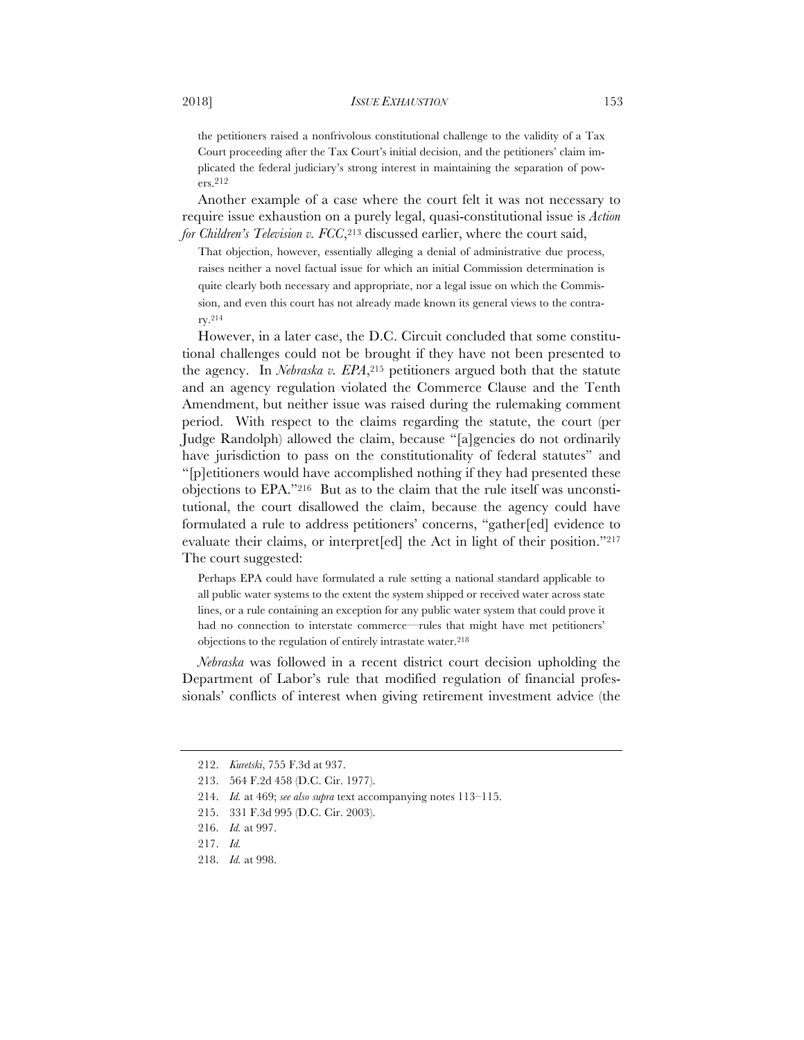the petitioners raised a nonfrivolous constitutional challenge to the validity of a Tax Court proceeding after the Tax Court's initial decision, and the petitioners' claim implicated the federal judiciary's strong interest in maintaining the separation of powers.212

Another example of a case where the court felt it was not necessary to require issue exhaustion on a purely legal, quasi-constitutional issue is *Action for Children's Television v. FCC*,213 discussed earlier, where the court said,

That objection, however, essentially alleging a denial of administrative due process, raises neither a novel factual issue for which an initial Commission determination is quite clearly both necessary and appropriate, nor a legal issue on which the Commission, and even this court has not already made known its general views to the contrary.214

However, in a later case, the D.C. Circuit concluded that some constitutional challenges could not be brought if they have not been presented to the agency. In *Nebraska v. EPA*,215 petitioners argued both that the statute and an agency regulation violated the Commerce Clause and the Tenth Amendment, but neither issue was raised during the rulemaking comment period. With respect to the claims regarding the statute, the court (per Judge Randolph) allowed the claim, because "[a]gencies do not ordinarily have jurisdiction to pass on the constitutionality of federal statutes" and "[p]etitioners would have accomplished nothing if they had presented these objections to EPA."216 But as to the claim that the rule itself was unconstitutional, the court disallowed the claim, because the agency could have formulated a rule to address petitioners' concerns, "gather[ed] evidence to evaluate their claims, or interpret[ed] the Act in light of their position."217 The court suggested:

Perhaps EPA could have formulated a rule setting a national standard applicable to all public water systems to the extent the system shipped or received water across state lines, or a rule containing an exception for any public water system that could prove it had no connection to interstate commerce—rules that might have met petitioners' objections to the regulation of entirely intrastate water.218

*Nebraska* was followed in a recent district court decision upholding the Department of Labor's rule that modified regulation of financial professionals' conflicts of interest when giving retirement investment advice (the

<sup>212.</sup> *Kuretski*, 755 F.3d at 937.

<sup>213.</sup> 564 F.2d 458 (D.C. Cir. 1977).

<sup>214.</sup> *Id.* at 469; *see also supra* text accompanying notes 113–115.

<sup>215.</sup> 331 F.3d 995 (D.C. Cir. 2003).

<sup>216.</sup> *Id.* at 997.

<sup>217.</sup> *Id.*

<sup>218.</sup> *Id.* at 998.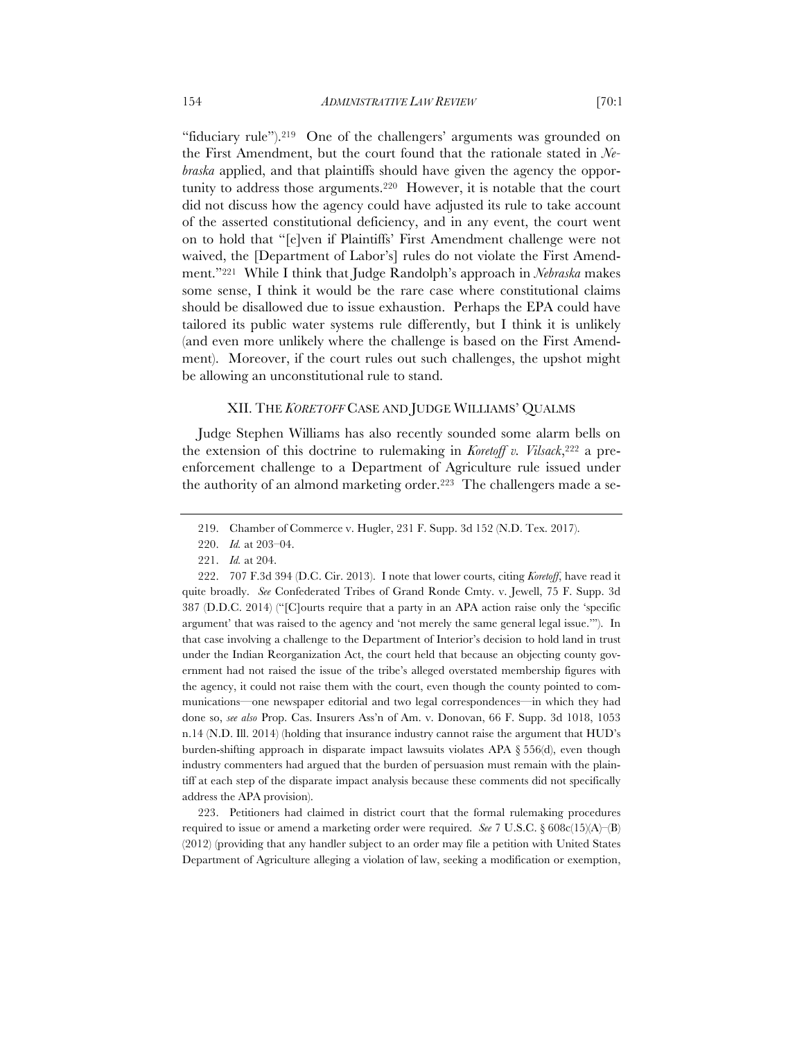"fiduciary rule").219 One of the challengers' arguments was grounded on the First Amendment, but the court found that the rationale stated in *Nebraska* applied, and that plaintiffs should have given the agency the opportunity to address those arguments.<sup>220</sup> However, it is notable that the court did not discuss how the agency could have adjusted its rule to take account of the asserted constitutional deficiency, and in any event, the court went on to hold that "[e]ven if Plaintiffs' First Amendment challenge were not waived, the [Department of Labor's] rules do not violate the First Amendment."221 While I think that Judge Randolph's approach in *Nebraska* makes some sense, I think it would be the rare case where constitutional claims should be disallowed due to issue exhaustion. Perhaps the EPA could have tailored its public water systems rule differently, but I think it is unlikely (and even more unlikely where the challenge is based on the First Amendment). Moreover, if the court rules out such challenges, the upshot might be allowing an unconstitutional rule to stand.

#### XII. THE *KORETOFF* CASE AND JUDGE WILLIAMS' QUALMS

Judge Stephen Williams has also recently sounded some alarm bells on the extension of this doctrine to rulemaking in *Koretoff v. Vilsack*,222 a preenforcement challenge to a Department of Agriculture rule issued under the authority of an almond marketing order.<sup>223</sup> The challengers made a se-

222. 707 F.3d 394 (D.C. Cir. 2013). I note that lower courts, citing *Koretoff*, have read it quite broadly. *See* Confederated Tribes of Grand Ronde Cmty. v. Jewell, 75 F. Supp. 3d 387 (D.D.C. 2014) ("[C]ourts require that a party in an APA action raise only the 'specific argument' that was raised to the agency and 'not merely the same general legal issue.'"). In that case involving a challenge to the Department of Interior's decision to hold land in trust under the Indian Reorganization Act, the court held that because an objecting county government had not raised the issue of the tribe's alleged overstated membership figures with the agency, it could not raise them with the court, even though the county pointed to communications—one newspaper editorial and two legal correspondences—in which they had done so, *see also* Prop. Cas. Insurers Ass'n of Am. v. Donovan, 66 F. Supp. 3d 1018, 1053 n.14 (N.D. Ill. 2014) (holding that insurance industry cannot raise the argument that HUD's burden-shifting approach in disparate impact lawsuits violates APA § 556(d), even though industry commenters had argued that the burden of persuasion must remain with the plaintiff at each step of the disparate impact analysis because these comments did not specifically address the APA provision).

223. Petitioners had claimed in district court that the formal rulemaking procedures required to issue or amend a marketing order were required. *See* 7 U.S.C. § 608c(15)(A)–(B) (2012) (providing that any handler subject to an order may file a petition with United States Department of Agriculture alleging a violation of law, seeking a modification or exemption,

<sup>219.</sup> Chamber of Commerce v. Hugler, 231 F. Supp. 3d 152 (N.D. Tex. 2017).

<sup>220.</sup> *Id.* at 203–04.

<sup>221.</sup> *Id.* at 204.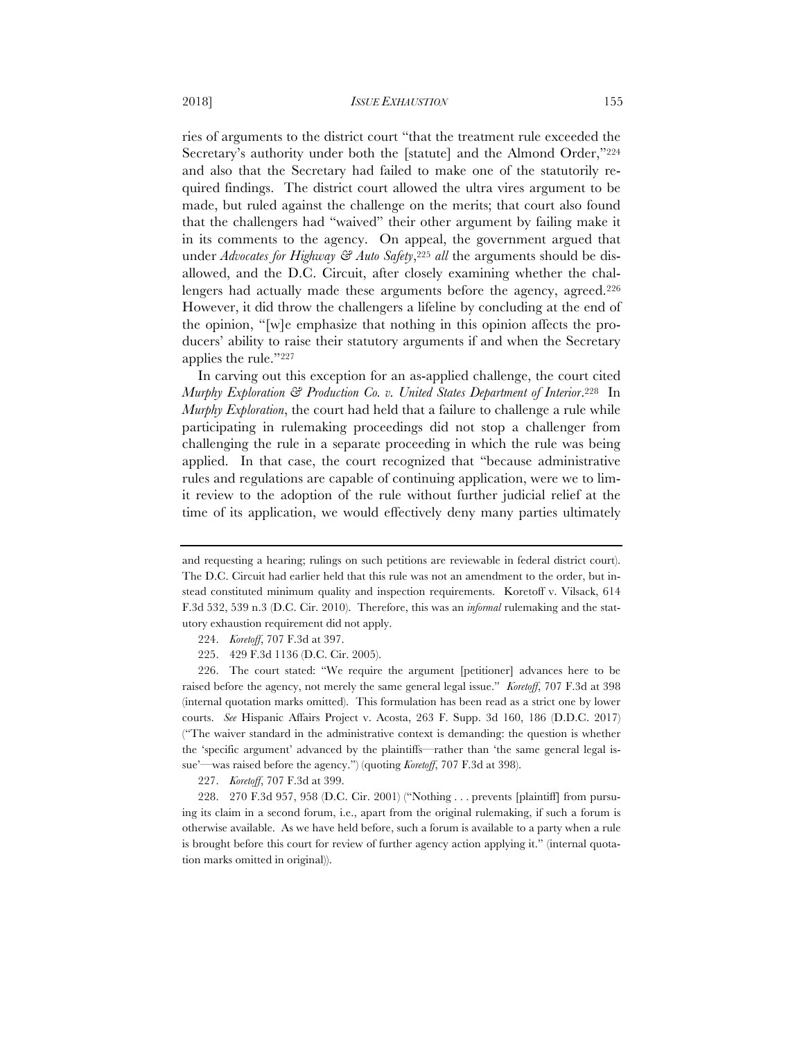ries of arguments to the district court "that the treatment rule exceeded the Secretary's authority under both the [statute] and the Almond Order,"224 and also that the Secretary had failed to make one of the statutorily required findings. The district court allowed the ultra vires argument to be made, but ruled against the challenge on the merits; that court also found that the challengers had "waived" their other argument by failing make it in its comments to the agency. On appeal, the government argued that under *Advocates for Highway & Auto Safety*,<sup>225</sup> *all* the arguments should be disallowed, and the D.C. Circuit, after closely examining whether the challengers had actually made these arguments before the agency, agreed.226 However, it did throw the challengers a lifeline by concluding at the end of the opinion, "[w]e emphasize that nothing in this opinion affects the producers' ability to raise their statutory arguments if and when the Secretary applies the rule."227

In carving out this exception for an as-applied challenge, the court cited *Murphy Exploration & Production Co. v. United States Department of Interior*.228 In *Murphy Exploration*, the court had held that a failure to challenge a rule while participating in rulemaking proceedings did not stop a challenger from challenging the rule in a separate proceeding in which the rule was being applied. In that case, the court recognized that "because administrative rules and regulations are capable of continuing application, were we to limit review to the adoption of the rule without further judicial relief at the time of its application, we would effectively deny many parties ultimately

- 224. *Koretoff*, 707 F.3d at 397.
- 225. 429 F.3d 1136 (D.C. Cir. 2005).

226. The court stated: "We require the argument [petitioner] advances here to be raised before the agency, not merely the same general legal issue." *Koretoff*, 707 F.3d at 398 (internal quotation marks omitted). This formulation has been read as a strict one by lower courts. *See* Hispanic Affairs Project v. Acosta, 263 F. Supp. 3d 160, 186 (D.D.C. 2017) ("The waiver standard in the administrative context is demanding: the question is whether the 'specific argument' advanced by the plaintiffs—rather than 'the same general legal issue'—was raised before the agency.") (quoting *Koretoff*, 707 F.3d at 398).

227. *Koretoff*, 707 F.3d at 399.

228. 270 F.3d 957, 958 (D.C. Cir. 2001) ("Nothing . . . prevents [plaintiff] from pursuing its claim in a second forum, i.e., apart from the original rulemaking, if such a forum is otherwise available. As we have held before, such a forum is available to a party when a rule is brought before this court for review of further agency action applying it." (internal quotation marks omitted in original)).

and requesting a hearing; rulings on such petitions are reviewable in federal district court). The D.C. Circuit had earlier held that this rule was not an amendment to the order, but instead constituted minimum quality and inspection requirements. Koretoff v. Vilsack, 614 F.3d 532, 539 n.3 (D.C. Cir. 2010). Therefore, this was an *informal* rulemaking and the statutory exhaustion requirement did not apply.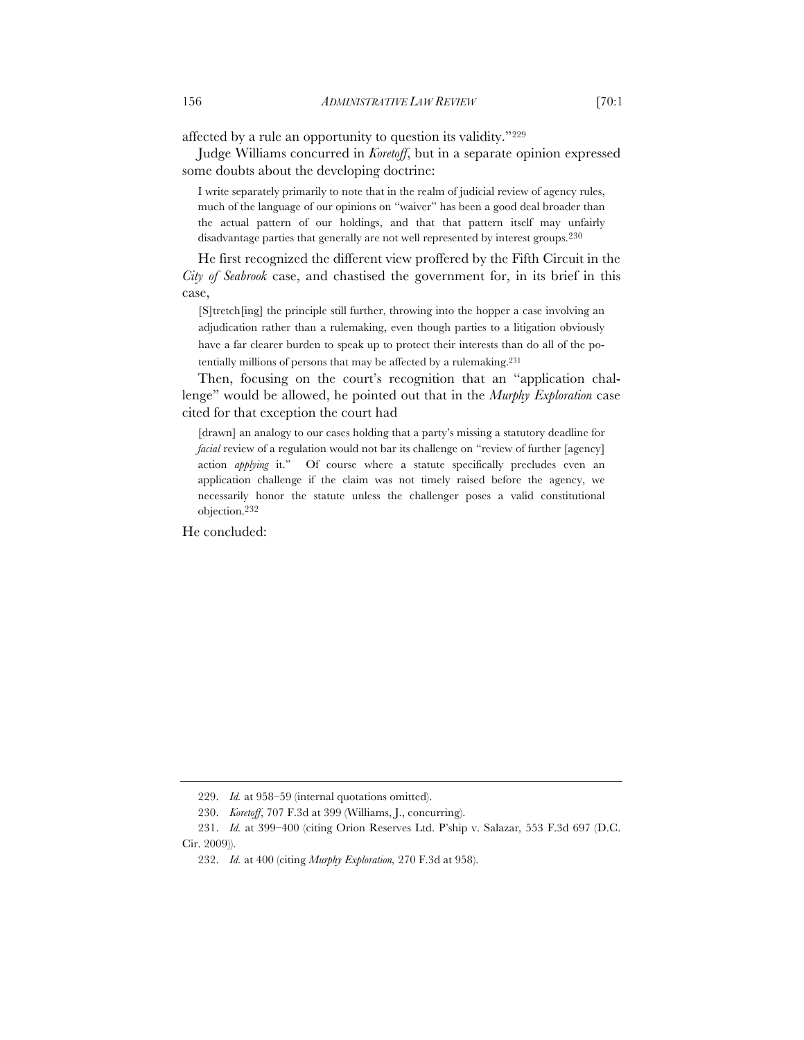affected by a rule an opportunity to question its validity."229

Judge Williams concurred in *Koretoff*, but in a separate opinion expressed some doubts about the developing doctrine:

I write separately primarily to note that in the realm of judicial review of agency rules, much of the language of our opinions on "waiver" has been a good deal broader than the actual pattern of our holdings, and that that pattern itself may unfairly disadvantage parties that generally are not well represented by interest groups.230

He first recognized the different view proffered by the Fifth Circuit in the *City of Seabrook* case, and chastised the government for, in its brief in this case,

[S]tretch[ing] the principle still further, throwing into the hopper a case involving an adjudication rather than a rulemaking, even though parties to a litigation obviously have a far clearer burden to speak up to protect their interests than do all of the potentially millions of persons that may be affected by a rulemaking.231

Then, focusing on the court's recognition that an "application challenge" would be allowed, he pointed out that in the *Murphy Exploration* case cited for that exception the court had

[drawn] an analogy to our cases holding that a party's missing a statutory deadline for *facial* review of a regulation would not bar its challenge on "review of further [agency] action *applying* it." Of course where a statute specifically precludes even an application challenge if the claim was not timely raised before the agency, we necessarily honor the statute unless the challenger poses a valid constitutional objection.232

He concluded:

<sup>229.</sup> *Id.* at 958–59 (internal quotations omitted).

<sup>230.</sup> *Koretoff*, 707 F.3d at 399 (Williams, J., concurring).

<sup>231.</sup> *Id.* at 399–400 (citing Orion Reserves Ltd. P'ship v. Salazar*,* 553 F.3d 697 (D.C. Cir. 2009)).

<sup>232.</sup> *Id.* at 400 (citing *Murphy Exploration,* 270 F.3d at 958).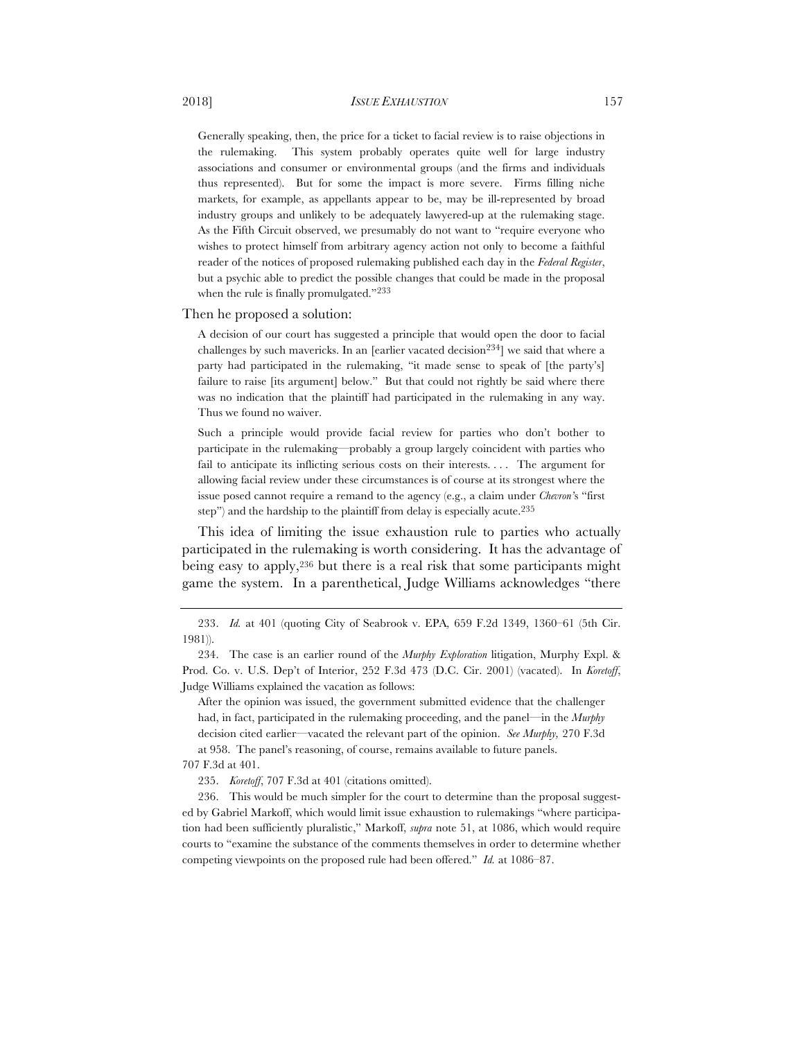#### 2018] *ISSUE EXHAUSTION* 157

Generally speaking, then, the price for a ticket to facial review is to raise objections in the rulemaking. This system probably operates quite well for large industry associations and consumer or environmental groups (and the firms and individuals thus represented). But for some the impact is more severe. Firms filling niche markets, for example, as appellants appear to be, may be ill-represented by broad industry groups and unlikely to be adequately lawyered-up at the rulemaking stage. As the Fifth Circuit observed, we presumably do not want to "require everyone who wishes to protect himself from arbitrary agency action not only to become a faithful reader of the notices of proposed rulemaking published each day in the *Federal Register*, but a psychic able to predict the possible changes that could be made in the proposal when the rule is finally promulgated."233

# Then he proposed a solution:

A decision of our court has suggested a principle that would open the door to facial challenges by such mavericks. In an [earlier vacated decision<sup>234</sup>] we said that where a party had participated in the rulemaking, "it made sense to speak of [the party's] failure to raise [its argument] below." But that could not rightly be said where there was no indication that the plaintiff had participated in the rulemaking in any way. Thus we found no waiver.

Such a principle would provide facial review for parties who don't bother to participate in the rulemaking—probably a group largely coincident with parties who fail to anticipate its inflicting serious costs on their interests.... The argument for allowing facial review under these circumstances is of course at its strongest where the issue posed cannot require a remand to the agency (e.g., a claim under *Chevron'*s "first step") and the hardship to the plaintiff from delay is especially acute.235

This idea of limiting the issue exhaustion rule to parties who actually participated in the rulemaking is worth considering. It has the advantage of being easy to apply,<sup>236</sup> but there is a real risk that some participants might game the system. In a parenthetical, Judge Williams acknowledges "there

<sup>233.</sup> *Id.* at 401 (quoting City of Seabrook v. EPA*,* 659 F.2d 1349, 1360–61 (5th Cir. 1981)).

<sup>234.</sup> The case is an earlier round of the *Murphy Exploration* litigation, Murphy Expl. & Prod. Co. v. U.S. Dep't of Interior, 252 F.3d 473 (D.C. Cir. 2001) (vacated). In *Koretoff*, Judge Williams explained the vacation as follows:

After the opinion was issued, the government submitted evidence that the challenger had, in fact, participated in the rulemaking proceeding, and the panel—in the *Murphy* decision cited earlier—vacated the relevant part of the opinion. *See Murphy,* 270 F.3d at 958. The panel's reasoning, of course, remains available to future panels.

<sup>707</sup> F.3d at 401.

<sup>235.</sup> *Koretoff*, 707 F.3d at 401 (citations omitted).

<sup>236.</sup> This would be much simpler for the court to determine than the proposal suggested by Gabriel Markoff, which would limit issue exhaustion to rulemakings "where participation had been sufficiently pluralistic," Markoff, *supra* note 51, at 1086, which would require courts to "examine the substance of the comments themselves in order to determine whether competing viewpoints on the proposed rule had been offered." *Id.* at 1086–87.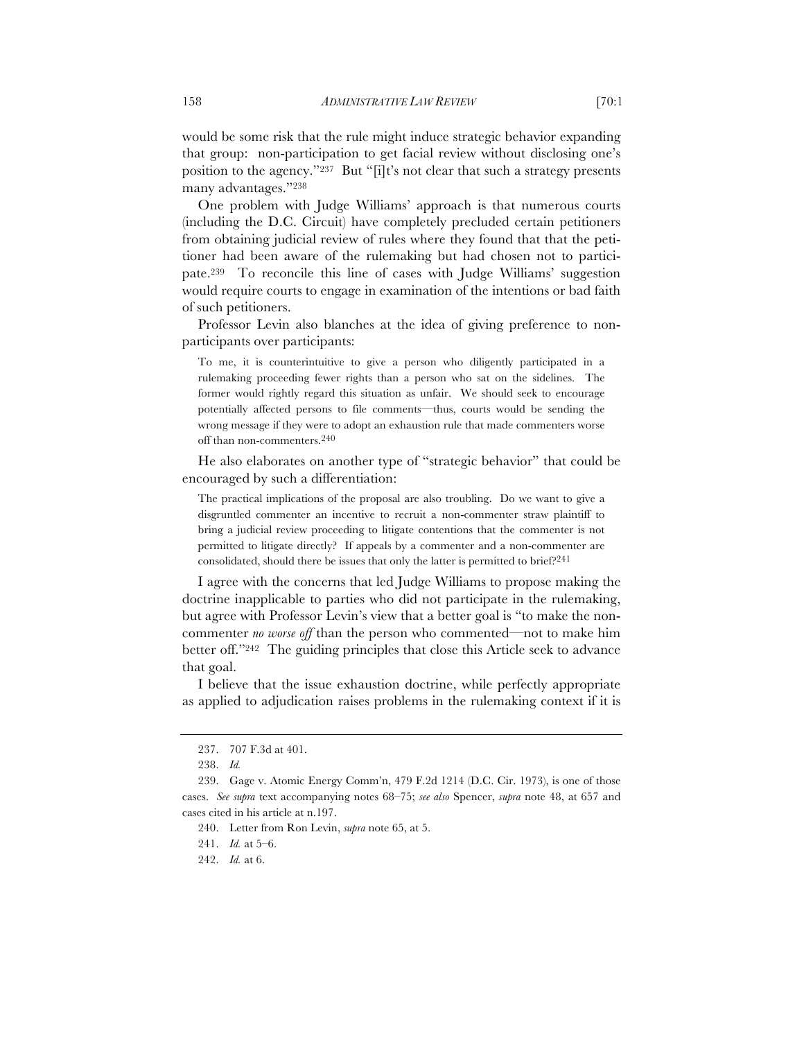would be some risk that the rule might induce strategic behavior expanding that group: non-participation to get facial review without disclosing one's position to the agency."237 But "[i]t's not clear that such a strategy presents many advantages."238

One problem with Judge Williams' approach is that numerous courts (including the D.C. Circuit) have completely precluded certain petitioners from obtaining judicial review of rules where they found that that the petitioner had been aware of the rulemaking but had chosen not to participate.239 To reconcile this line of cases with Judge Williams' suggestion would require courts to engage in examination of the intentions or bad faith of such petitioners.

Professor Levin also blanches at the idea of giving preference to nonparticipants over participants:

To me, it is counterintuitive to give a person who diligently participated in a rulemaking proceeding fewer rights than a person who sat on the sidelines. The former would rightly regard this situation as unfair. We should seek to encourage potentially affected persons to file comments—thus, courts would be sending the wrong message if they were to adopt an exhaustion rule that made commenters worse off than non-commenters.240

He also elaborates on another type of "strategic behavior" that could be encouraged by such a differentiation:

The practical implications of the proposal are also troubling. Do we want to give a disgruntled commenter an incentive to recruit a non-commenter straw plaintiff to bring a judicial review proceeding to litigate contentions that the commenter is not permitted to litigate directly? If appeals by a commenter and a non-commenter are consolidated, should there be issues that only the latter is permitted to brief?241

I agree with the concerns that led Judge Williams to propose making the doctrine inapplicable to parties who did not participate in the rulemaking, but agree with Professor Levin's view that a better goal is "to make the noncommenter *no worse off* than the person who commented—not to make him better off."242 The guiding principles that close this Article seek to advance that goal.

I believe that the issue exhaustion doctrine, while perfectly appropriate as applied to adjudication raises problems in the rulemaking context if it is

<sup>237.</sup> 707 F.3d at 401.

<sup>238.</sup> *Id.*

<sup>239.</sup> Gage v. Atomic Energy Comm'n, 479 F.2d 1214 (D.C. Cir. 1973), is one of those cases. *See supra* text accompanying notes 68–75; *see also* Spencer, *supra* note 48, at 657 and cases cited in his article at n.197.

<sup>240.</sup> Letter from Ron Levin, *supra* note 65, at 5.

<sup>241.</sup> *Id.* at 5–6.

<sup>242.</sup> *Id.* at 6.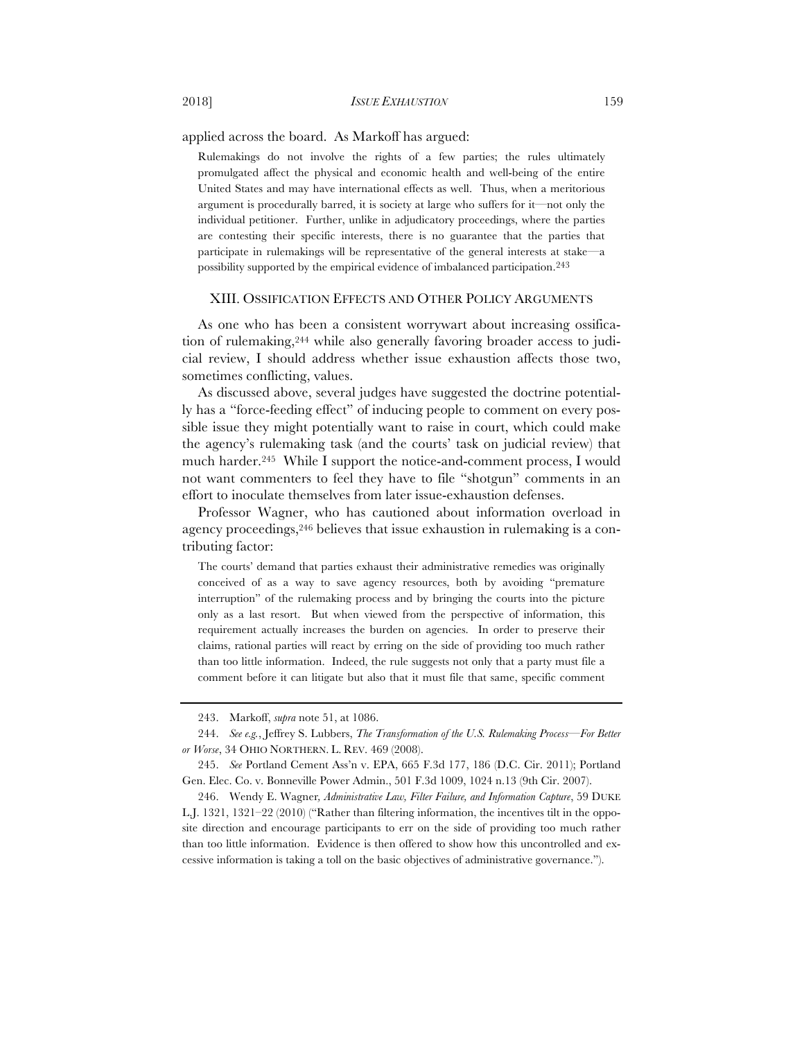applied across the board. As Markoff has argued:

Rulemakings do not involve the rights of a few parties; the rules ultimately promulgated affect the physical and economic health and well-being of the entire United States and may have international effects as well. Thus, when a meritorious argument is procedurally barred, it is society at large who suffers for it—not only the individual petitioner. Further, unlike in adjudicatory proceedings, where the parties are contesting their specific interests, there is no guarantee that the parties that participate in rulemakings will be representative of the general interests at stake—a possibility supported by the empirical evidence of imbalanced participation.243

# XIII. OSSIFICATION EFFECTS AND OTHER POLICY ARGUMENTS

As one who has been a consistent worrywart about increasing ossification of rulemaking,244 while also generally favoring broader access to judicial review, I should address whether issue exhaustion affects those two, sometimes conflicting, values.

As discussed above, several judges have suggested the doctrine potentially has a "force-feeding effect" of inducing people to comment on every possible issue they might potentially want to raise in court, which could make the agency's rulemaking task (and the courts' task on judicial review) that much harder.245 While I support the notice-and-comment process, I would not want commenters to feel they have to file "shotgun" comments in an effort to inoculate themselves from later issue-exhaustion defenses.

Professor Wagner, who has cautioned about information overload in agency proceedings,246 believes that issue exhaustion in rulemaking is a contributing factor:

The courts' demand that parties exhaust their administrative remedies was originally conceived of as a way to save agency resources, both by avoiding "premature interruption" of the rulemaking process and by bringing the courts into the picture only as a last resort. But when viewed from the perspective of information, this requirement actually increases the burden on agencies. In order to preserve their claims, rational parties will react by erring on the side of providing too much rather than too little information. Indeed, the rule suggests not only that a party must file a comment before it can litigate but also that it must file that same, specific comment

<sup>243.</sup> Markoff, *supra* note 51, at 1086.

<sup>244.</sup> *See e.g.*, Jeffrey S. Lubbers, *The Transformation of the U.S. Rulemaking Process—For Better or Worse*, 34 OHIO NORTHERN. L. REV. 469 (2008).

<sup>245.</sup> *See* Portland Cement Ass'n v. EPA, 665 F.3d 177, 186 (D.C. Cir. 2011); Portland Gen. Elec. Co. v. Bonneville Power Admin., 501 F.3d 1009, 1024 n.13 (9th Cir. 2007).

<sup>246.</sup> Wendy E. Wagner*, Administrative Law, Filter Failure, and Information Capture*, 59 DUKE L.J. 1321, 1321–22 (2010) ("Rather than filtering information, the incentives tilt in the opposite direction and encourage participants to err on the side of providing too much rather than too little information. Evidence is then offered to show how this uncontrolled and excessive information is taking a toll on the basic objectives of administrative governance.").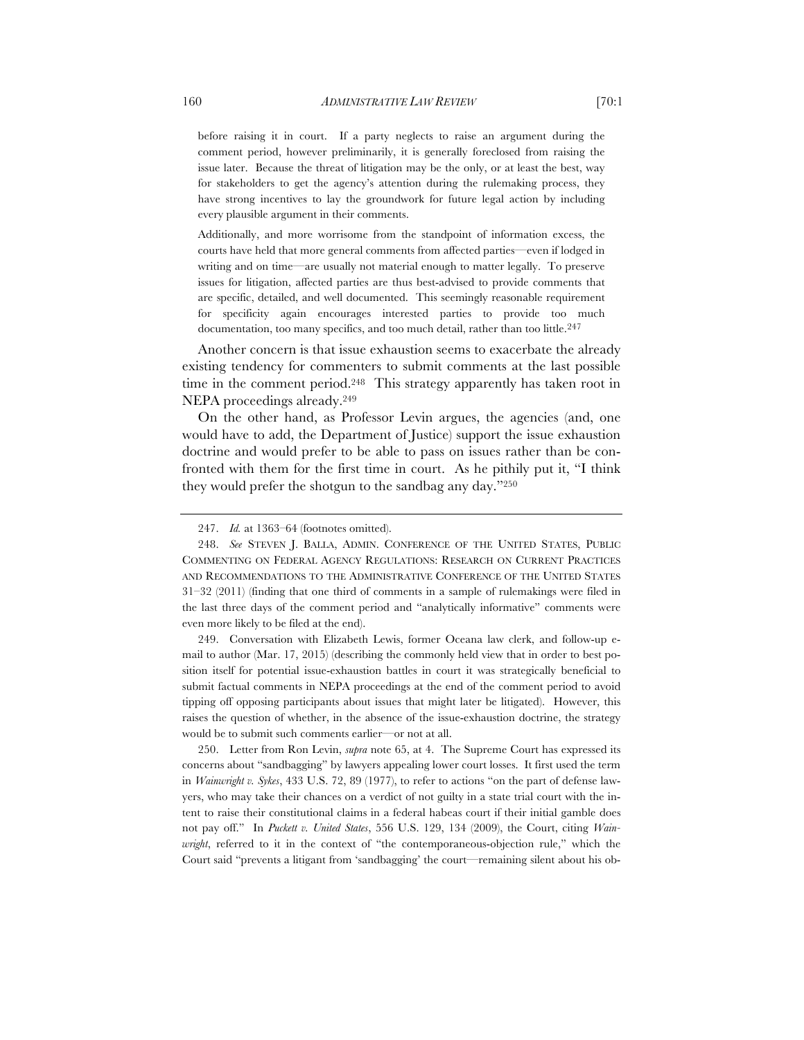before raising it in court. If a party neglects to raise an argument during the comment period, however preliminarily, it is generally foreclosed from raising the issue later. Because the threat of litigation may be the only, or at least the best, way for stakeholders to get the agency's attention during the rulemaking process, they have strong incentives to lay the groundwork for future legal action by including every plausible argument in their comments.

Additionally, and more worrisome from the standpoint of information excess, the courts have held that more general comments from affected parties—even if lodged in writing and on time—are usually not material enough to matter legally. To preserve issues for litigation, affected parties are thus best-advised to provide comments that are specific, detailed, and well documented. This seemingly reasonable requirement for specificity again encourages interested parties to provide too much documentation, too many specifics, and too much detail, rather than too little.<sup>247</sup>

Another concern is that issue exhaustion seems to exacerbate the already existing tendency for commenters to submit comments at the last possible time in the comment period.248 This strategy apparently has taken root in NEPA proceedings already.249

On the other hand, as Professor Levin argues, the agencies (and, one would have to add, the Department of Justice) support the issue exhaustion doctrine and would prefer to be able to pass on issues rather than be confronted with them for the first time in court. As he pithily put it, "I think they would prefer the shotgun to the sandbag any day."250

249. Conversation with Elizabeth Lewis, former Oceana law clerk, and follow-up email to author (Mar. 17, 2015) (describing the commonly held view that in order to best position itself for potential issue-exhaustion battles in court it was strategically beneficial to submit factual comments in NEPA proceedings at the end of the comment period to avoid tipping off opposing participants about issues that might later be litigated). However, this raises the question of whether, in the absence of the issue-exhaustion doctrine, the strategy would be to submit such comments earlier—or not at all.

250. Letter from Ron Levin, *supra* note 65, at 4. The Supreme Court has expressed its concerns about "sandbagging" by lawyers appealing lower court losses. It first used the term in *Wainwright v. Sykes*, 433 U.S. 72, 89 (1977), to refer to actions "on the part of defense lawyers, who may take their chances on a verdict of not guilty in a state trial court with the intent to raise their constitutional claims in a federal habeas court if their initial gamble does not pay off." In *Puckett v. United States*, 556 U.S. 129, 134 (2009), the Court, citing *Wainwright*, referred to it in the context of "the contemporaneous-objection rule," which the Court said "prevents a litigant from 'sandbagging' the court—remaining silent about his ob-

<sup>247.</sup> *Id.* at 1363–64 (footnotes omitted).

<sup>248.</sup> *See* STEVEN J. BALLA, ADMIN. CONFERENCE OF THE UNITED STATES, PUBLIC COMMENTING ON FEDERAL AGENCY REGULATIONS: RESEARCH ON CURRENT PRACTICES AND RECOMMENDATIONS TO THE ADMINISTRATIVE CONFERENCE OF THE UNITED STATES 31–32 (2011) (finding that one third of comments in a sample of rulemakings were filed in the last three days of the comment period and "analytically informative" comments were even more likely to be filed at the end).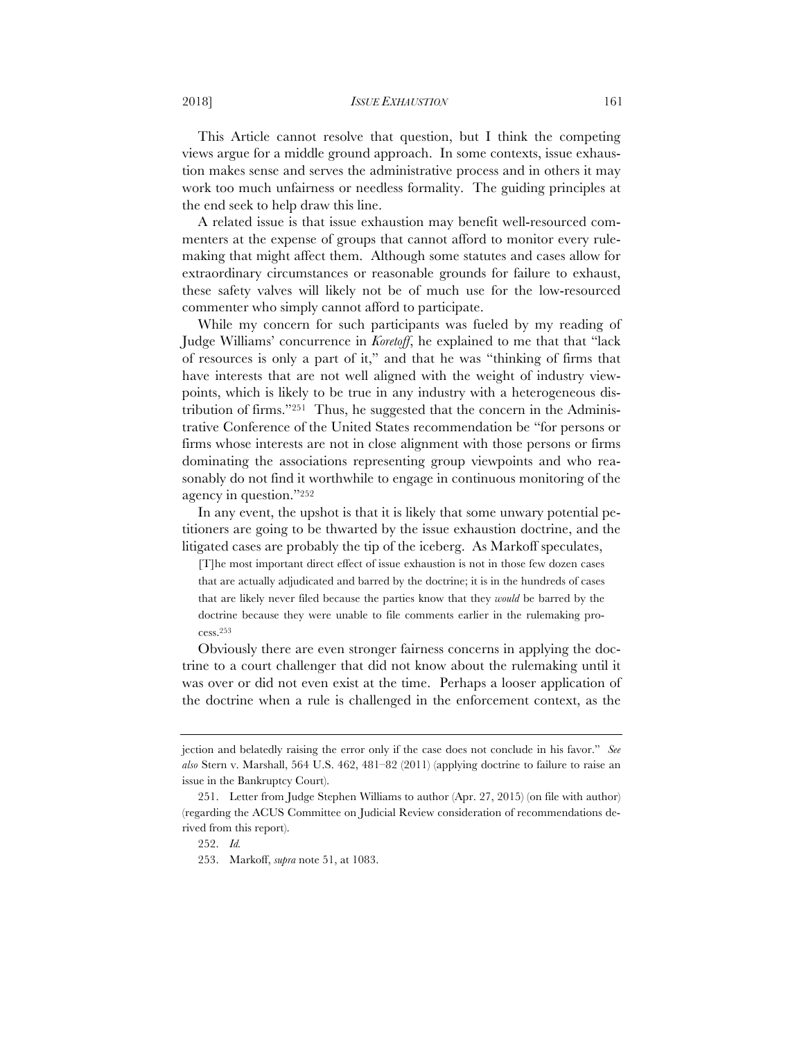2018] *ISSUE EXHAUSTION* 161

This Article cannot resolve that question, but I think the competing views argue for a middle ground approach. In some contexts, issue exhaustion makes sense and serves the administrative process and in others it may work too much unfairness or needless formality. The guiding principles at the end seek to help draw this line.

A related issue is that issue exhaustion may benefit well-resourced commenters at the expense of groups that cannot afford to monitor every rulemaking that might affect them. Although some statutes and cases allow for extraordinary circumstances or reasonable grounds for failure to exhaust, these safety valves will likely not be of much use for the low-resourced commenter who simply cannot afford to participate.

While my concern for such participants was fueled by my reading of Judge Williams' concurrence in *Koretoff*, he explained to me that that "lack of resources is only a part of it," and that he was "thinking of firms that have interests that are not well aligned with the weight of industry viewpoints, which is likely to be true in any industry with a heterogeneous distribution of firms."251 Thus, he suggested that the concern in the Administrative Conference of the United States recommendation be "for persons or firms whose interests are not in close alignment with those persons or firms dominating the associations representing group viewpoints and who reasonably do not find it worthwhile to engage in continuous monitoring of the agency in question."252

In any event, the upshot is that it is likely that some unwary potential petitioners are going to be thwarted by the issue exhaustion doctrine, and the litigated cases are probably the tip of the iceberg. As Markoff speculates,

[T]he most important direct effect of issue exhaustion is not in those few dozen cases that are actually adjudicated and barred by the doctrine; it is in the hundreds of cases that are likely never filed because the parties know that they *would* be barred by the doctrine because they were unable to file comments earlier in the rulemaking process.253

Obviously there are even stronger fairness concerns in applying the doctrine to a court challenger that did not know about the rulemaking until it was over or did not even exist at the time. Perhaps a looser application of the doctrine when a rule is challenged in the enforcement context, as the

252. *Id.*

jection and belatedly raising the error only if the case does not conclude in his favor." *See also* Stern v. Marshall, 564 U.S. 462, 481–82 (2011) (applying doctrine to failure to raise an issue in the Bankruptcy Court).

<sup>251.</sup> Letter from Judge Stephen Williams to author (Apr. 27, 2015) (on file with author) (regarding the ACUS Committee on Judicial Review consideration of recommendations derived from this report).

<sup>253.</sup> Markoff, *supra* note 51, at 1083.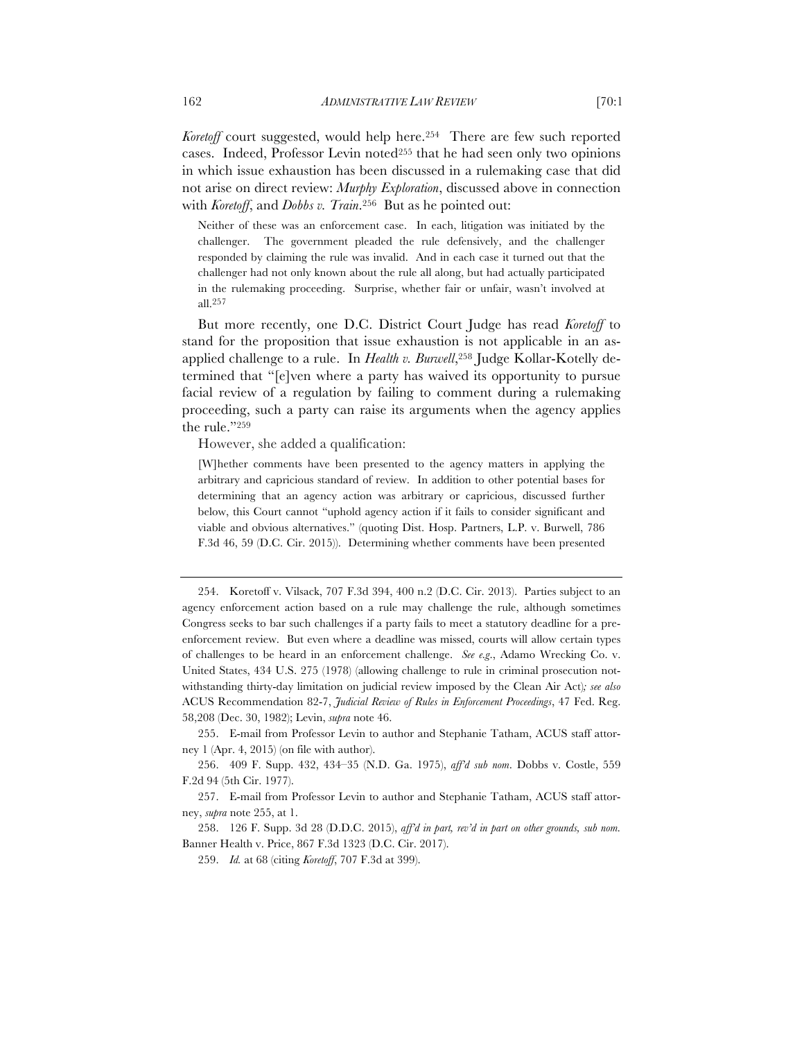*Koretoff* court suggested, would help here.254 There are few such reported cases. Indeed, Professor Levin noted255 that he had seen only two opinions in which issue exhaustion has been discussed in a rulemaking case that did not arise on direct review: *Murphy Exploration*, discussed above in connection with *Koretoff*, and *Dobbs v. Train*.256 But as he pointed out:

Neither of these was an enforcement case. In each, litigation was initiated by the challenger. The government pleaded the rule defensively, and the challenger responded by claiming the rule was invalid. And in each case it turned out that the challenger had not only known about the rule all along, but had actually participated in the rulemaking proceeding. Surprise, whether fair or unfair, wasn't involved at all.257

But more recently, one D.C. District Court Judge has read *Koretoff* to stand for the proposition that issue exhaustion is not applicable in an asapplied challenge to a rule. In *Health v. Burwell*,<sup>258</sup> Judge Kollar-Kotelly determined that "[e]ven where a party has waived its opportunity to pursue facial review of a regulation by failing to comment during a rulemaking proceeding, such a party can raise its arguments when the agency applies the rule."259

However, she added a qualification:

[W]hether comments have been presented to the agency matters in applying the arbitrary and capricious standard of review. In addition to other potential bases for determining that an agency action was arbitrary or capricious, discussed further below, this Court cannot "uphold agency action if it fails to consider significant and viable and obvious alternatives." (quoting Dist. Hosp. Partners, L.P. v. Burwell, 786 F.3d 46, 59 (D.C. Cir. 2015)). Determining whether comments have been presented

<sup>254.</sup> Koretoff v. Vilsack, 707 F.3d 394, 400 n.2 (D.C. Cir. 2013). Parties subject to an agency enforcement action based on a rule may challenge the rule, although sometimes Congress seeks to bar such challenges if a party fails to meet a statutory deadline for a preenforcement review. But even where a deadline was missed, courts will allow certain types of challenges to be heard in an enforcement challenge. *See e.g*., Adamo Wrecking Co. v. United States, 434 U.S. 275 (1978) (allowing challenge to rule in criminal prosecution notwithstanding thirty-day limitation on judicial review imposed by the Clean Air Act)*; see also* ACUS Recommendation 82-7, *Judicial Review of Rules in Enforcement Proceedings*, 47 Fed. Reg. 58,208 (Dec. 30, 1982); Levin, *supra* note 46.

<sup>255.</sup> E-mail from Professor Levin to author and Stephanie Tatham, ACUS staff attorney 1 (Apr. 4, 2015) (on file with author).

<sup>256.</sup> 409 F. Supp. 432, 434–35 (N.D. Ga. 1975), *aff'd sub nom*. Dobbs v. Costle, 559 F.2d 94 (5th Cir. 1977).

<sup>257.</sup> E-mail from Professor Levin to author and Stephanie Tatham, ACUS staff attorney, *supra* note 255, at 1.

<sup>258.</sup> 126 F. Supp. 3d 28 (D.D.C. 2015), *aff'd in part, rev'd in part on other grounds, sub nom.* Banner Health v. Price, 867 F.3d 1323 (D.C. Cir. 2017).

<sup>259.</sup> *Id.* at 68 (citing *Koretoff*, 707 F.3d at 399).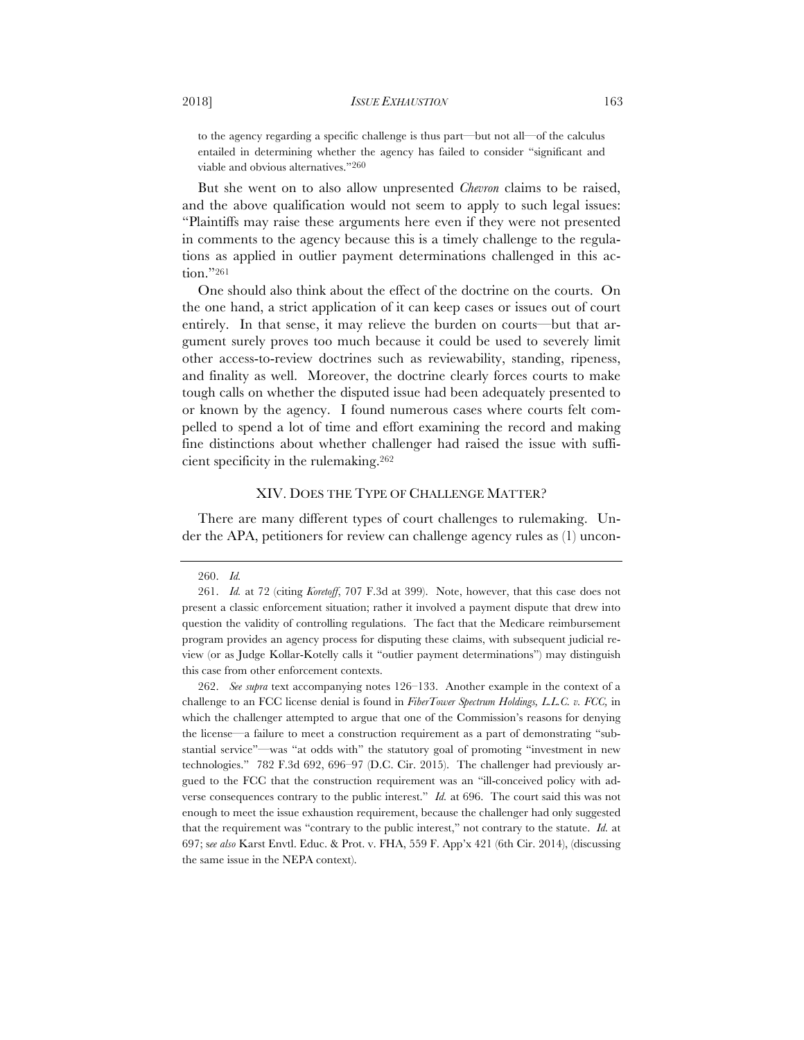to the agency regarding a specific challenge is thus part—but not all—of the calculus entailed in determining whether the agency has failed to consider "significant and viable and obvious alternatives."260

But she went on to also allow unpresented *Chevron* claims to be raised, and the above qualification would not seem to apply to such legal issues: "Plaintiffs may raise these arguments here even if they were not presented in comments to the agency because this is a timely challenge to the regulations as applied in outlier payment determinations challenged in this action."261

One should also think about the effect of the doctrine on the courts. On the one hand, a strict application of it can keep cases or issues out of court entirely. In that sense, it may relieve the burden on courts—but that argument surely proves too much because it could be used to severely limit other access-to-review doctrines such as reviewability, standing, ripeness, and finality as well. Moreover, the doctrine clearly forces courts to make tough calls on whether the disputed issue had been adequately presented to or known by the agency. I found numerous cases where courts felt compelled to spend a lot of time and effort examining the record and making fine distinctions about whether challenger had raised the issue with sufficient specificity in the rulemaking.262

#### XIV. DOES THE TYPE OF CHALLENGE MATTER?

There are many different types of court challenges to rulemaking. Under the APA, petitioners for review can challenge agency rules as (1) uncon-

262. *See supra* text accompanying notes 126–133. Another example in the context of a challenge to an FCC license denial is found in *FiberTower Spectrum Holdings, L.L.C. v. FCC,* in which the challenger attempted to argue that one of the Commission's reasons for denying the license—a failure to meet a construction requirement as a part of demonstrating "substantial service"—was "at odds with" the statutory goal of promoting "investment in new technologies." 782 F.3d 692, 696–97 (D.C. Cir. 2015). The challenger had previously argued to the FCC that the construction requirement was an "ill-conceived policy with adverse consequences contrary to the public interest." *Id.* at 696. The court said this was not enough to meet the issue exhaustion requirement, because the challenger had only suggested that the requirement was "contrary to the public interest," not contrary to the statute. *Id.* at 697; s*ee also* Karst Envtl. Educ. & Prot. v. FHA, 559 F. App'x 421 (6th Cir. 2014), (discussing the same issue in the NEPA context).

<sup>260.</sup> *Id.*

<sup>261.</sup> *Id.* at 72 (citing *Koretoff*, 707 F.3d at 399). Note, however, that this case does not present a classic enforcement situation; rather it involved a payment dispute that drew into question the validity of controlling regulations. The fact that the Medicare reimbursement program provides an agency process for disputing these claims, with subsequent judicial review (or as Judge Kollar-Kotelly calls it "outlier payment determinations") may distinguish this case from other enforcement contexts.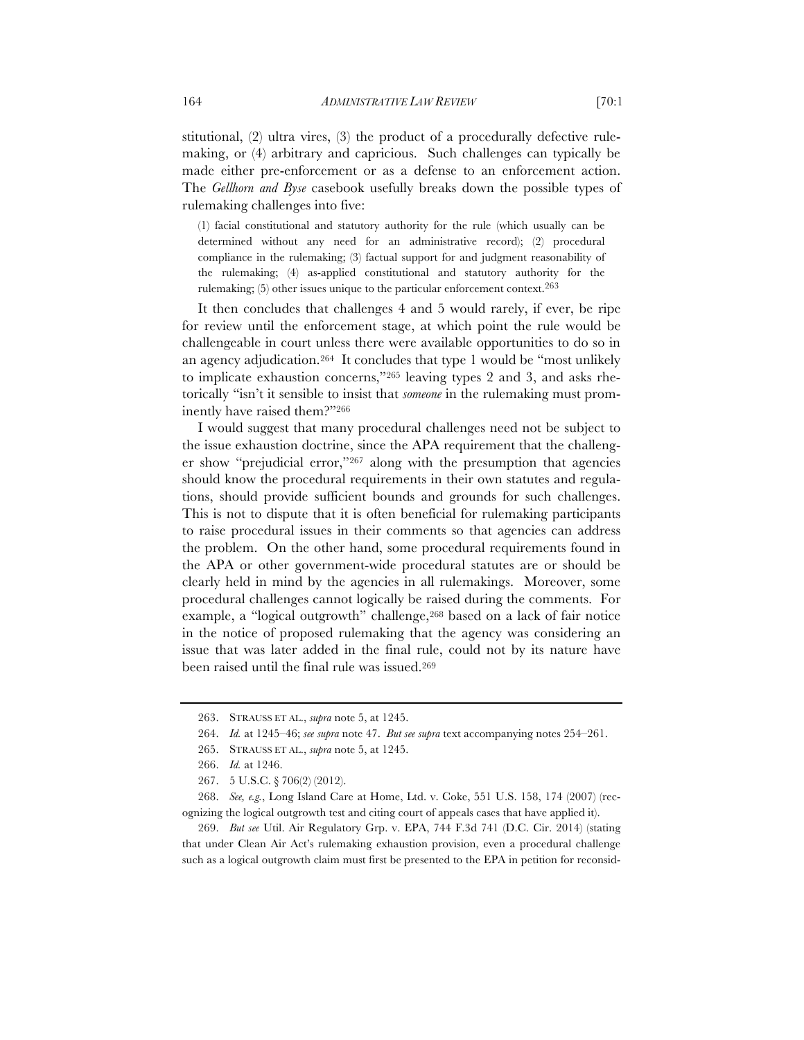stitutional, (2) ultra vires, (3) the product of a procedurally defective rulemaking, or (4) arbitrary and capricious. Such challenges can typically be made either pre-enforcement or as a defense to an enforcement action. The *Gellhorn and Byse* casebook usefully breaks down the possible types of rulemaking challenges into five:

(1) facial constitutional and statutory authority for the rule (which usually can be determined without any need for an administrative record); (2) procedural compliance in the rulemaking; (3) factual support for and judgment reasonability of the rulemaking; (4) as-applied constitutional and statutory authority for the rulemaking; (5) other issues unique to the particular enforcement context.263

It then concludes that challenges 4 and 5 would rarely, if ever, be ripe for review until the enforcement stage, at which point the rule would be challengeable in court unless there were available opportunities to do so in an agency adjudication.264 It concludes that type 1 would be "most unlikely to implicate exhaustion concerns,"265 leaving types 2 and 3, and asks rhetorically "isn't it sensible to insist that *someone* in the rulemaking must prominently have raised them?"266

I would suggest that many procedural challenges need not be subject to the issue exhaustion doctrine, since the APA requirement that the challenger show "prejudicial error,"267 along with the presumption that agencies should know the procedural requirements in their own statutes and regulations, should provide sufficient bounds and grounds for such challenges. This is not to dispute that it is often beneficial for rulemaking participants to raise procedural issues in their comments so that agencies can address the problem. On the other hand, some procedural requirements found in the APA or other government-wide procedural statutes are or should be clearly held in mind by the agencies in all rulemakings. Moreover, some procedural challenges cannot logically be raised during the comments. For example, a "logical outgrowth" challenge, <sup>268</sup> based on a lack of fair notice in the notice of proposed rulemaking that the agency was considering an issue that was later added in the final rule, could not by its nature have been raised until the final rule was issued.269

<sup>263.</sup> STRAUSS ET AL., *supra* note 5, at 1245.

<sup>264.</sup> *Id.* at 1245–46; *see supra* note 47. *But see supra* text accompanying notes 254–261.

<sup>265.</sup> STRAUSS ET AL., *supra* note 5, at 1245.

<sup>266.</sup> *Id.* at 1246.

<sup>267.</sup> 5 U.S.C. § 706(2) (2012).

<sup>268.</sup> *See, e.g.*, Long Island Care at Home, Ltd. v. Coke, 551 U.S. 158, 174 (2007) (recognizing the logical outgrowth test and citing court of appeals cases that have applied it).

<sup>269.</sup> *But see* Util. Air Regulatory Grp. v. EPA, 744 F.3d 741 (D.C. Cir. 2014) (stating that under Clean Air Act's rulemaking exhaustion provision, even a procedural challenge such as a logical outgrowth claim must first be presented to the EPA in petition for reconsid-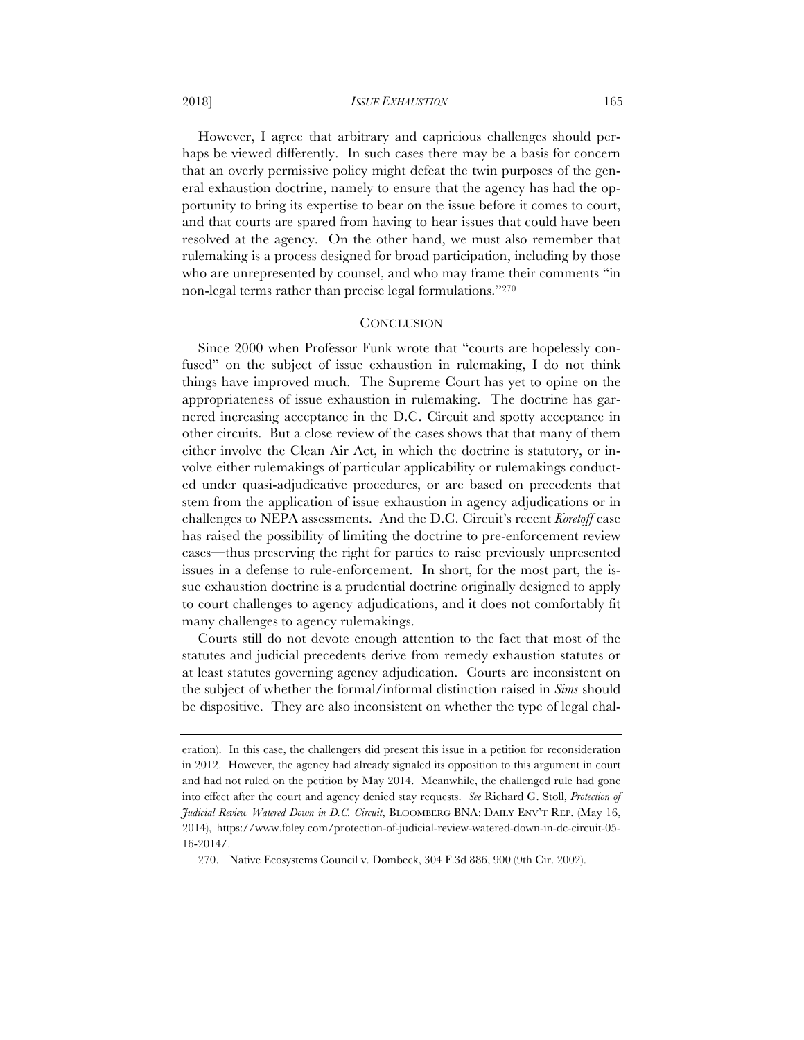#### 2018] *ISSUE EXHAUSTION* 165

However, I agree that arbitrary and capricious challenges should perhaps be viewed differently. In such cases there may be a basis for concern that an overly permissive policy might defeat the twin purposes of the general exhaustion doctrine, namely to ensure that the agency has had the opportunity to bring its expertise to bear on the issue before it comes to court, and that courts are spared from having to hear issues that could have been resolved at the agency. On the other hand, we must also remember that rulemaking is a process designed for broad participation, including by those who are unrepresented by counsel, and who may frame their comments "in non-legal terms rather than precise legal formulations."270

### **CONCLUSION**

Since 2000 when Professor Funk wrote that "courts are hopelessly confused" on the subject of issue exhaustion in rulemaking, I do not think things have improved much. The Supreme Court has yet to opine on the appropriateness of issue exhaustion in rulemaking. The doctrine has garnered increasing acceptance in the D.C. Circuit and spotty acceptance in other circuits. But a close review of the cases shows that that many of them either involve the Clean Air Act, in which the doctrine is statutory, or involve either rulemakings of particular applicability or rulemakings conducted under quasi-adjudicative procedures, or are based on precedents that stem from the application of issue exhaustion in agency adjudications or in challenges to NEPA assessments. And the D.C. Circuit's recent *Koretoff* case has raised the possibility of limiting the doctrine to pre-enforcement review cases—thus preserving the right for parties to raise previously unpresented issues in a defense to rule-enforcement. In short, for the most part, the issue exhaustion doctrine is a prudential doctrine originally designed to apply to court challenges to agency adjudications, and it does not comfortably fit many challenges to agency rulemakings.

Courts still do not devote enough attention to the fact that most of the statutes and judicial precedents derive from remedy exhaustion statutes or at least statutes governing agency adjudication. Courts are inconsistent on the subject of whether the formal/informal distinction raised in *Sims* should be dispositive. They are also inconsistent on whether the type of legal chal-

eration). In this case, the challengers did present this issue in a petition for reconsideration in 2012. However, the agency had already signaled its opposition to this argument in court and had not ruled on the petition by May 2014. Meanwhile, the challenged rule had gone into effect after the court and agency denied stay requests. *See* Richard G. Stoll, *Protection of Judicial Review Watered Down in D.C. Circuit*, BLOOMBERG BNA: DAILY ENV'T REP. (May 16, 2014), https://www.foley.com/protection-of-judicial-review-watered-down-in-dc-circuit-05- 16-2014/.

<sup>270.</sup> Native Ecosystems Council v. Dombeck, 304 F.3d 886, 900 (9th Cir. 2002).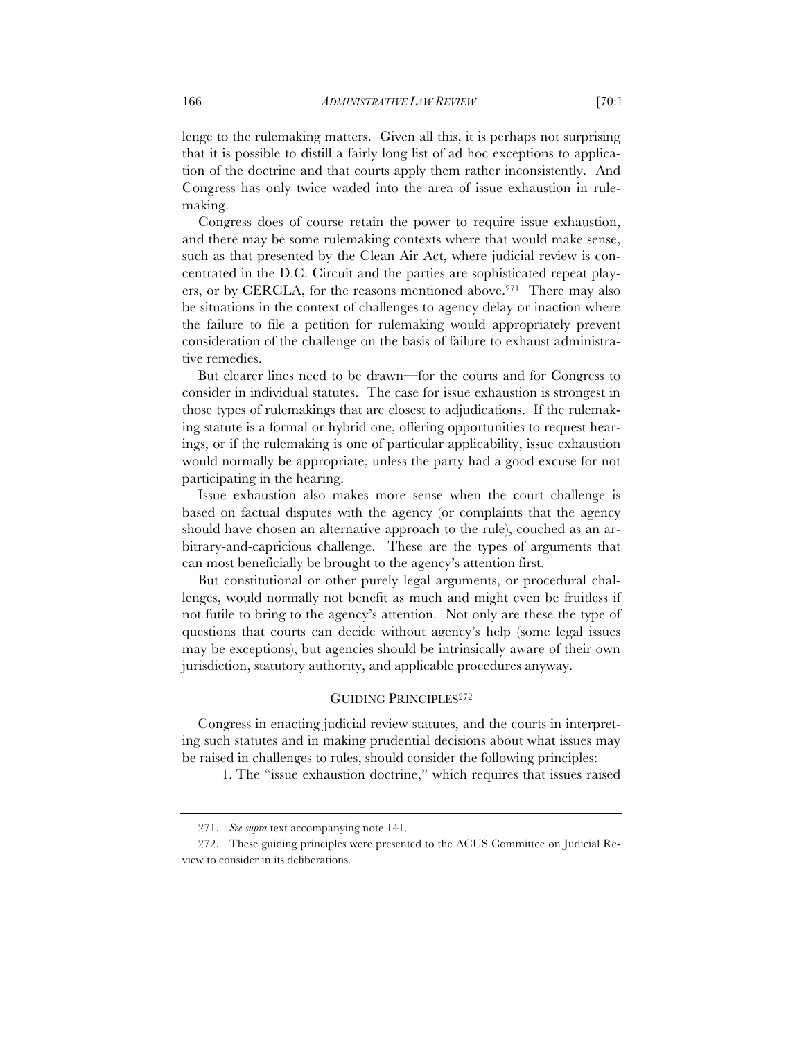lenge to the rulemaking matters. Given all this, it is perhaps not surprising that it is possible to distill a fairly long list of ad hoc exceptions to application of the doctrine and that courts apply them rather inconsistently. And Congress has only twice waded into the area of issue exhaustion in rulemaking.

Congress does of course retain the power to require issue exhaustion, and there may be some rulemaking contexts where that would make sense, such as that presented by the Clean Air Act, where judicial review is concentrated in the D.C. Circuit and the parties are sophisticated repeat players, or by CERCLA, for the reasons mentioned above.271 There may also be situations in the context of challenges to agency delay or inaction where the failure to file a petition for rulemaking would appropriately prevent consideration of the challenge on the basis of failure to exhaust administrative remedies.

But clearer lines need to be drawn—for the courts and for Congress to consider in individual statutes. The case for issue exhaustion is strongest in those types of rulemakings that are closest to adjudications. If the rulemaking statute is a formal or hybrid one, offering opportunities to request hearings, or if the rulemaking is one of particular applicability, issue exhaustion would normally be appropriate, unless the party had a good excuse for not participating in the hearing.

Issue exhaustion also makes more sense when the court challenge is based on factual disputes with the agency (or complaints that the agency should have chosen an alternative approach to the rule), couched as an arbitrary-and-capricious challenge. These are the types of arguments that can most beneficially be brought to the agency's attention first.

But constitutional or other purely legal arguments, or procedural challenges, would normally not benefit as much and might even be fruitless if not futile to bring to the agency's attention. Not only are these the type of questions that courts can decide without agency's help (some legal issues may be exceptions), but agencies should be intrinsically aware of their own jurisdiction, statutory authority, and applicable procedures anyway.

#### GUIDING PRINCIPLES272

Congress in enacting judicial review statutes, and the courts in interpreting such statutes and in making prudential decisions about what issues may be raised in challenges to rules, should consider the following principles:

1. The "issue exhaustion doctrine," which requires that issues raised

<sup>271.</sup> *See supra* text accompanying note 141.

<sup>272.</sup> These guiding principles were presented to the ACUS Committee on Judicial Review to consider in its deliberations.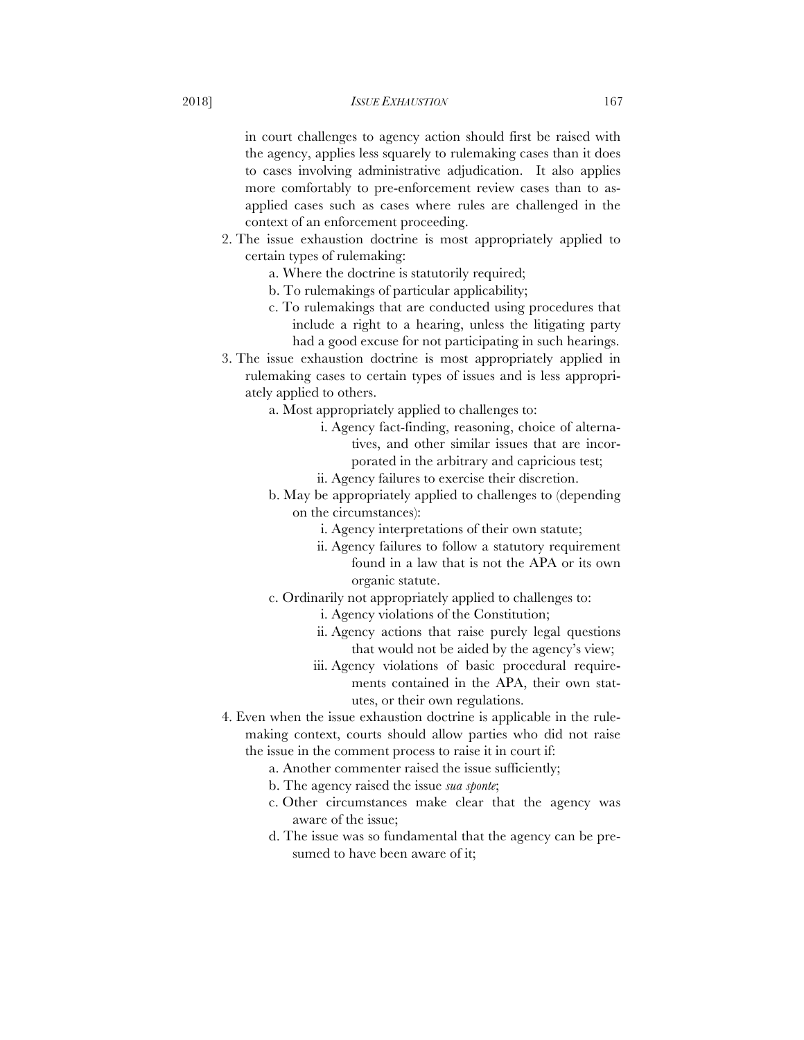in court challenges to agency action should first be raised with the agency, applies less squarely to rulemaking cases than it does to cases involving administrative adjudication. It also applies more comfortably to pre-enforcement review cases than to asapplied cases such as cases where rules are challenged in the context of an enforcement proceeding.

- 2. The issue exhaustion doctrine is most appropriately applied to certain types of rulemaking:
	- a. Where the doctrine is statutorily required;
	- b. To rulemakings of particular applicability;
	- c. To rulemakings that are conducted using procedures that include a right to a hearing, unless the litigating party had a good excuse for not participating in such hearings.
- 3. The issue exhaustion doctrine is most appropriately applied in rulemaking cases to certain types of issues and is less appropriately applied to others.
	- a. Most appropriately applied to challenges to:
		- i. Agency fact-finding, reasoning, choice of alternatives, and other similar issues that are incorporated in the arbitrary and capricious test;
		- ii. Agency failures to exercise their discretion.
	- b. May be appropriately applied to challenges to (depending on the circumstances):
		- i. Agency interpretations of their own statute;
		- ii. Agency failures to follow a statutory requirement found in a law that is not the APA or its own organic statute.
	- c. Ordinarily not appropriately applied to challenges to:
		- i. Agency violations of the Constitution;
		- ii. Agency actions that raise purely legal questions that would not be aided by the agency's view;
		- iii. Agency violations of basic procedural requirements contained in the APA, their own statutes, or their own regulations.
- 4. Even when the issue exhaustion doctrine is applicable in the rulemaking context, courts should allow parties who did not raise the issue in the comment process to raise it in court if:
	- a. Another commenter raised the issue sufficiently;
	- b. The agency raised the issue *sua sponte*;
	- c. Other circumstances make clear that the agency was aware of the issue;
	- d. The issue was so fundamental that the agency can be presumed to have been aware of it;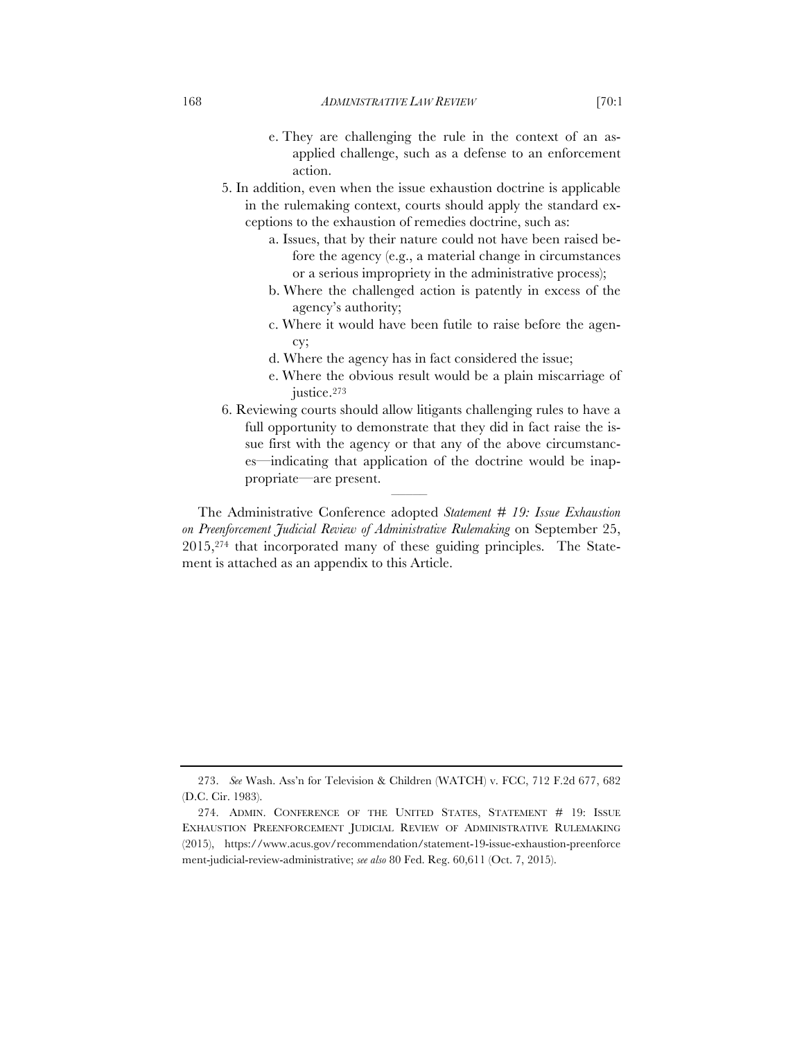- e. They are challenging the rule in the context of an asapplied challenge, such as a defense to an enforcement action.
- 5. In addition, even when the issue exhaustion doctrine is applicable in the rulemaking context, courts should apply the standard exceptions to the exhaustion of remedies doctrine, such as:
	- a. Issues, that by their nature could not have been raised before the agency (e.g., a material change in circumstances or a serious impropriety in the administrative process);
	- b. Where the challenged action is patently in excess of the agency's authority;
	- c. Where it would have been futile to raise before the agency;
	- d. Where the agency has in fact considered the issue;
	- e. Where the obvious result would be a plain miscarriage of justice.<sup>273</sup>
- 6. Reviewing courts should allow litigants challenging rules to have a full opportunity to demonstrate that they did in fact raise the issue first with the agency or that any of the above circumstances—indicating that application of the doctrine would be inappropriate—are present.

The Administrative Conference adopted *Statement # 19: Issue Exhaustion on Preenforcement Judicial Review of Administrative Rulemaking* on September 25, 2015,274 that incorporated many of these guiding principles. The Statement is attached as an appendix to this Article.

–––––

<sup>273.</sup> *See* Wash. Ass'n for Television & Children (WATCH) v. FCC, 712 F.2d 677, 682 (D.C. Cir. 1983).

<sup>274.</sup> ADMIN. CONFERENCE OF THE UNITED STATES, STATEMENT # 19: ISSUE EXHAUSTION PREENFORCEMENT JUDICIAL REVIEW OF ADMINISTRATIVE RULEMAKING (2015), https://www.acus.gov/recommendation/statement-19-issue-exhaustion-preenforce ment-judicial-review-administrative; *see also* 80 Fed. Reg. 60,611 (Oct. 7, 2015).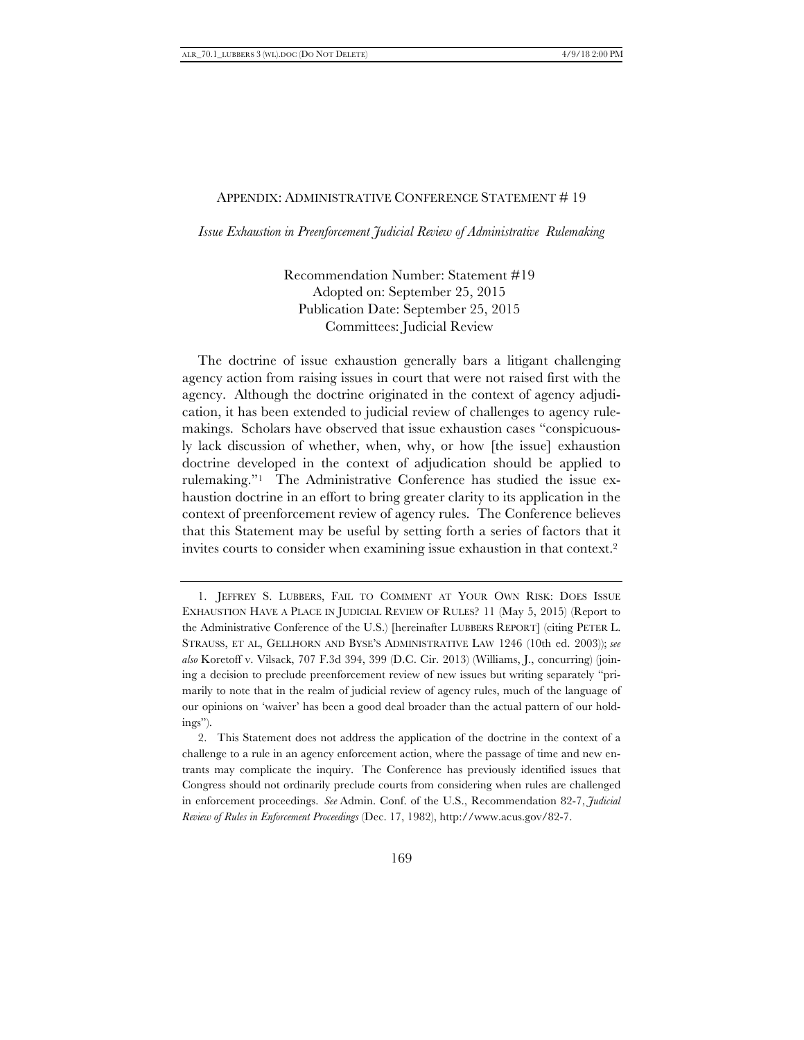#### APPENDIX: ADMINISTRATIVE CONFERENCE STATEMENT # 19

*Issue Exhaustion in Preenforcement Judicial Review of Administrative Rulemaking*

Recommendation Number: Statement #19 Adopted on: September 25, 2015 Publication Date: September 25, 2015 Committees: Judicial Review

The doctrine of issue exhaustion generally bars a litigant challenging agency action from raising issues in court that were not raised first with the agency. Although the doctrine originated in the context of agency adjudication, it has been extended to judicial review of challenges to agency rulemakings. Scholars have observed that issue exhaustion cases "conspicuously lack discussion of whether, when, why, or how [the issue] exhaustion doctrine developed in the context of adjudication should be applied to rulemaking."1 The Administrative Conference has studied the issue exhaustion doctrine in an effort to bring greater clarity to its application in the context of preenforcement review of agency rules. The Conference believes that this Statement may be useful by setting forth a series of factors that it invites courts to consider when examining issue exhaustion in that context.2

<sup>1.</sup> JEFFREY S. LUBBERS, FAIL TO COMMENT AT YOUR OWN RISK: DOES ISSUE EXHAUSTION HAVE A PLACE IN JUDICIAL REVIEW OF RULES? 11 (May 5, 2015) (Report to the Administrative Conference of the U.S.) [hereinafter LUBBERS REPORT] (citing PETER L. STRAUSS, ET AL, GELLHORN AND BYSE'S ADMINISTRATIVE LAW 1246 (10th ed. 2003)); *see also* Koretoff v. Vilsack, 707 F.3d 394, 399 (D.C. Cir. 2013) (Williams, J., concurring) (joining a decision to preclude preenforcement review of new issues but writing separately "primarily to note that in the realm of judicial review of agency rules, much of the language of our opinions on 'waiver' has been a good deal broader than the actual pattern of our holdings").

<sup>2.</sup> This Statement does not address the application of the doctrine in the context of a challenge to a rule in an agency enforcement action, where the passage of time and new entrants may complicate the inquiry. The Conference has previously identified issues that Congress should not ordinarily preclude courts from considering when rules are challenged in enforcement proceedings. *See* Admin. Conf. of the U.S., Recommendation 82-7, *Judicial Review of Rules in Enforcement Proceedings* (Dec. 17, 1982), http://www.acus.gov/82-7.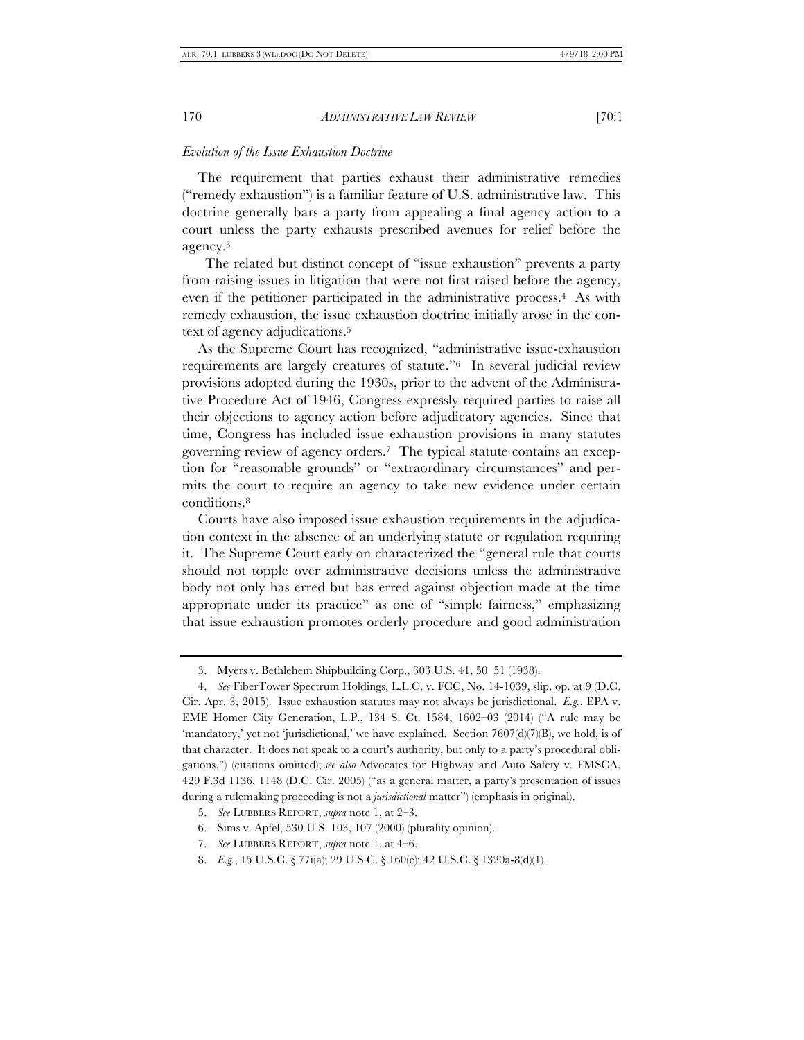170 *ADMINISTRATIVE LAW REVIEW* [70:1

# *Evolution of the Issue Exhaustion Doctrine*

The requirement that parties exhaust their administrative remedies ("remedy exhaustion") is a familiar feature of U.S. administrative law. This doctrine generally bars a party from appealing a final agency action to a court unless the party exhausts prescribed avenues for relief before the agency.3

 The related but distinct concept of "issue exhaustion" prevents a party from raising issues in litigation that were not first raised before the agency, even if the petitioner participated in the administrative process.4 As with remedy exhaustion, the issue exhaustion doctrine initially arose in the context of agency adjudications.<sup>5</sup>

As the Supreme Court has recognized, "administrative issue-exhaustion requirements are largely creatures of statute."6 In several judicial review provisions adopted during the 1930s, prior to the advent of the Administrative Procedure Act of 1946, Congress expressly required parties to raise all their objections to agency action before adjudicatory agencies. Since that time, Congress has included issue exhaustion provisions in many statutes governing review of agency orders.7 The typical statute contains an exception for "reasonable grounds" or "extraordinary circumstances" and permits the court to require an agency to take new evidence under certain conditions.8

Courts have also imposed issue exhaustion requirements in the adjudication context in the absence of an underlying statute or regulation requiring it. The Supreme Court early on characterized the "general rule that courts should not topple over administrative decisions unless the administrative body not only has erred but has erred against objection made at the time appropriate under its practice" as one of "simple fairness," emphasizing that issue exhaustion promotes orderly procedure and good administration

<sup>3.</sup> Myers v. Bethlehem Shipbuilding Corp., 303 U.S. 41, 50–51 (1938).

<sup>4.</sup> *See* FiberTower Spectrum Holdings, L.L.C. v. FCC, No. 14-1039, slip. op. at 9 (D.C. Cir. Apr. 3, 2015). Issue exhaustion statutes may not always be jurisdictional. *E.g.*, EPA v. EME Homer City Generation, L.P., 134 S. Ct. 1584, 1602–03 (2014) ("A rule may be 'mandatory,' yet not 'jurisdictional,' we have explained. Section  $7607(d)(7)(B)$ , we hold, is of that character. It does not speak to a court's authority, but only to a party's procedural obligations.") (citations omitted); *see also* Advocates for Highway and Auto Safety v. FMSCA, 429 F.3d 1136, 1148 (D.C. Cir. 2005) ("as a general matter, a party's presentation of issues during a rulemaking proceeding is not a *jurisdictional* matter") (emphasis in original).

<sup>5.</sup> *See* LUBBERS REPORT, *supra* note 1, at 2–3.

<sup>6.</sup> Sims v. Apfel, 530 U.S. 103, 107 (2000) (plurality opinion).

<sup>7.</sup> *See* LUBBERS REPORT, *supra* note 1, at 4–6.

<sup>8.</sup> *E.g.*, 15 U.S.C. § 77i(a); 29 U.S.C. § 160(e); 42 U.S.C. § 1320a-8(d)(1).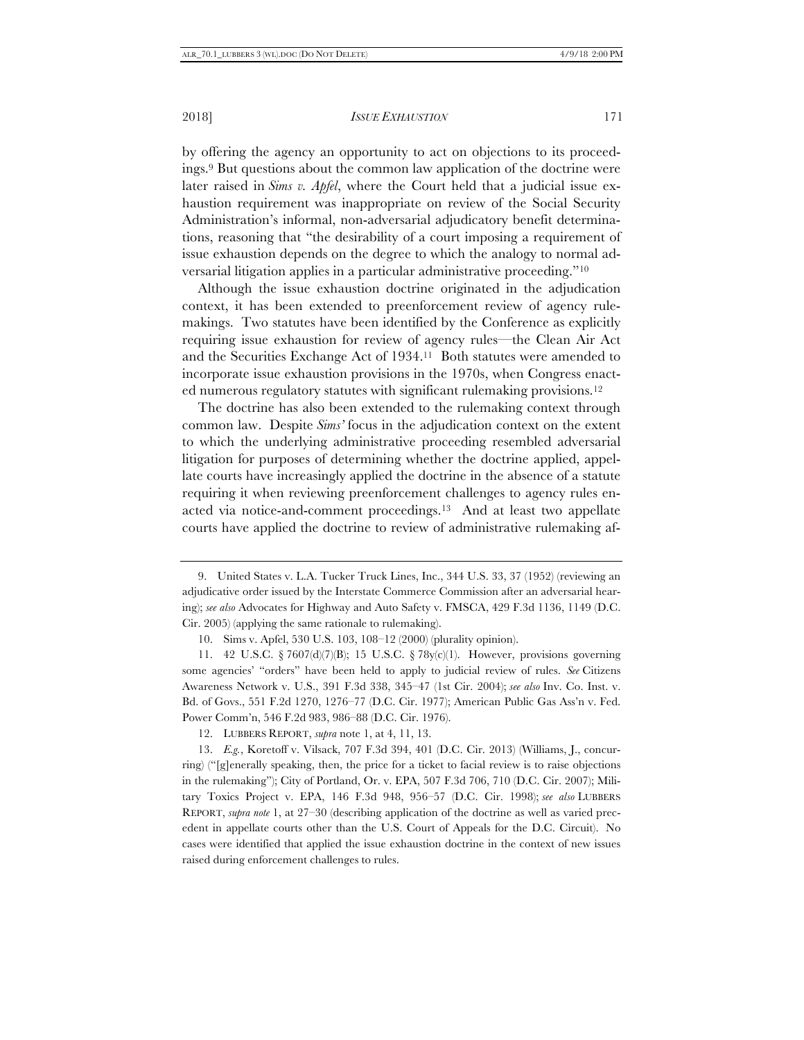#### 2018] *ISSUE EXHAUSTION* 171

by offering the agency an opportunity to act on objections to its proceedings.9 But questions about the common law application of the doctrine were later raised in *Sims v. Apfel*, where the Court held that a judicial issue exhaustion requirement was inappropriate on review of the Social Security Administration's informal, non-adversarial adjudicatory benefit determinations, reasoning that "the desirability of a court imposing a requirement of issue exhaustion depends on the degree to which the analogy to normal adversarial litigation applies in a particular administrative proceeding."10

Although the issue exhaustion doctrine originated in the adjudication context, it has been extended to preenforcement review of agency rulemakings. Two statutes have been identified by the Conference as explicitly requiring issue exhaustion for review of agency rules—the Clean Air Act and the Securities Exchange Act of 1934.11 Both statutes were amended to incorporate issue exhaustion provisions in the 1970s, when Congress enacted numerous regulatory statutes with significant rulemaking provisions.12

The doctrine has also been extended to the rulemaking context through common law. Despite *Sims'* focus in the adjudication context on the extent to which the underlying administrative proceeding resembled adversarial litigation for purposes of determining whether the doctrine applied, appellate courts have increasingly applied the doctrine in the absence of a statute requiring it when reviewing preenforcement challenges to agency rules enacted via notice-and-comment proceedings.13 And at least two appellate courts have applied the doctrine to review of administrative rulemaking af-

<sup>9.</sup> United States v. L.A. Tucker Truck Lines, Inc., 344 U.S. 33, 37 (1952) (reviewing an adjudicative order issued by the Interstate Commerce Commission after an adversarial hearing); *see also* Advocates for Highway and Auto Safety v. FMSCA, 429 F.3d 1136, 1149 (D.C. Cir. 2005) (applying the same rationale to rulemaking).

<sup>10.</sup> Sims v. Apfel, 530 U.S. 103, 108–12 (2000) (plurality opinion).

<sup>11.</sup> 42 U.S.C. § 7607(d)(7)(B); 15 U.S.C. § 78y(c)(1). However, provisions governing some agencies' "orders" have been held to apply to judicial review of rules. *See* Citizens Awareness Network v. U.S., 391 F.3d 338, 345–47 (1st Cir. 2004); *see also* Inv. Co. Inst. v. Bd. of Govs., 551 F.2d 1270, 1276–77 (D.C. Cir. 1977); American Public Gas Ass'n v. Fed. Power Comm'n, 546 F.2d 983, 986–88 (D.C. Cir. 1976).

<sup>12.</sup> LUBBERS REPORT, *supra* note 1, at 4, 11, 13.

<sup>13.</sup> *E.g.*, Koretoff v. Vilsack, 707 F.3d 394, 401 (D.C. Cir. 2013) (Williams, J., concurring) ("[g]enerally speaking, then, the price for a ticket to facial review is to raise objections in the rulemaking"); City of Portland, Or. v. EPA, 507 F.3d 706, 710 (D.C. Cir. 2007); Military Toxics Project v. EPA, 146 F.3d 948, 956–57 (D.C. Cir. 1998); *see also* LUBBERS REPORT, *supra note* 1, at 27–30 (describing application of the doctrine as well as varied precedent in appellate courts other than the U.S. Court of Appeals for the D.C. Circuit). No cases were identified that applied the issue exhaustion doctrine in the context of new issues raised during enforcement challenges to rules.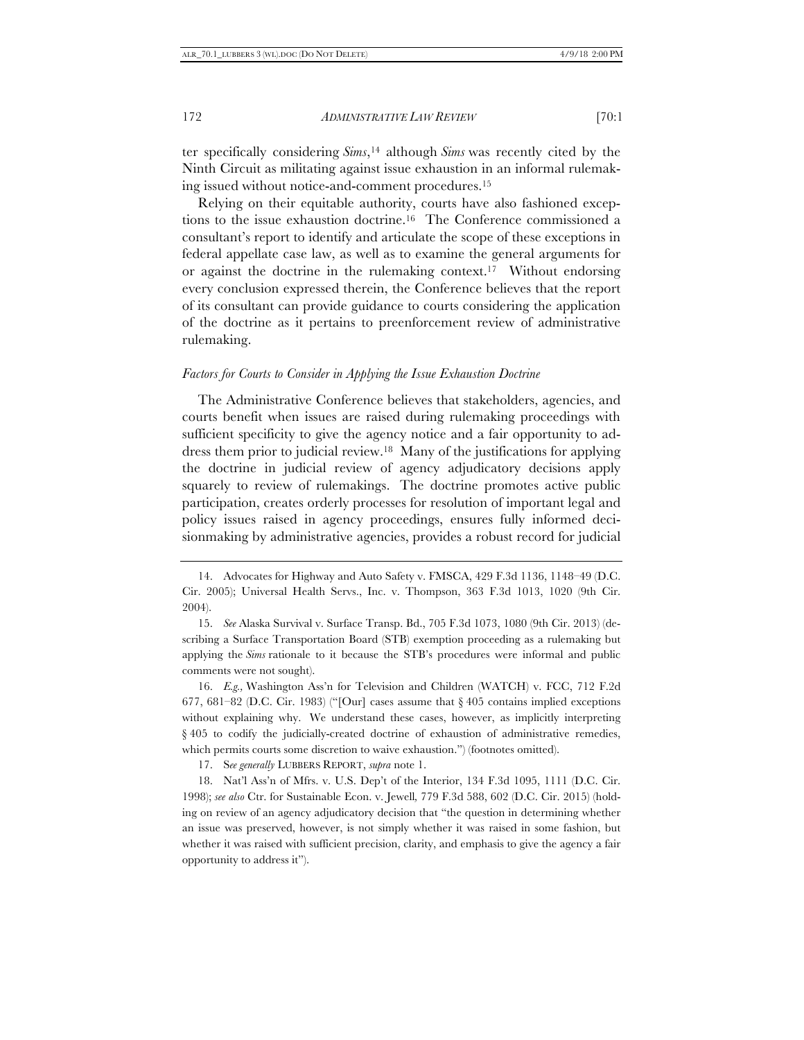172 *ADMINISTRATIVE LAW REVIEW* [70:1

ter specifically considering *Sims*,14 although *Sims* was recently cited by the Ninth Circuit as militating against issue exhaustion in an informal rulemaking issued without notice-and-comment procedures.15

Relying on their equitable authority, courts have also fashioned exceptions to the issue exhaustion doctrine.16 The Conference commissioned a consultant's report to identify and articulate the scope of these exceptions in federal appellate case law, as well as to examine the general arguments for or against the doctrine in the rulemaking context.17 Without endorsing every conclusion expressed therein, the Conference believes that the report of its consultant can provide guidance to courts considering the application of the doctrine as it pertains to preenforcement review of administrative rulemaking.

#### *Factors for Courts to Consider in Applying the Issue Exhaustion Doctrine*

The Administrative Conference believes that stakeholders, agencies, and courts benefit when issues are raised during rulemaking proceedings with sufficient specificity to give the agency notice and a fair opportunity to address them prior to judicial review.18 Many of the justifications for applying the doctrine in judicial review of agency adjudicatory decisions apply squarely to review of rulemakings. The doctrine promotes active public participation, creates orderly processes for resolution of important legal and policy issues raised in agency proceedings, ensures fully informed decisionmaking by administrative agencies, provides a robust record for judicial

17. S*ee generally* LUBBERS REPORT, *supra* note 1.

18. Nat'l Ass'n of Mfrs. v. U.S. Dep't of the Interior, 134 F.3d 1095, 1111 (D.C. Cir. 1998); *see also* Ctr. for Sustainable Econ. v. Jewell*,* 779 F.3d 588, 602 (D.C. Cir. 2015) (holding on review of an agency adjudicatory decision that "the question in determining whether an issue was preserved, however, is not simply whether it was raised in some fashion, but whether it was raised with sufficient precision, clarity, and emphasis to give the agency a fair opportunity to address it").

<sup>14.</sup> Advocates for Highway and Auto Safety v. FMSCA, 429 F.3d 1136, 1148–49 (D.C. Cir. 2005); Universal Health Servs., Inc. v. Thompson, 363 F.3d 1013, 1020 (9th Cir. 2004).

<sup>15.</sup> *See* Alaska Survival v. Surface Transp. Bd., 705 F.3d 1073, 1080 (9th Cir. 2013) (describing a Surface Transportation Board (STB) exemption proceeding as a rulemaking but applying the *Sims* rationale to it because the STB's procedures were informal and public comments were not sought).

<sup>16.</sup> *E.g.,* Washington Ass'n for Television and Children (WATCH) v. FCC, 712 F.2d 677, 681–82 (D.C. Cir. 1983) ("[Our] cases assume that  $\S 405$  contains implied exceptions without explaining why. We understand these cases, however, as implicitly interpreting § 405 to codify the judicially-created doctrine of exhaustion of administrative remedies, which permits courts some discretion to waive exhaustion.") (footnotes omitted).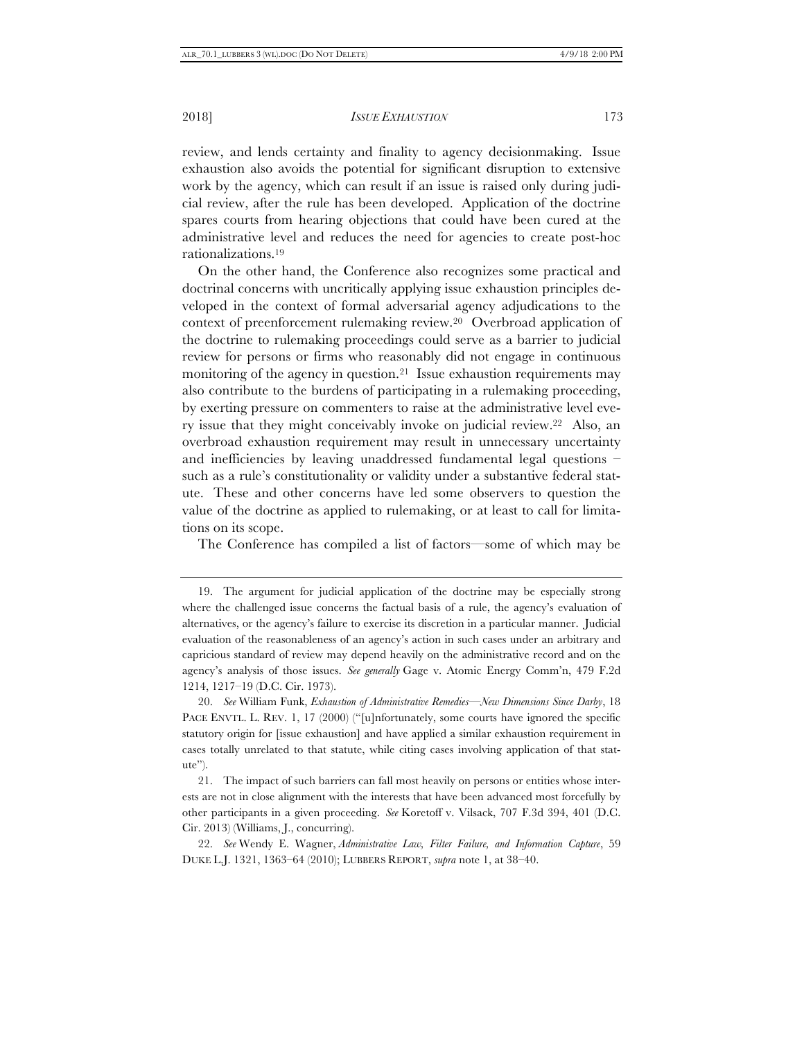2018] *ISSUE EXHAUSTION* 173

review, and lends certainty and finality to agency decisionmaking. Issue exhaustion also avoids the potential for significant disruption to extensive work by the agency, which can result if an issue is raised only during judicial review, after the rule has been developed. Application of the doctrine spares courts from hearing objections that could have been cured at the administrative level and reduces the need for agencies to create post-hoc rationalizations.19

On the other hand, the Conference also recognizes some practical and doctrinal concerns with uncritically applying issue exhaustion principles developed in the context of formal adversarial agency adjudications to the context of preenforcement rulemaking review.20 Overbroad application of the doctrine to rulemaking proceedings could serve as a barrier to judicial review for persons or firms who reasonably did not engage in continuous monitoring of the agency in question.<sup>21</sup> Issue exhaustion requirements may also contribute to the burdens of participating in a rulemaking proceeding, by exerting pressure on commenters to raise at the administrative level every issue that they might conceivably invoke on judicial review.22 Also, an overbroad exhaustion requirement may result in unnecessary uncertainty and inefficiencies by leaving unaddressed fundamental legal questions – such as a rule's constitutionality or validity under a substantive federal statute. These and other concerns have led some observers to question the value of the doctrine as applied to rulemaking, or at least to call for limitations on its scope.

The Conference has compiled a list of factors—some of which may be

<sup>19.</sup> The argument for judicial application of the doctrine may be especially strong where the challenged issue concerns the factual basis of a rule, the agency's evaluation of alternatives, or the agency's failure to exercise its discretion in a particular manner. Judicial evaluation of the reasonableness of an agency's action in such cases under an arbitrary and capricious standard of review may depend heavily on the administrative record and on the agency's analysis of those issues. *See generally* Gage v. Atomic Energy Comm'n, 479 F.2d 1214, 1217–19 (D.C. Cir. 1973).

<sup>20.</sup> *See* William Funk, *Exhaustion of Administrative Remedies—New Dimensions Since Darby*, 18 PACE ENVTL. L. REV. 1, 17 (2000) ("[u]nfortunately, some courts have ignored the specific statutory origin for [issue exhaustion] and have applied a similar exhaustion requirement in cases totally unrelated to that statute, while citing cases involving application of that statute").

<sup>21.</sup> The impact of such barriers can fall most heavily on persons or entities whose interests are not in close alignment with the interests that have been advanced most forcefully by other participants in a given proceeding. *See* Koretoff v. Vilsack, 707 F.3d 394, 401 (D.C. Cir. 2013) (Williams, J., concurring).

<sup>22.</sup> *See* Wendy E. Wagner, *Administrative Law, Filter Failure, and Information Capture*, 59 DUKE L.J. 1321, 1363–64 (2010); LUBBERS REPORT, *supra* note 1, at 38–40.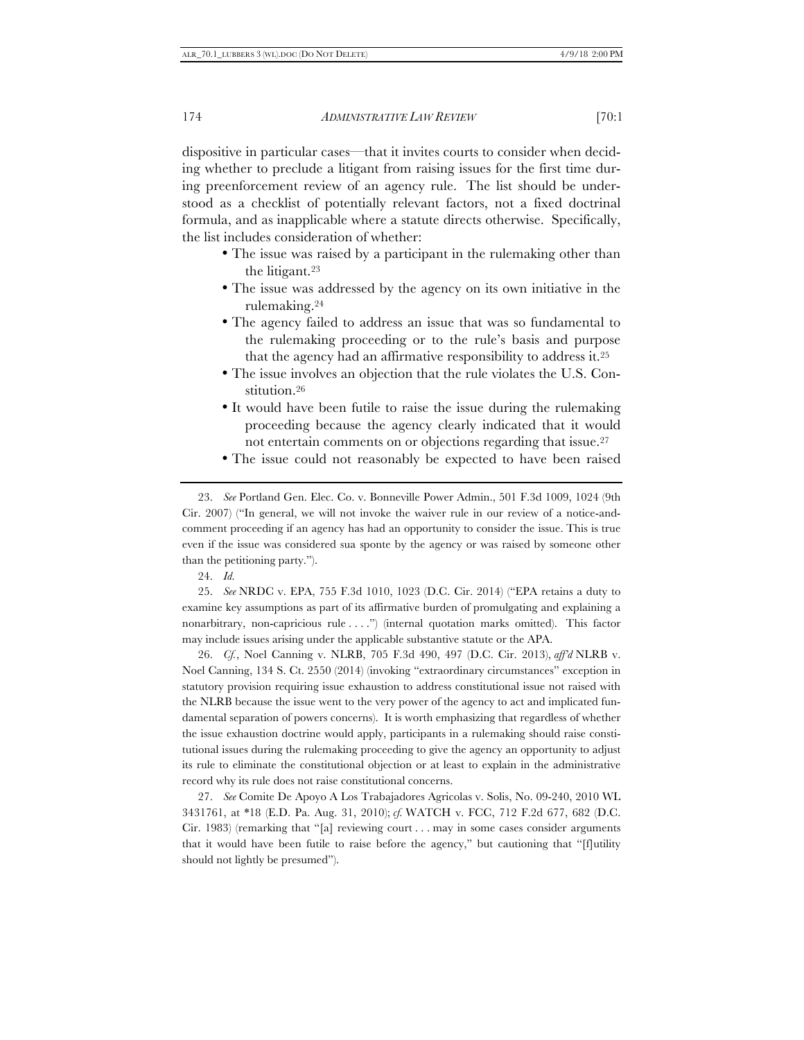174 *ADMINISTRATIVE LAW REVIEW* [70:1

dispositive in particular cases—that it invites courts to consider when deciding whether to preclude a litigant from raising issues for the first time during preenforcement review of an agency rule. The list should be understood as a checklist of potentially relevant factors, not a fixed doctrinal formula, and as inapplicable where a statute directs otherwise. Specifically, the list includes consideration of whether:

- The issue was raised by a participant in the rulemaking other than the litigant.23
- The issue was addressed by the agency on its own initiative in the rulemaking.24
- The agency failed to address an issue that was so fundamental to the rulemaking proceeding or to the rule's basis and purpose that the agency had an affirmative responsibility to address it.25
- The issue involves an objection that the rule violates the U.S. Constitution.26
- It would have been futile to raise the issue during the rulemaking proceeding because the agency clearly indicated that it would not entertain comments on or objections regarding that issue.27
- The issue could not reasonably be expected to have been raised

23. *See* Portland Gen. Elec. Co. v. Bonneville Power Admin., 501 F.3d 1009, 1024 (9th Cir. 2007) ("In general, we will not invoke the waiver rule in our review of a notice-andcomment proceeding if an agency has had an opportunity to consider the issue. This is true even if the issue was considered sua sponte by the agency or was raised by someone other than the petitioning party.").

25. *See* NRDC v. EPA, 755 F.3d 1010, 1023 (D.C. Cir. 2014) ("EPA retains a duty to examine key assumptions as part of its affirmative burden of promulgating and explaining a nonarbitrary, non-capricious rule . . . .") (internal quotation marks omitted). This factor may include issues arising under the applicable substantive statute or the APA.

26. *Cf.*, Noel Canning v. NLRB, 705 F.3d 490, 497 (D.C. Cir. 2013), *aff'd* NLRB v. Noel Canning, 134 S. Ct. 2550 (2014) (invoking "extraordinary circumstances" exception in statutory provision requiring issue exhaustion to address constitutional issue not raised with the NLRB because the issue went to the very power of the agency to act and implicated fundamental separation of powers concerns). It is worth emphasizing that regardless of whether the issue exhaustion doctrine would apply, participants in a rulemaking should raise constitutional issues during the rulemaking proceeding to give the agency an opportunity to adjust its rule to eliminate the constitutional objection or at least to explain in the administrative record why its rule does not raise constitutional concerns.

27. *See* Comite De Apoyo A Los Trabajadores Agricolas v. Solis, No. 09-240, 2010 WL 3431761, at \*18 (E.D. Pa. Aug. 31, 2010); *cf.* WATCH v. FCC, 712 F.2d 677, 682 (D.C. Cir. 1983) (remarking that "[a] reviewing court . . . may in some cases consider arguments that it would have been futile to raise before the agency," but cautioning that "[f]utility should not lightly be presumed").

<sup>24.</sup> *Id.*